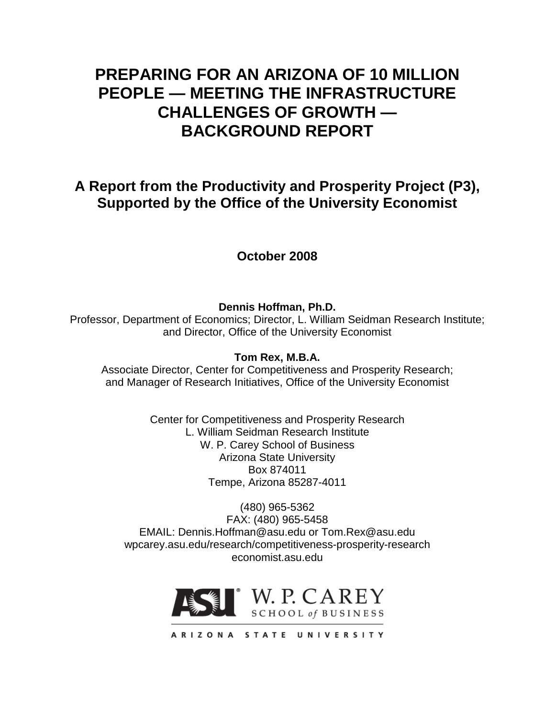# **PREPARING FOR AN ARIZONA OF 10 MILLION PEOPLE — MEETING THE INFRASTRUCTURE CHALLENGES OF GROWTH — BACKGROUND REPORT**

# **A Report from the Productivity and Prosperity Project (P3), Supported by the Office of the University Economist**

# **October 2008**

**Dennis Hoffman, Ph.D.**

Professor, Department of Economics; Director, L. William Seidman Research Institute; and Director, Office of the University Economist

# **Tom Rex, M.B.A.**

Associate Director, Center for Competitiveness and Prosperity Research; and Manager of Research Initiatives, Office of the University Economist

> Center for Competitiveness and Prosperity Research L. William Seidman Research Institute W. P. Carey School of Business Arizona State University Box 874011 Tempe, Arizona 85287-4011

(480) 965-5362 FAX: (480) 965-5458 EMAIL: Dennis.Hoffman@asu.edu or Tom.Rex@asu.edu wpcarey.asu.edu/research/competitiveness-prosperity-research economist.asu.edu



ARIZONA STATE UNIVERSITY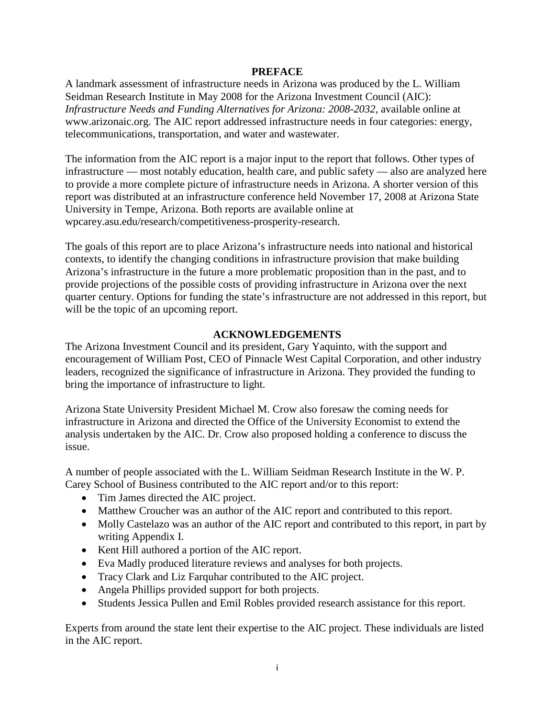#### **PREFACE**

A landmark assessment of infrastructure needs in Arizona was produced by the L. William Seidman Research Institute in May 2008 for the Arizona Investment Council (AIC): *Infrastructure Needs and Funding Alternatives for Arizona: 2008-2032*, available online at www.arizonaic.org. The AIC report addressed infrastructure needs in four categories: energy, telecommunications, transportation, and water and wastewater.

The information from the AIC report is a major input to the report that follows. Other types of infrastructure — most notably education, health care, and public safety — also are analyzed here to provide a more complete picture of infrastructure needs in Arizona. A shorter version of this report was distributed at an infrastructure conference held November 17, 2008 at Arizona State University in Tempe, Arizona. Both reports are available online at wpcarey.asu.edu/research/competitiveness-prosperity-research.

The goals of this report are to place Arizona's infrastructure needs into national and historical contexts, to identify the changing conditions in infrastructure provision that make building Arizona's infrastructure in the future a more problematic proposition than in the past, and to provide projections of the possible costs of providing infrastructure in Arizona over the next quarter century. Options for funding the state's infrastructure are not addressed in this report, but will be the topic of an upcoming report.

#### **ACKNOWLEDGEMENTS**

The Arizona Investment Council and its president, Gary Yaquinto, with the support and encouragement of William Post, CEO of Pinnacle West Capital Corporation, and other industry leaders, recognized the significance of infrastructure in Arizona. They provided the funding to bring the importance of infrastructure to light.

Arizona State University President Michael M. Crow also foresaw the coming needs for infrastructure in Arizona and directed the Office of the University Economist to extend the analysis undertaken by the AIC. Dr. Crow also proposed holding a conference to discuss the issue.

A number of people associated with the L. William Seidman Research Institute in the W. P. Carey School of Business contributed to the AIC report and/or to this report:

- Tim James directed the AIC project.
- Matthew Croucher was an author of the AIC report and contributed to this report.
- Molly Castelazo was an author of the AIC report and contributed to this report, in part by writing Appendix I.
- Kent Hill authored a portion of the AIC report.
- Eva Madly produced literature reviews and analyses for both projects.
- Tracy Clark and Liz Farquhar contributed to the AIC project.
- Angela Phillips provided support for both projects.
- Students Jessica Pullen and Emil Robles provided research assistance for this report.

Experts from around the state lent their expertise to the AIC project. These individuals are listed in the AIC report.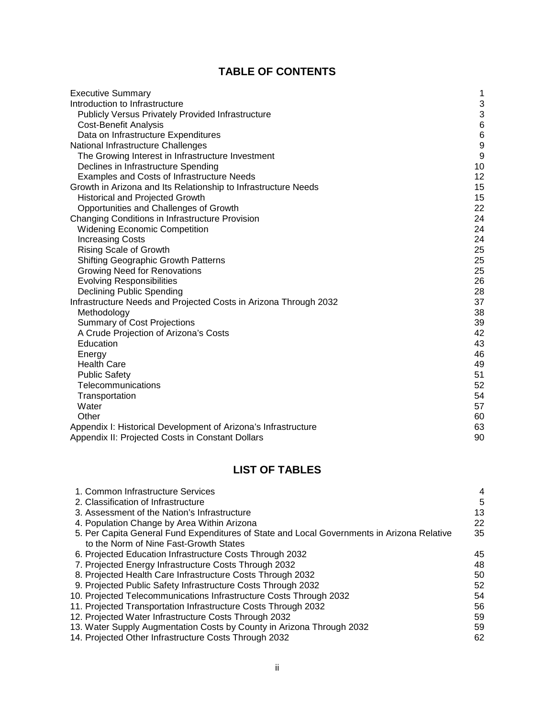# **TABLE OF CONTENTS**

| <b>Executive Summary</b>                                         | 1                |
|------------------------------------------------------------------|------------------|
| Introduction to Infrastructure                                   | 3                |
| <b>Publicly Versus Privately Provided Infrastructure</b>         | $\sqrt{3}$       |
| <b>Cost-Benefit Analysis</b>                                     | $\,6$            |
| Data on Infrastructure Expenditures                              | $6\phantom{1}6$  |
| National Infrastructure Challenges                               | $\boldsymbol{9}$ |
| The Growing Interest in Infrastructure Investment                | $\overline{9}$   |
| Declines in Infrastructure Spending                              | 10               |
| Examples and Costs of Infrastructure Needs                       | 12               |
| Growth in Arizona and Its Relationship to Infrastructure Needs   | 15               |
| <b>Historical and Projected Growth</b>                           | 15               |
| Opportunities and Challenges of Growth                           | 22               |
| Changing Conditions in Infrastructure Provision                  | 24               |
| <b>Widening Economic Competition</b>                             | 24               |
| <b>Increasing Costs</b>                                          | 24               |
| <b>Rising Scale of Growth</b>                                    | 25               |
| Shifting Geographic Growth Patterns                              | 25               |
| Growing Need for Renovations                                     | 25               |
| <b>Evolving Responsibilities</b>                                 | 26               |
| Declining Public Spending                                        | 28               |
| Infrastructure Needs and Projected Costs in Arizona Through 2032 | 37               |
| Methodology                                                      | 38               |
| <b>Summary of Cost Projections</b>                               | 39               |
| A Crude Projection of Arizona's Costs                            | 42               |
| Education                                                        | 43               |
| Energy                                                           | 46               |
| <b>Health Care</b>                                               | 49               |
| <b>Public Safety</b>                                             | 51               |
| Telecommunications                                               | 52               |
| Transportation                                                   | 54               |
| Water                                                            | 57               |
| Other                                                            | 60               |
| Appendix I: Historical Development of Arizona's Infrastructure   | 63               |
| Appendix II: Projected Costs in Constant Dollars                 | 90               |

# **LIST OF TABLES**

| 1. Common Infrastructure Services                                                          | 4  |
|--------------------------------------------------------------------------------------------|----|
| 2. Classification of Infrastructure                                                        | 5  |
| 3. Assessment of the Nation's Infrastructure                                               | 13 |
| 4. Population Change by Area Within Arizona                                                | 22 |
| 5. Per Capita General Fund Expenditures of State and Local Governments in Arizona Relative | 35 |
| to the Norm of Nine Fast-Growth States                                                     |    |
| 6. Projected Education Infrastructure Costs Through 2032                                   | 45 |
| 7. Projected Energy Infrastructure Costs Through 2032                                      | 48 |
| 8. Projected Health Care Infrastructure Costs Through 2032                                 | 50 |
| 9. Projected Public Safety Infrastructure Costs Through 2032                               | 52 |
| 10. Projected Telecommunications Infrastructure Costs Through 2032                         | 54 |
| 11. Projected Transportation Infrastructure Costs Through 2032                             | 56 |
| 12. Projected Water Infrastructure Costs Through 2032                                      | 59 |
| 13. Water Supply Augmentation Costs by County in Arizona Through 2032                      | 59 |
| 14. Projected Other Infrastructure Costs Through 2032                                      | 62 |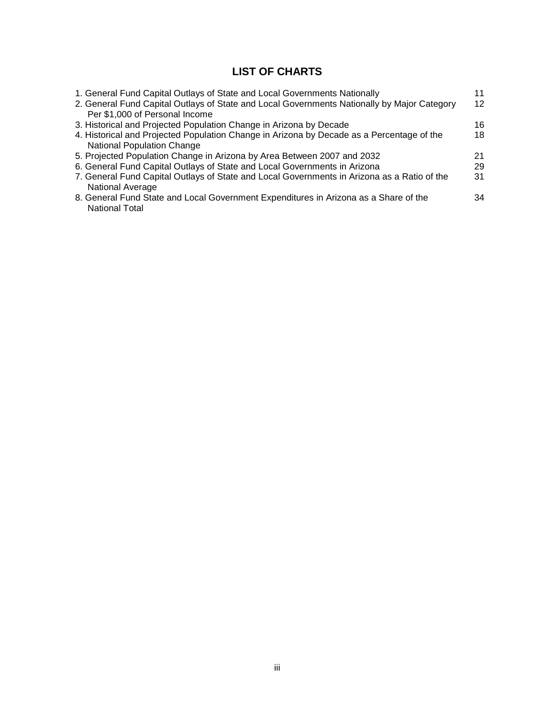# **LIST OF CHARTS**

| 1. General Fund Capital Outlays of State and Local Governments Nationally                   | 11 |
|---------------------------------------------------------------------------------------------|----|
| 2. General Fund Capital Outlays of State and Local Governments Nationally by Major Category | 12 |
| Per \$1,000 of Personal Income                                                              |    |
| 3. Historical and Projected Population Change in Arizona by Decade                          | 16 |
| 4. Historical and Projected Population Change in Arizona by Decade as a Percentage of the   | 18 |
| <b>National Population Change</b>                                                           |    |
| 5. Projected Population Change in Arizona by Area Between 2007 and 2032                     | 21 |
| 6. General Fund Capital Outlays of State and Local Governments in Arizona                   | 29 |
| 7. General Fund Capital Outlays of State and Local Governments in Arizona as a Ratio of the | 31 |
| National Average                                                                            |    |
| 8. General Fund State and Local Government Expenditures in Arizona as a Share of the        | 34 |
| <b>National Total</b>                                                                       |    |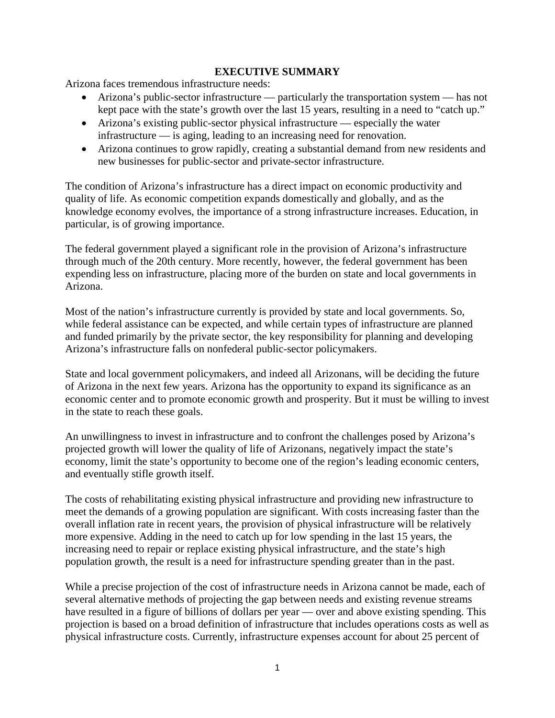### **EXECUTIVE SUMMARY**

Arizona faces tremendous infrastructure needs:

- Arizona's public-sector infrastructure particularly the transportation system has not kept pace with the state's growth over the last 15 years, resulting in a need to "catch up."
- Arizona's existing public-sector physical infrastructure especially the water infrastructure — is aging, leading to an increasing need for renovation.
- Arizona continues to grow rapidly, creating a substantial demand from new residents and new businesses for public-sector and private-sector infrastructure.

The condition of Arizona's infrastructure has a direct impact on economic productivity and quality of life. As economic competition expands domestically and globally, and as the knowledge economy evolves, the importance of a strong infrastructure increases. Education, in particular, is of growing importance.

The federal government played a significant role in the provision of Arizona's infrastructure through much of the 20th century. More recently, however, the federal government has been expending less on infrastructure, placing more of the burden on state and local governments in Arizona.

Most of the nation's infrastructure currently is provided by state and local governments. So, while federal assistance can be expected, and while certain types of infrastructure are planned and funded primarily by the private sector, the key responsibility for planning and developing Arizona's infrastructure falls on nonfederal public-sector policymakers.

State and local government policymakers, and indeed all Arizonans, will be deciding the future of Arizona in the next few years. Arizona has the opportunity to expand its significance as an economic center and to promote economic growth and prosperity. But it must be willing to invest in the state to reach these goals.

An unwillingness to invest in infrastructure and to confront the challenges posed by Arizona's projected growth will lower the quality of life of Arizonans, negatively impact the state's economy, limit the state's opportunity to become one of the region's leading economic centers, and eventually stifle growth itself.

The costs of rehabilitating existing physical infrastructure and providing new infrastructure to meet the demands of a growing population are significant. With costs increasing faster than the overall inflation rate in recent years, the provision of physical infrastructure will be relatively more expensive. Adding in the need to catch up for low spending in the last 15 years, the increasing need to repair or replace existing physical infrastructure, and the state's high population growth, the result is a need for infrastructure spending greater than in the past.

While a precise projection of the cost of infrastructure needs in Arizona cannot be made, each of several alternative methods of projecting the gap between needs and existing revenue streams have resulted in a figure of billions of dollars per year — over and above existing spending. This projection is based on a broad definition of infrastructure that includes operations costs as well as physical infrastructure costs. Currently, infrastructure expenses account for about 25 percent of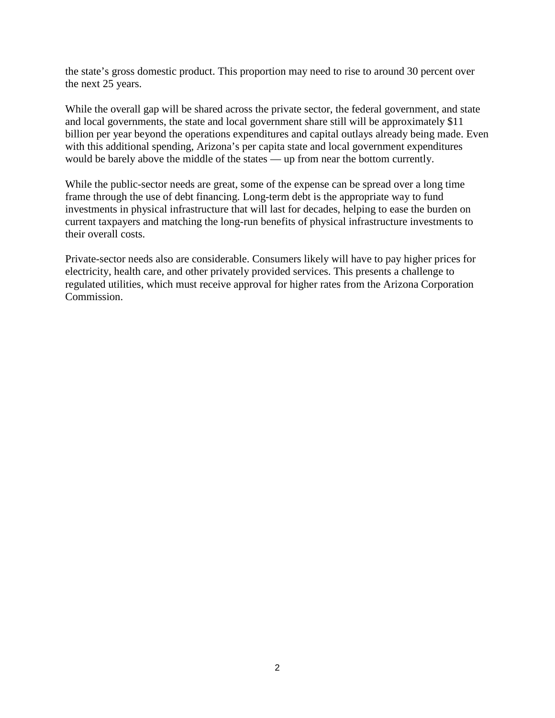the state's gross domestic product. This proportion may need to rise to around 30 percent over the next 25 years.

While the overall gap will be shared across the private sector, the federal government, and state and local governments, the state and local government share still will be approximately \$11 billion per year beyond the operations expenditures and capital outlays already being made. Even with this additional spending, Arizona's per capita state and local government expenditures would be barely above the middle of the states — up from near the bottom currently.

While the public-sector needs are great, some of the expense can be spread over a long time frame through the use of debt financing. Long-term debt is the appropriate way to fund investments in physical infrastructure that will last for decades, helping to ease the burden on current taxpayers and matching the long-run benefits of physical infrastructure investments to their overall costs.

Private-sector needs also are considerable. Consumers likely will have to pay higher prices for electricity, health care, and other privately provided services. This presents a challenge to regulated utilities, which must receive approval for higher rates from the Arizona Corporation Commission.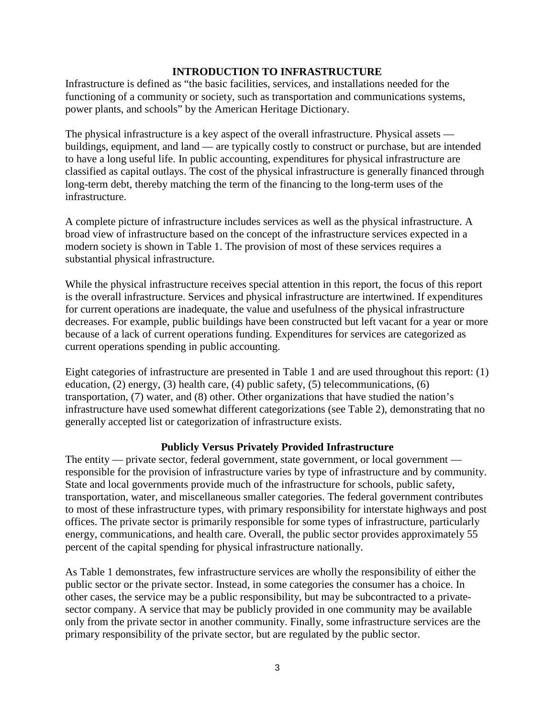#### **INTRODUCTION TO INFRASTRUCTURE**

Infrastructure is defined as "the basic facilities, services, and installations needed for the functioning of a community or society, such as transportation and communications systems, power plants, and schools" by the American Heritage Dictionary.

The physical infrastructure is a key aspect of the overall infrastructure. Physical assets buildings, equipment, and land — are typically costly to construct or purchase, but are intended to have a long useful life. In public accounting, expenditures for physical infrastructure are classified as capital outlays. The cost of the physical infrastructure is generally financed through long-term debt, thereby matching the term of the financing to the long-term uses of the infrastructure.

A complete picture of infrastructure includes services as well as the physical infrastructure. A broad view of infrastructure based on the concept of the infrastructure services expected in a modern society is shown in Table 1. The provision of most of these services requires a substantial physical infrastructure.

While the physical infrastructure receives special attention in this report, the focus of this report is the overall infrastructure. Services and physical infrastructure are intertwined. If expenditures for current operations are inadequate, the value and usefulness of the physical infrastructure decreases. For example, public buildings have been constructed but left vacant for a year or more because of a lack of current operations funding. Expenditures for services are categorized as current operations spending in public accounting.

Eight categories of infrastructure are presented in Table 1 and are used throughout this report: (1) education, (2) energy, (3) health care, (4) public safety, (5) telecommunications, (6) transportation, (7) water, and (8) other. Other organizations that have studied the nation's infrastructure have used somewhat different categorizations (see Table 2), demonstrating that no generally accepted list or categorization of infrastructure exists.

#### **Publicly Versus Privately Provided Infrastructure**

The entity — private sector, federal government, state government, or local government responsible for the provision of infrastructure varies by type of infrastructure and by community. State and local governments provide much of the infrastructure for schools, public safety, transportation, water, and miscellaneous smaller categories. The federal government contributes to most of these infrastructure types, with primary responsibility for interstate highways and post offices. The private sector is primarily responsible for some types of infrastructure, particularly energy, communications, and health care. Overall, the public sector provides approximately 55 percent of the capital spending for physical infrastructure nationally.

As Table 1 demonstrates, few infrastructure services are wholly the responsibility of either the public sector or the private sector. Instead, in some categories the consumer has a choice. In other cases, the service may be a public responsibility, but may be subcontracted to a privatesector company. A service that may be publicly provided in one community may be available only from the private sector in another community. Finally, some infrastructure services are the primary responsibility of the private sector, but are regulated by the public sector.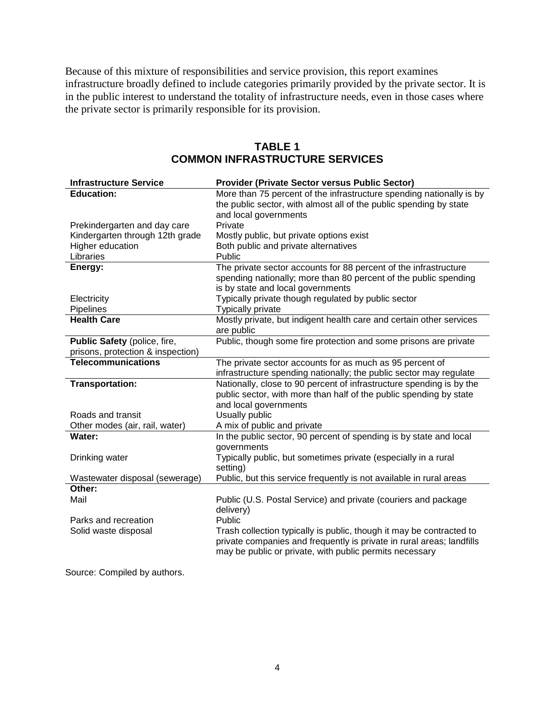Because of this mixture of responsibilities and service provision, this report examines infrastructure broadly defined to include categories primarily provided by the private sector. It is in the public interest to understand the totality of infrastructure needs, even in those cases where the private sector is primarily responsible for its provision.

| <b>Infrastructure Service</b>            | Provider (Private Sector versus Public Sector)                                                                                                                                                           |
|------------------------------------------|----------------------------------------------------------------------------------------------------------------------------------------------------------------------------------------------------------|
| <b>Education:</b>                        | More than 75 percent of the infrastructure spending nationally is by                                                                                                                                     |
|                                          | the public sector, with almost all of the public spending by state                                                                                                                                       |
| Prekindergarten and day care             | and local governments<br>Private                                                                                                                                                                         |
| Kindergarten through 12th grade          | Mostly public, but private options exist                                                                                                                                                                 |
| Higher education                         | Both public and private alternatives                                                                                                                                                                     |
| Libraries                                | Public                                                                                                                                                                                                   |
| Energy:                                  | The private sector accounts for 88 percent of the infrastructure                                                                                                                                         |
|                                          | spending nationally; more than 80 percent of the public spending                                                                                                                                         |
|                                          | is by state and local governments                                                                                                                                                                        |
| Electricity                              | Typically private though regulated by public sector                                                                                                                                                      |
| Pipelines<br><b>Health Care</b>          | <b>Typically private</b><br>Mostly private, but indigent health care and certain other services                                                                                                          |
|                                          | are public                                                                                                                                                                                               |
| Public Safety (police, fire,             | Public, though some fire protection and some prisons are private                                                                                                                                         |
| prisons, protection & inspection)        |                                                                                                                                                                                                          |
| <b>Telecommunications</b>                | The private sector accounts for as much as 95 percent of                                                                                                                                                 |
|                                          | infrastructure spending nationally; the public sector may regulate                                                                                                                                       |
| <b>Transportation:</b>                   | Nationally, close to 90 percent of infrastructure spending is by the<br>public sector, with more than half of the public spending by state                                                               |
|                                          | and local governments                                                                                                                                                                                    |
| Roads and transit                        | Usually public                                                                                                                                                                                           |
| Other modes (air, rail, water)<br>Water: | A mix of public and private                                                                                                                                                                              |
|                                          | In the public sector, 90 percent of spending is by state and local<br>governments                                                                                                                        |
| Drinking water                           | Typically public, but sometimes private (especially in a rural                                                                                                                                           |
|                                          | setting)                                                                                                                                                                                                 |
| Wastewater disposal (sewerage)           | Public, but this service frequently is not available in rural areas                                                                                                                                      |
| Other:                                   |                                                                                                                                                                                                          |
| Mail                                     | Public (U.S. Postal Service) and private (couriers and package<br>delivery)                                                                                                                              |
| Parks and recreation                     | Public                                                                                                                                                                                                   |
| Solid waste disposal                     | Trash collection typically is public, though it may be contracted to<br>private companies and frequently is private in rural areas; landfills<br>may be public or private, with public permits necessary |

# **TABLE 1 COMMON INFRASTRUCTURE SERVICES**

Source: Compiled by authors.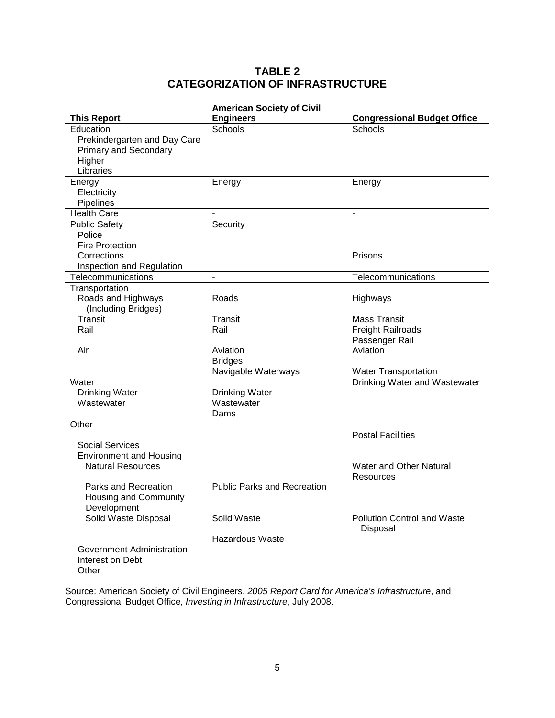# **TABLE 2 CATEGORIZATION OF INFRASTRUCTURE**

|                                                            | <b>American Society of Civil</b>   |                                    |
|------------------------------------------------------------|------------------------------------|------------------------------------|
| <b>This Report</b>                                         | <b>Engineers</b>                   | <b>Congressional Budget Office</b> |
| Education                                                  | Schools                            | Schools                            |
| Prekindergarten and Day Care                               |                                    |                                    |
| <b>Primary and Secondary</b>                               |                                    |                                    |
| Higher                                                     |                                    |                                    |
| Libraries                                                  |                                    |                                    |
| Energy                                                     | Energy                             | Energy                             |
| Electricity                                                |                                    |                                    |
| Pipelines                                                  |                                    |                                    |
| <b>Health Care</b>                                         |                                    | $\blacksquare$                     |
| <b>Public Safety</b>                                       | Security                           |                                    |
| Police                                                     |                                    |                                    |
| <b>Fire Protection</b>                                     |                                    |                                    |
| Corrections                                                |                                    | Prisons                            |
| Inspection and Regulation                                  |                                    |                                    |
| Telecommunications                                         | $\blacksquare$                     | Telecommunications                 |
| Transportation                                             |                                    |                                    |
| Roads and Highways                                         | Roads                              | Highways                           |
| (Including Bridges)                                        |                                    |                                    |
| Transit                                                    | Transit                            | <b>Mass Transit</b>                |
| Rail                                                       | Rail                               | <b>Freight Railroads</b>           |
|                                                            |                                    | Passenger Rail                     |
| Air                                                        | Aviation                           | Aviation                           |
|                                                            | <b>Bridges</b>                     |                                    |
|                                                            | Navigable Waterways                | <b>Water Transportation</b>        |
| Water                                                      |                                    | Drinking Water and Wastewater      |
| <b>Drinking Water</b>                                      | <b>Drinking Water</b>              |                                    |
| Wastewater                                                 | Wastewater                         |                                    |
|                                                            | Dams                               |                                    |
| Other                                                      |                                    |                                    |
| <b>Social Services</b>                                     |                                    | <b>Postal Facilities</b>           |
|                                                            |                                    |                                    |
| <b>Environment and Housing</b><br><b>Natural Resources</b> |                                    | Water and Other Natural            |
|                                                            |                                    | Resources                          |
| Parks and Recreation                                       | <b>Public Parks and Recreation</b> |                                    |
| <b>Housing and Community</b>                               |                                    |                                    |
| Development                                                |                                    |                                    |
| Solid Waste Disposal                                       | Solid Waste                        | <b>Pollution Control and Waste</b> |
|                                                            |                                    | Disposal                           |
|                                                            | Hazardous Waste                    |                                    |
| Government Administration                                  |                                    |                                    |
| Interest on Debt                                           |                                    |                                    |
| Other                                                      |                                    |                                    |
|                                                            |                                    |                                    |

Source: American Society of Civil Engineers, *2005 Report Card for America's Infrastructure*, and Congressional Budget Office, *Investing in Infrastructure*, July 2008.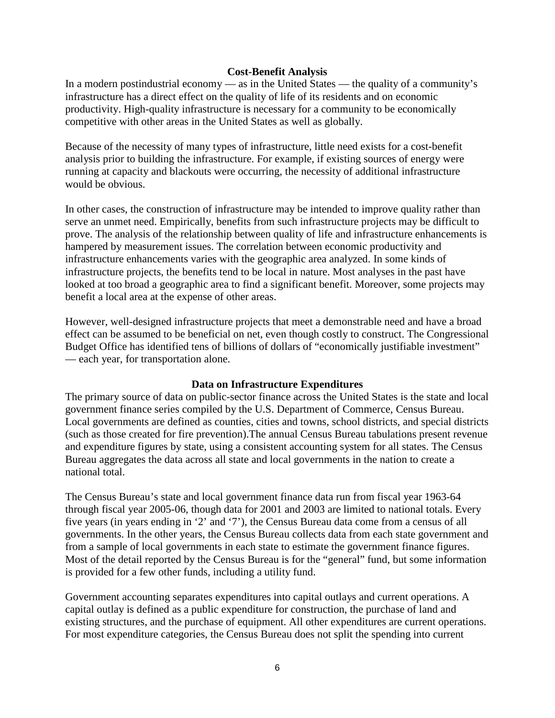#### **Cost-Benefit Analysis**

In a modern postindustrial economy — as in the United States — the quality of a community's infrastructure has a direct effect on the quality of life of its residents and on economic productivity. High-quality infrastructure is necessary for a community to be economically competitive with other areas in the United States as well as globally.

Because of the necessity of many types of infrastructure, little need exists for a cost-benefit analysis prior to building the infrastructure. For example, if existing sources of energy were running at capacity and blackouts were occurring, the necessity of additional infrastructure would be obvious.

In other cases, the construction of infrastructure may be intended to improve quality rather than serve an unmet need. Empirically, benefits from such infrastructure projects may be difficult to prove. The analysis of the relationship between quality of life and infrastructure enhancements is hampered by measurement issues. The correlation between economic productivity and infrastructure enhancements varies with the geographic area analyzed. In some kinds of infrastructure projects, the benefits tend to be local in nature. Most analyses in the past have looked at too broad a geographic area to find a significant benefit. Moreover, some projects may benefit a local area at the expense of other areas.

However, well-designed infrastructure projects that meet a demonstrable need and have a broad effect can be assumed to be beneficial on net, even though costly to construct. The Congressional Budget Office has identified tens of billions of dollars of "economically justifiable investment" — each year, for transportation alone.

#### **Data on Infrastructure Expenditures**

The primary source of data on public-sector finance across the United States is the state and local government finance series compiled by the U.S. Department of Commerce, Census Bureau. Local governments are defined as counties, cities and towns, school districts, and special districts (such as those created for fire prevention).The annual Census Bureau tabulations present revenue and expenditure figures by state, using a consistent accounting system for all states. The Census Bureau aggregates the data across all state and local governments in the nation to create a national total.

The Census Bureau's state and local government finance data run from fiscal year 1963-64 through fiscal year 2005-06, though data for 2001 and 2003 are limited to national totals. Every five years (in years ending in '2' and '7'), the Census Bureau data come from a census of all governments. In the other years, the Census Bureau collects data from each state government and from a sample of local governments in each state to estimate the government finance figures. Most of the detail reported by the Census Bureau is for the "general" fund, but some information is provided for a few other funds, including a utility fund.

Government accounting separates expenditures into capital outlays and current operations. A capital outlay is defined as a public expenditure for construction, the purchase of land and existing structures, and the purchase of equipment. All other expenditures are current operations. For most expenditure categories, the Census Bureau does not split the spending into current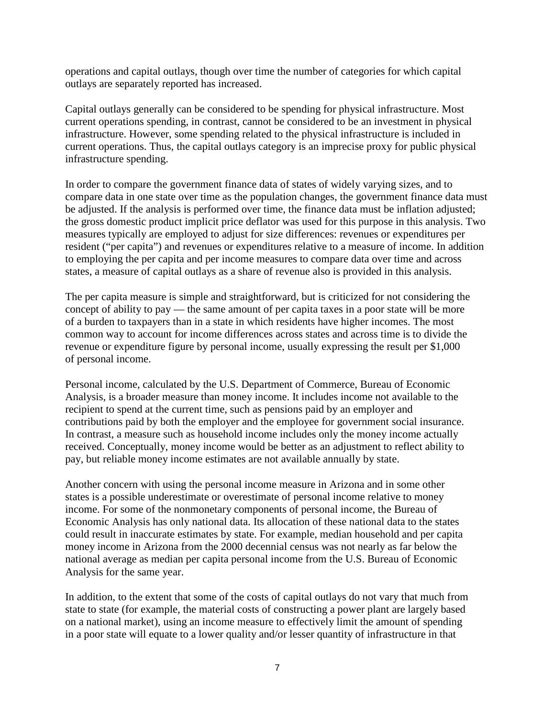operations and capital outlays, though over time the number of categories for which capital outlays are separately reported has increased.

Capital outlays generally can be considered to be spending for physical infrastructure. Most current operations spending, in contrast, cannot be considered to be an investment in physical infrastructure. However, some spending related to the physical infrastructure is included in current operations. Thus, the capital outlays category is an imprecise proxy for public physical infrastructure spending.

In order to compare the government finance data of states of widely varying sizes, and to compare data in one state over time as the population changes, the government finance data must be adjusted. If the analysis is performed over time, the finance data must be inflation adjusted; the gross domestic product implicit price deflator was used for this purpose in this analysis. Two measures typically are employed to adjust for size differences: revenues or expenditures per resident ("per capita") and revenues or expenditures relative to a measure of income. In addition to employing the per capita and per income measures to compare data over time and across states, a measure of capital outlays as a share of revenue also is provided in this analysis.

The per capita measure is simple and straightforward, but is criticized for not considering the concept of ability to pay — the same amount of per capita taxes in a poor state will be more of a burden to taxpayers than in a state in which residents have higher incomes. The most common way to account for income differences across states and across time is to divide the revenue or expenditure figure by personal income, usually expressing the result per \$1,000 of personal income.

Personal income, calculated by the U.S. Department of Commerce, Bureau of Economic Analysis, is a broader measure than money income. It includes income not available to the recipient to spend at the current time, such as pensions paid by an employer and contributions paid by both the employer and the employee for government social insurance. In contrast, a measure such as household income includes only the money income actually received. Conceptually, money income would be better as an adjustment to reflect ability to pay, but reliable money income estimates are not available annually by state.

Another concern with using the personal income measure in Arizona and in some other states is a possible underestimate or overestimate of personal income relative to money income. For some of the nonmonetary components of personal income, the Bureau of Economic Analysis has only national data. Its allocation of these national data to the states could result in inaccurate estimates by state. For example, median household and per capita money income in Arizona from the 2000 decennial census was not nearly as far below the national average as median per capita personal income from the U.S. Bureau of Economic Analysis for the same year.

In addition, to the extent that some of the costs of capital outlays do not vary that much from state to state (for example, the material costs of constructing a power plant are largely based on a national market), using an income measure to effectively limit the amount of spending in a poor state will equate to a lower quality and/or lesser quantity of infrastructure in that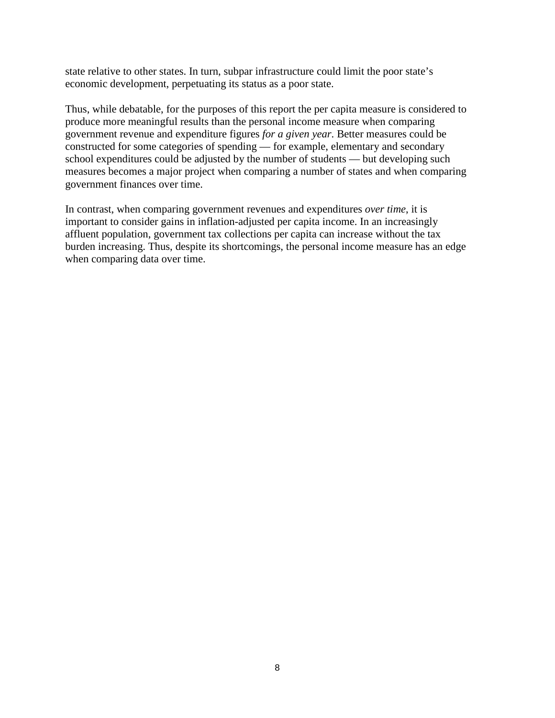state relative to other states. In turn, subpar infrastructure could limit the poor state's economic development, perpetuating its status as a poor state.

Thus, while debatable, for the purposes of this report the per capita measure is considered to produce more meaningful results than the personal income measure when comparing government revenue and expenditure figures *for a given year*. Better measures could be constructed for some categories of spending — for example, elementary and secondary school expenditures could be adjusted by the number of students — but developing such measures becomes a major project when comparing a number of states and when comparing government finances over time.

In contrast, when comparing government revenues and expenditures *over time*, it is important to consider gains in inflation-adjusted per capita income. In an increasingly affluent population, government tax collections per capita can increase without the tax burden increasing. Thus, despite its shortcomings, the personal income measure has an edge when comparing data over time.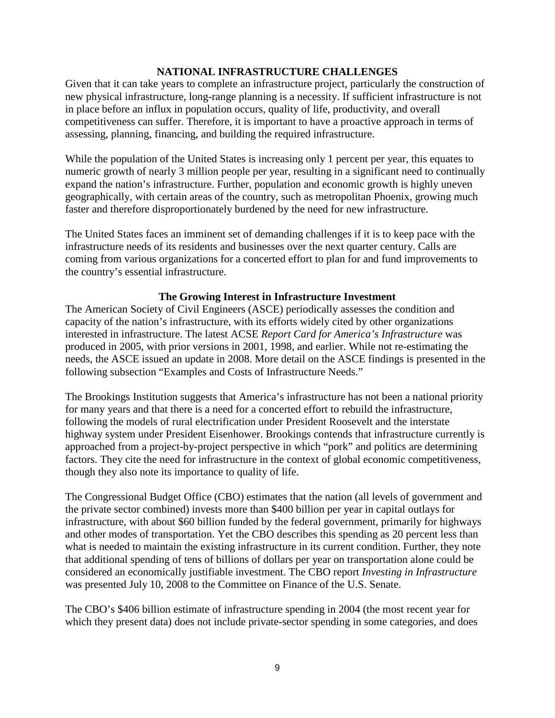#### **NATIONAL INFRASTRUCTURE CHALLENGES**

Given that it can take years to complete an infrastructure project, particularly the construction of new physical infrastructure, long-range planning is a necessity. If sufficient infrastructure is not in place before an influx in population occurs, quality of life, productivity, and overall competitiveness can suffer. Therefore, it is important to have a proactive approach in terms of assessing, planning, financing, and building the required infrastructure.

While the population of the United States is increasing only 1 percent per year, this equates to numeric growth of nearly 3 million people per year, resulting in a significant need to continually expand the nation's infrastructure. Further, population and economic growth is highly uneven geographically, with certain areas of the country, such as metropolitan Phoenix, growing much faster and therefore disproportionately burdened by the need for new infrastructure.

The United States faces an imminent set of demanding challenges if it is to keep pace with the infrastructure needs of its residents and businesses over the next quarter century. Calls are coming from various organizations for a concerted effort to plan for and fund improvements to the country's essential infrastructure.

#### **The Growing Interest in Infrastructure Investment**

The American Society of Civil Engineers (ASCE) periodically assesses the condition and capacity of the nation's infrastructure, with its efforts widely cited by other organizations interested in infrastructure. The latest ACSE *Report Card for America's Infrastructure* was produced in 2005, with prior versions in 2001, 1998, and earlier. While not re-estimating the needs, the ASCE issued an update in 2008. More detail on the ASCE findings is presented in the following subsection "Examples and Costs of Infrastructure Needs."

The Brookings Institution suggests that America's infrastructure has not been a national priority for many years and that there is a need for a concerted effort to rebuild the infrastructure, following the models of rural electrification under President Roosevelt and the interstate highway system under President Eisenhower. Brookings contends that infrastructure currently is approached from a project-by-project perspective in which "pork" and politics are determining factors. They cite the need for infrastructure in the context of global economic competitiveness, though they also note its importance to quality of life.

The Congressional Budget Office (CBO) estimates that the nation (all levels of government and the private sector combined) invests more than \$400 billion per year in capital outlays for infrastructure, with about \$60 billion funded by the federal government, primarily for highways and other modes of transportation. Yet the CBO describes this spending as 20 percent less than what is needed to maintain the existing infrastructure in its current condition. Further, they note that additional spending of tens of billions of dollars per year on transportation alone could be considered an economically justifiable investment. The CBO report *Investing in Infrastructure* was presented July 10, 2008 to the Committee on Finance of the U.S. Senate.

The CBO's \$406 billion estimate of infrastructure spending in 2004 (the most recent year for which they present data) does not include private-sector spending in some categories, and does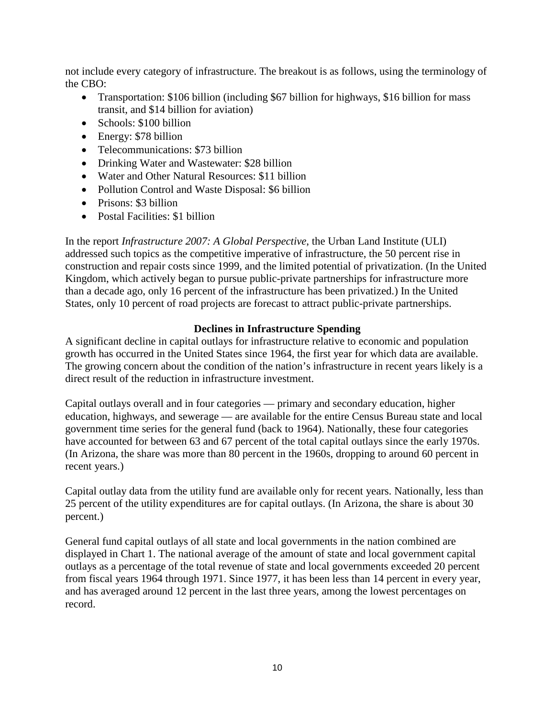not include every category of infrastructure. The breakout is as follows, using the terminology of the CBO:

- Transportation: \$106 billion (including \$67 billion for highways, \$16 billion for mass transit, and \$14 billion for aviation)
- Schools: \$100 billion
- Energy: \$78 billion
- Telecommunications: \$73 billion
- Drinking Water and Wastewater: \$28 billion
- Water and Other Natural Resources: \$11 billion
- Pollution Control and Waste Disposal: \$6 billion
- Prisons: \$3 billion
- Postal Facilities: \$1 billion

In the report *Infrastructure 2007: A Global Perspective*, the Urban Land Institute (ULI) addressed such topics as the competitive imperative of infrastructure, the 50 percent rise in construction and repair costs since 1999, and the limited potential of privatization. (In the United Kingdom, which actively began to pursue public-private partnerships for infrastructure more than a decade ago, only 16 percent of the infrastructure has been privatized.) In the United States, only 10 percent of road projects are forecast to attract public-private partnerships.

# **Declines in Infrastructure Spending**

A significant decline in capital outlays for infrastructure relative to economic and population growth has occurred in the United States since 1964, the first year for which data are available. The growing concern about the condition of the nation's infrastructure in recent years likely is a direct result of the reduction in infrastructure investment.

Capital outlays overall and in four categories — primary and secondary education, higher education, highways, and sewerage — are available for the entire Census Bureau state and local government time series for the general fund (back to 1964). Nationally, these four categories have accounted for between 63 and 67 percent of the total capital outlays since the early 1970s. (In Arizona, the share was more than 80 percent in the 1960s, dropping to around 60 percent in recent years.)

Capital outlay data from the utility fund are available only for recent years. Nationally, less than 25 percent of the utility expenditures are for capital outlays. (In Arizona, the share is about 30 percent.)

General fund capital outlays of all state and local governments in the nation combined are displayed in Chart 1. The national average of the amount of state and local government capital outlays as a percentage of the total revenue of state and local governments exceeded 20 percent from fiscal years 1964 through 1971. Since 1977, it has been less than 14 percent in every year, and has averaged around 12 percent in the last three years, among the lowest percentages on record.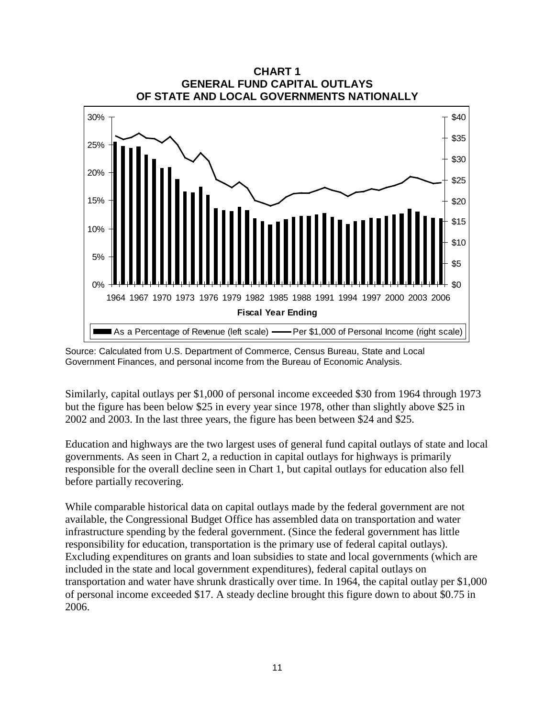

Source: Calculated from U.S. Department of Commerce, Census Bureau, State and Local Government Finances, and personal income from the Bureau of Economic Analysis.

Similarly, capital outlays per \$1,000 of personal income exceeded \$30 from 1964 through 1973 but the figure has been below \$25 in every year since 1978, other than slightly above \$25 in 2002 and 2003. In the last three years, the figure has been between \$24 and \$25.

Education and highways are the two largest uses of general fund capital outlays of state and local governments. As seen in Chart 2, a reduction in capital outlays for highways is primarily responsible for the overall decline seen in Chart 1, but capital outlays for education also fell before partially recovering.

While comparable historical data on capital outlays made by the federal government are not available, the Congressional Budget Office has assembled data on transportation and water infrastructure spending by the federal government. (Since the federal government has little responsibility for education, transportation is the primary use of federal capital outlays). Excluding expenditures on grants and loan subsidies to state and local governments (which are included in the state and local government expenditures), federal capital outlays on transportation and water have shrunk drastically over time. In 1964, the capital outlay per \$1,000 of personal income exceeded \$17. A steady decline brought this figure down to about \$0.75 in 2006.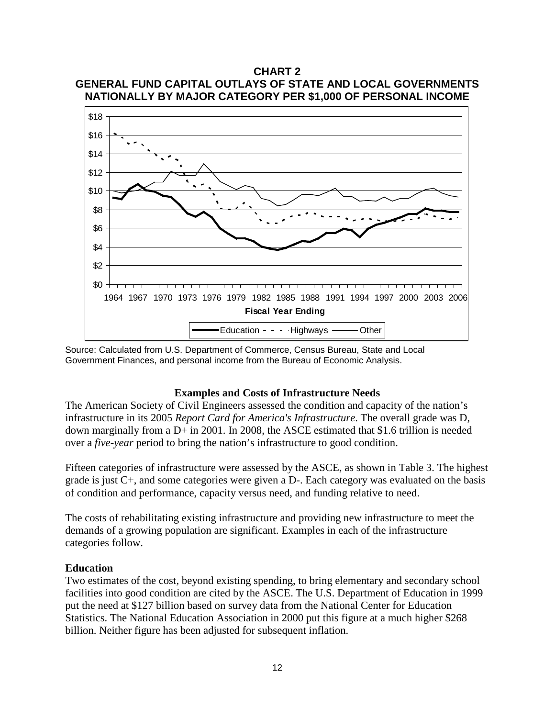# **CHART 2 GENERAL FUND CAPITAL OUTLAYS OF STATE AND LOCAL GOVERNMENTS NATIONALLY BY MAJOR CATEGORY PER \$1,000 OF PERSONAL INCOME**



Source: Calculated from U.S. Department of Commerce, Census Bureau, State and Local Government Finances, and personal income from the Bureau of Economic Analysis.

#### **Examples and Costs of Infrastructure Needs**

The American Society of Civil Engineers assessed the condition and capacity of the nation's infrastructure in its 2005 *Report Card for America's Infrastructure*. The overall grade was D, down marginally from a D+ in 2001. In 2008, the ASCE estimated that \$1.6 trillion is needed over a *five-year* period to bring the nation's infrastructure to good condition.

Fifteen categories of infrastructure were assessed by the ASCE, as shown in Table 3. The highest grade is just C+, and some categories were given a D-. Each category was evaluated on the basis of condition and performance, capacity versus need, and funding relative to need.

The costs of rehabilitating existing infrastructure and providing new infrastructure to meet the demands of a growing population are significant. Examples in each of the infrastructure categories follow.

#### **Education**

Two estimates of the cost, beyond existing spending, to bring elementary and secondary school facilities into good condition are cited by the ASCE. The U.S. Department of Education in 1999 put the need at \$127 billion based on survey data from the National Center for Education Statistics. The National Education Association in 2000 put this figure at a much higher \$268 billion. Neither figure has been adjusted for subsequent inflation.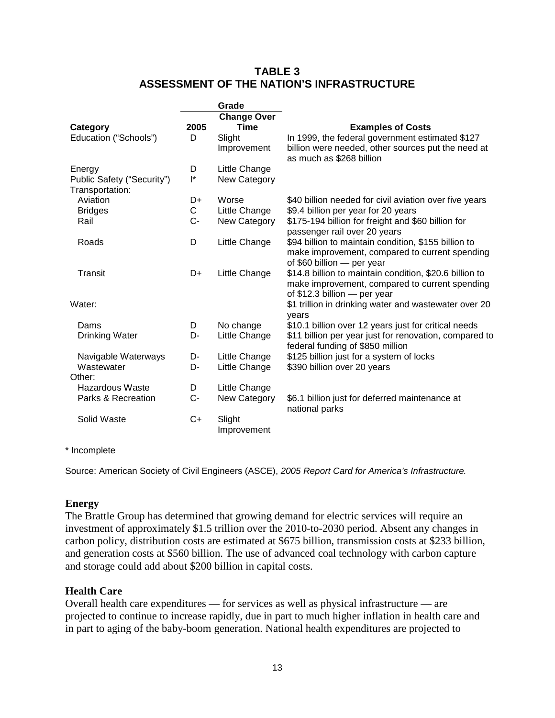# **TABLE 3 ASSESSMENT OF THE NATION'S INFRASTRUCTURE**

|                                                         |                     | Grade                                                      |                                                                                                                                                               |
|---------------------------------------------------------|---------------------|------------------------------------------------------------|---------------------------------------------------------------------------------------------------------------------------------------------------------------|
| Category<br>Education ("Schools")                       | 2005<br>D           | <b>Change Over</b><br><b>Time</b><br>Slight<br>Improvement | <b>Examples of Costs</b><br>In 1999, the federal government estimated \$127<br>billion were needed, other sources put the need at<br>as much as \$268 billion |
| Energy<br>Public Safety ("Security")<br>Transportation: | D<br>$\mathsf{I}^*$ | Little Change<br>New Category                              |                                                                                                                                                               |
| Aviation                                                | D+                  | Worse                                                      | \$40 billion needed for civil aviation over five years                                                                                                        |
| <b>Bridges</b>                                          | C                   | Little Change                                              | \$9.4 billion per year for 20 years                                                                                                                           |
| Rail                                                    | C-                  | New Category                                               | \$175-194 billion for freight and \$60 billion for<br>passenger rail over 20 years                                                                            |
| Roads                                                   | D                   | Little Change                                              | \$94 billion to maintain condition, \$155 billion to<br>make improvement, compared to current spending<br>of $$60$ billion $-$ per year                       |
| Transit                                                 | D+                  | Little Change                                              | \$14.8 billion to maintain condition, \$20.6 billion to<br>make improvement, compared to current spending<br>of $$12.3$ billion $-$ per year                  |
| Water:                                                  |                     |                                                            | \$1 trillion in drinking water and wastewater over 20<br>years                                                                                                |
| Dams                                                    | D                   | No change                                                  | \$10.1 billion over 12 years just for critical needs                                                                                                          |
| Drinking Water                                          | D-                  | Little Change                                              | \$11 billion per year just for renovation, compared to<br>federal funding of \$850 million                                                                    |
| Navigable Waterways                                     | D-                  | Little Change                                              | \$125 billion just for a system of locks                                                                                                                      |
| Wastewater<br>Other:                                    | D-                  | Little Change                                              | \$390 billion over 20 years                                                                                                                                   |
| Hazardous Waste                                         | D                   | Little Change                                              |                                                                                                                                                               |
| Parks & Recreation                                      | $C-$                | <b>New Category</b>                                        | \$6.1 billion just for deferred maintenance at<br>national parks                                                                                              |
| Solid Waste                                             | C+                  | Slight<br>Improvement                                      |                                                                                                                                                               |

#### \* Incomplete

Source: American Society of Civil Engineers (ASCE), *2005 Report Card for America's Infrastructure.*

# **Energy**

The Brattle Group has determined that growing demand for electric services will require an investment of approximately \$1.5 trillion over the 2010-to-2030 period. Absent any changes in carbon policy, distribution costs are estimated at \$675 billion, transmission costs at \$233 billion, and generation costs at \$560 billion. The use of advanced coal technology with carbon capture and storage could add about \$200 billion in capital costs.

# **Health Care**

Overall health care expenditures — for services as well as physical infrastructure — are projected to continue to increase rapidly, due in part to much higher inflation in health care and in part to aging of the baby-boom generation. National health expenditures are projected to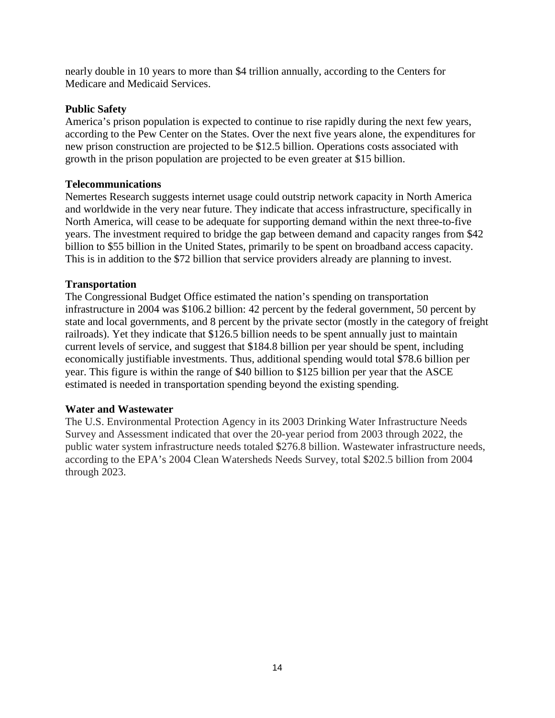nearly double in 10 years to more than \$4 trillion annually, according to the Centers for Medicare and Medicaid Services.

### **Public Safety**

America's prison population is expected to continue to rise rapidly during the next few years, according to the Pew Center on the States. Over the next five years alone, the expenditures for new prison construction are projected to be \$12.5 billion. Operations costs associated with growth in the prison population are projected to be even greater at \$15 billion.

# **Telecommunications**

Nemertes Research suggests internet usage could outstrip network capacity in North America and worldwide in the very near future. They indicate that access infrastructure, specifically in North America, will cease to be adequate for supporting demand within the next three-to-five years. The investment required to bridge the gap between demand and capacity ranges from \$42 billion to \$55 billion in the United States, primarily to be spent on broadband access capacity. This is in addition to the \$72 billion that service providers already are planning to invest.

### **Transportation**

The Congressional Budget Office estimated the nation's spending on transportation infrastructure in 2004 was \$106.2 billion: 42 percent by the federal government, 50 percent by state and local governments, and 8 percent by the private sector (mostly in the category of freight railroads). Yet they indicate that \$126.5 billion needs to be spent annually just to maintain current levels of service, and suggest that \$184.8 billion per year should be spent, including economically justifiable investments. Thus, additional spending would total \$78.6 billion per year. This figure is within the range of \$40 billion to \$125 billion per year that the ASCE estimated is needed in transportation spending beyond the existing spending.

#### **Water and Wastewater**

The U.S. Environmental Protection Agency in its 2003 Drinking Water Infrastructure Needs Survey and Assessment indicated that over the 20-year period from 2003 through 2022, the public water system infrastructure needs totaled \$276.8 billion. Wastewater infrastructure needs, according to the EPA's 2004 Clean Watersheds Needs Survey, total \$202.5 billion from 2004 through 2023.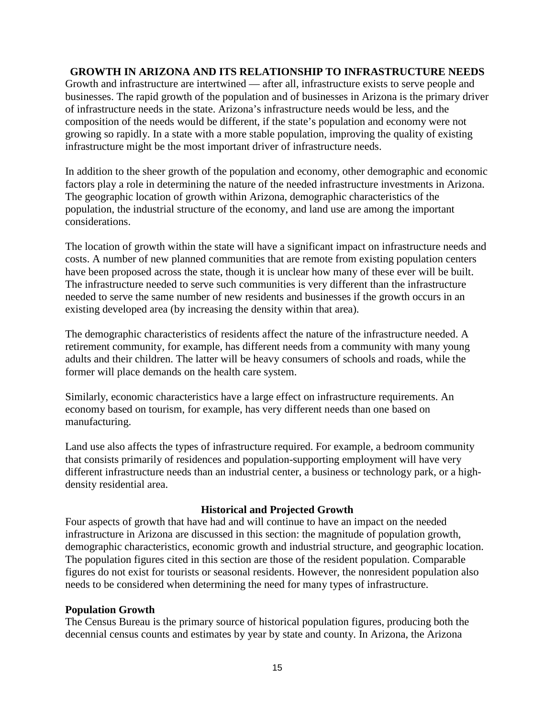#### **GROWTH IN ARIZONA AND ITS RELATIONSHIP TO INFRASTRUCTURE NEEDS**

Growth and infrastructure are intertwined — after all, infrastructure exists to serve people and businesses. The rapid growth of the population and of businesses in Arizona is the primary driver of infrastructure needs in the state. Arizona's infrastructure needs would be less, and the composition of the needs would be different, if the state's population and economy were not growing so rapidly. In a state with a more stable population, improving the quality of existing infrastructure might be the most important driver of infrastructure needs.

In addition to the sheer growth of the population and economy, other demographic and economic factors play a role in determining the nature of the needed infrastructure investments in Arizona. The geographic location of growth within Arizona, demographic characteristics of the population, the industrial structure of the economy, and land use are among the important considerations.

The location of growth within the state will have a significant impact on infrastructure needs and costs. A number of new planned communities that are remote from existing population centers have been proposed across the state, though it is unclear how many of these ever will be built. The infrastructure needed to serve such communities is very different than the infrastructure needed to serve the same number of new residents and businesses if the growth occurs in an existing developed area (by increasing the density within that area).

The demographic characteristics of residents affect the nature of the infrastructure needed. A retirement community, for example, has different needs from a community with many young adults and their children. The latter will be heavy consumers of schools and roads, while the former will place demands on the health care system.

Similarly, economic characteristics have a large effect on infrastructure requirements. An economy based on tourism, for example, has very different needs than one based on manufacturing.

Land use also affects the types of infrastructure required. For example, a bedroom community that consists primarily of residences and population-supporting employment will have very different infrastructure needs than an industrial center, a business or technology park, or a highdensity residential area.

#### **Historical and Projected Growth**

Four aspects of growth that have had and will continue to have an impact on the needed infrastructure in Arizona are discussed in this section: the magnitude of population growth, demographic characteristics, economic growth and industrial structure, and geographic location. The population figures cited in this section are those of the resident population. Comparable figures do not exist for tourists or seasonal residents. However, the nonresident population also needs to be considered when determining the need for many types of infrastructure.

#### **Population Growth**

The Census Bureau is the primary source of historical population figures, producing both the decennial census counts and estimates by year by state and county. In Arizona, the Arizona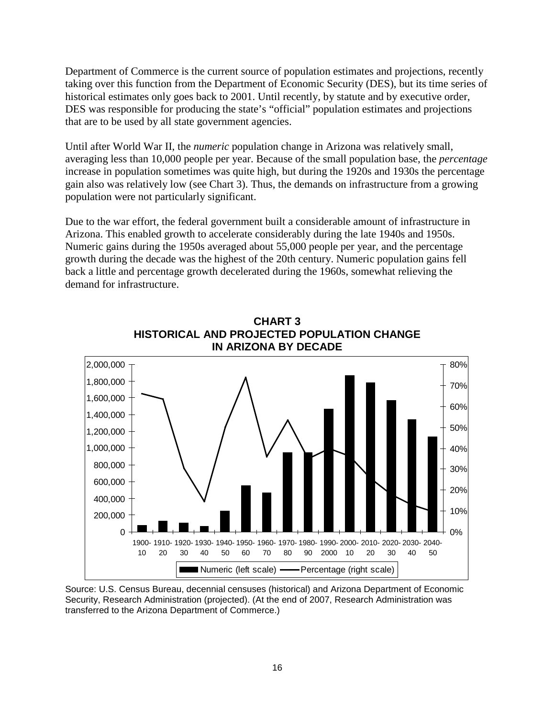Department of Commerce is the current source of population estimates and projections, recently taking over this function from the Department of Economic Security (DES), but its time series of historical estimates only goes back to 2001. Until recently, by statute and by executive order, DES was responsible for producing the state's "official" population estimates and projections that are to be used by all state government agencies.

Until after World War II, the *numeric* population change in Arizona was relatively small, averaging less than 10,000 people per year. Because of the small population base, the *percentage* increase in population sometimes was quite high, but during the 1920s and 1930s the percentage gain also was relatively low (see Chart 3). Thus, the demands on infrastructure from a growing population were not particularly significant.

Due to the war effort, the federal government built a considerable amount of infrastructure in Arizona. This enabled growth to accelerate considerably during the late 1940s and 1950s. Numeric gains during the 1950s averaged about 55,000 people per year, and the percentage growth during the decade was the highest of the 20th century. Numeric population gains fell back a little and percentage growth decelerated during the 1960s, somewhat relieving the demand for infrastructure.



**CHART 3 HISTORICAL AND PROJECTED POPULATION CHANGE IN ARIZONA BY DECADE**

Source: U.S. Census Bureau, decennial censuses (historical) and Arizona Department of Economic Security, Research Administration (projected). (At the end of 2007, Research Administration was transferred to the Arizona Department of Commerce.)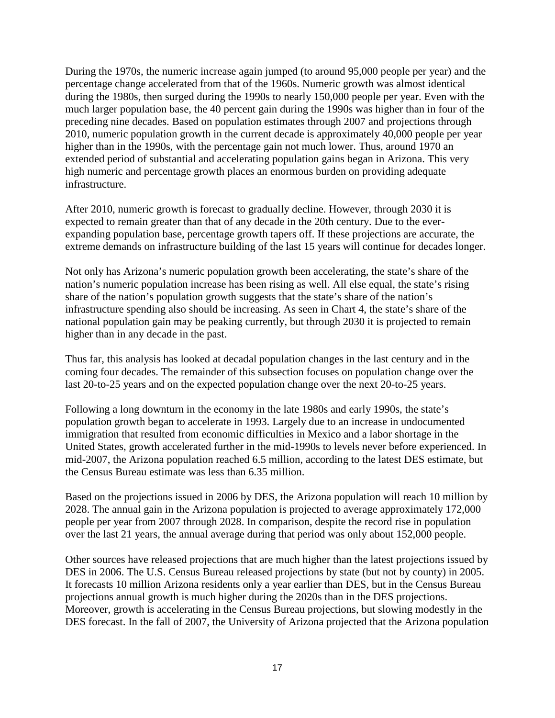During the 1970s, the numeric increase again jumped (to around 95,000 people per year) and the percentage change accelerated from that of the 1960s. Numeric growth was almost identical during the 1980s, then surged during the 1990s to nearly 150,000 people per year. Even with the much larger population base, the 40 percent gain during the 1990s was higher than in four of the preceding nine decades. Based on population estimates through 2007 and projections through 2010, numeric population growth in the current decade is approximately 40,000 people per year higher than in the 1990s, with the percentage gain not much lower. Thus, around 1970 an extended period of substantial and accelerating population gains began in Arizona. This very high numeric and percentage growth places an enormous burden on providing adequate infrastructure.

After 2010, numeric growth is forecast to gradually decline. However, through 2030 it is expected to remain greater than that of any decade in the 20th century. Due to the everexpanding population base, percentage growth tapers off. If these projections are accurate, the extreme demands on infrastructure building of the last 15 years will continue for decades longer.

Not only has Arizona's numeric population growth been accelerating, the state's share of the nation's numeric population increase has been rising as well. All else equal, the state's rising share of the nation's population growth suggests that the state's share of the nation's infrastructure spending also should be increasing. As seen in Chart 4, the state's share of the national population gain may be peaking currently, but through 2030 it is projected to remain higher than in any decade in the past.

Thus far, this analysis has looked at decadal population changes in the last century and in the coming four decades. The remainder of this subsection focuses on population change over the last 20-to-25 years and on the expected population change over the next 20-to-25 years.

Following a long downturn in the economy in the late 1980s and early 1990s, the state's population growth began to accelerate in 1993. Largely due to an increase in undocumented immigration that resulted from economic difficulties in Mexico and a labor shortage in the United States, growth accelerated further in the mid-1990s to levels never before experienced. In mid-2007, the Arizona population reached 6.5 million, according to the latest DES estimate, but the Census Bureau estimate was less than 6.35 million.

Based on the projections issued in 2006 by DES, the Arizona population will reach 10 million by 2028. The annual gain in the Arizona population is projected to average approximately 172,000 people per year from 2007 through 2028. In comparison, despite the record rise in population over the last 21 years, the annual average during that period was only about 152,000 people.

Other sources have released projections that are much higher than the latest projections issued by DES in 2006. The U.S. Census Bureau released projections by state (but not by county) in 2005. It forecasts 10 million Arizona residents only a year earlier than DES, but in the Census Bureau projections annual growth is much higher during the 2020s than in the DES projections. Moreover, growth is accelerating in the Census Bureau projections, but slowing modestly in the DES forecast. In the fall of 2007, the University of Arizona projected that the Arizona population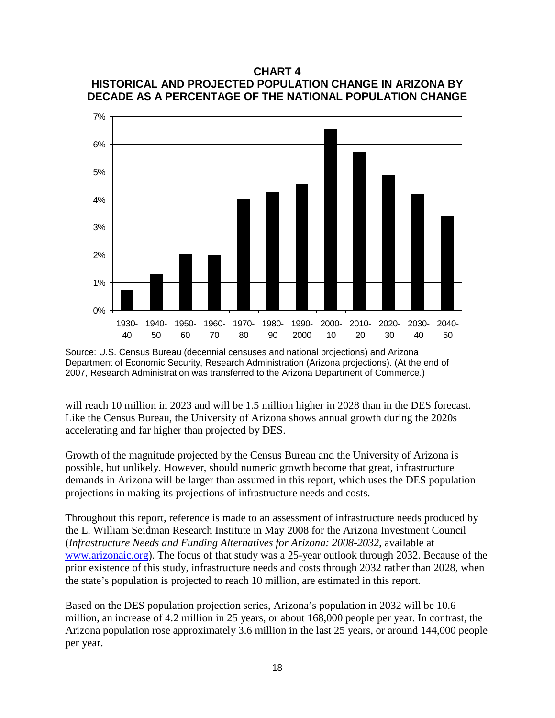

**CHART 4**

will reach 10 million in 2023 and will be 1.5 million higher in 2028 than in the DES forecast. Like the Census Bureau, the University of Arizona shows annual growth during the 2020s accelerating and far higher than projected by DES.

Growth of the magnitude projected by the Census Bureau and the University of Arizona is possible, but unlikely. However, should numeric growth become that great, infrastructure demands in Arizona will be larger than assumed in this report, which uses the DES population projections in making its projections of infrastructure needs and costs.

Throughout this report, reference is made to an assessment of infrastructure needs produced by the L. William Seidman Research Institute in May 2008 for the Arizona Investment Council (*Infrastructure Needs and Funding Alternatives for Arizona: 2008-2032*, available at [www.arizonaic.org\)](http://www.arizonaic.org/). The focus of that study was a 25-year outlook through 2032. Because of the prior existence of this study, infrastructure needs and costs through 2032 rather than 2028, when the state's population is projected to reach 10 million, are estimated in this report.

Based on the DES population projection series, Arizona's population in 2032 will be 10.6 million, an increase of 4.2 million in 25 years, or about 168,000 people per year. In contrast, the Arizona population rose approximately 3.6 million in the last 25 years, or around 144,000 people per year.

Source: U.S. Census Bureau (decennial censuses and national projections) and Arizona Department of Economic Security, Research Administration (Arizona projections). (At the end of 2007, Research Administration was transferred to the Arizona Department of Commerce.)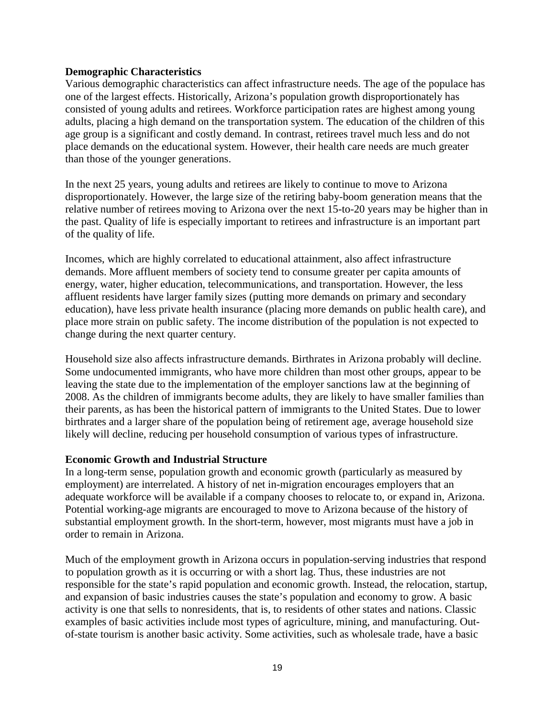#### **Demographic Characteristics**

Various demographic characteristics can affect infrastructure needs. The age of the populace has one of the largest effects. Historically, Arizona's population growth disproportionately has consisted of young adults and retirees. Workforce participation rates are highest among young adults, placing a high demand on the transportation system. The education of the children of this age group is a significant and costly demand. In contrast, retirees travel much less and do not place demands on the educational system. However, their health care needs are much greater than those of the younger generations.

In the next 25 years, young adults and retirees are likely to continue to move to Arizona disproportionately. However, the large size of the retiring baby-boom generation means that the relative number of retirees moving to Arizona over the next 15-to-20 years may be higher than in the past. Quality of life is especially important to retirees and infrastructure is an important part of the quality of life.

Incomes, which are highly correlated to educational attainment, also affect infrastructure demands. More affluent members of society tend to consume greater per capita amounts of energy, water, higher education, telecommunications, and transportation. However, the less affluent residents have larger family sizes (putting more demands on primary and secondary education), have less private health insurance (placing more demands on public health care), and place more strain on public safety. The income distribution of the population is not expected to change during the next quarter century.

Household size also affects infrastructure demands. Birthrates in Arizona probably will decline. Some undocumented immigrants, who have more children than most other groups, appear to be leaving the state due to the implementation of the employer sanctions law at the beginning of 2008. As the children of immigrants become adults, they are likely to have smaller families than their parents, as has been the historical pattern of immigrants to the United States. Due to lower birthrates and a larger share of the population being of retirement age, average household size likely will decline, reducing per household consumption of various types of infrastructure.

#### **Economic Growth and Industrial Structure**

In a long-term sense, population growth and economic growth (particularly as measured by employment) are interrelated. A history of net in-migration encourages employers that an adequate workforce will be available if a company chooses to relocate to, or expand in, Arizona. Potential working-age migrants are encouraged to move to Arizona because of the history of substantial employment growth. In the short-term, however, most migrants must have a job in order to remain in Arizona.

Much of the employment growth in Arizona occurs in population-serving industries that respond to population growth as it is occurring or with a short lag. Thus, these industries are not responsible for the state's rapid population and economic growth. Instead, the relocation, startup, and expansion of basic industries causes the state's population and economy to grow. A basic activity is one that sells to nonresidents, that is, to residents of other states and nations. Classic examples of basic activities include most types of agriculture, mining, and manufacturing. Outof-state tourism is another basic activity. Some activities, such as wholesale trade, have a basic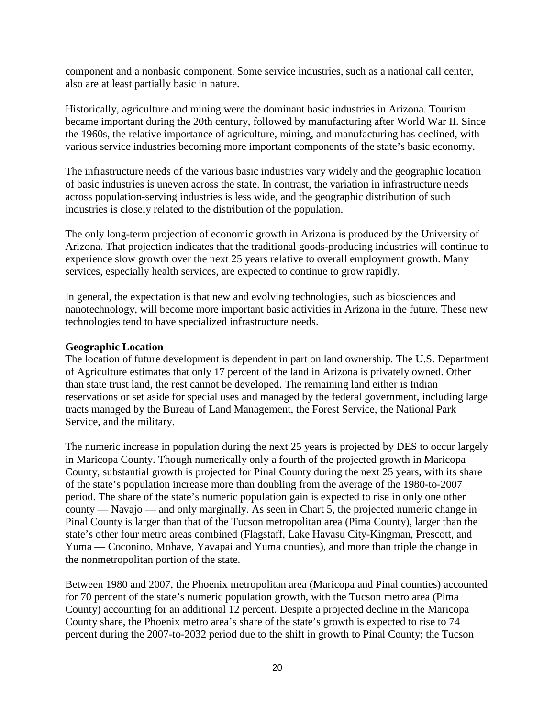component and a nonbasic component. Some service industries, such as a national call center, also are at least partially basic in nature.

Historically, agriculture and mining were the dominant basic industries in Arizona. Tourism became important during the 20th century, followed by manufacturing after World War II. Since the 1960s, the relative importance of agriculture, mining, and manufacturing has declined, with various service industries becoming more important components of the state's basic economy.

The infrastructure needs of the various basic industries vary widely and the geographic location of basic industries is uneven across the state. In contrast, the variation in infrastructure needs across population-serving industries is less wide, and the geographic distribution of such industries is closely related to the distribution of the population.

The only long-term projection of economic growth in Arizona is produced by the University of Arizona. That projection indicates that the traditional goods-producing industries will continue to experience slow growth over the next 25 years relative to overall employment growth. Many services, especially health services, are expected to continue to grow rapidly.

In general, the expectation is that new and evolving technologies, such as biosciences and nanotechnology, will become more important basic activities in Arizona in the future. These new technologies tend to have specialized infrastructure needs.

#### **Geographic Location**

The location of future development is dependent in part on land ownership. The U.S. Department of Agriculture estimates that only 17 percent of the land in Arizona is privately owned. Other than state trust land, the rest cannot be developed. The remaining land either is Indian reservations or set aside for special uses and managed by the federal government, including large tracts managed by the Bureau of Land Management, the Forest Service, the National Park Service, and the military.

The numeric increase in population during the next 25 years is projected by DES to occur largely in Maricopa County. Though numerically only a fourth of the projected growth in Maricopa County, substantial growth is projected for Pinal County during the next 25 years, with its share of the state's population increase more than doubling from the average of the 1980-to-2007 period. The share of the state's numeric population gain is expected to rise in only one other county — Navajo — and only marginally. As seen in Chart 5, the projected numeric change in Pinal County is larger than that of the Tucson metropolitan area (Pima County), larger than the state's other four metro areas combined (Flagstaff, Lake Havasu City-Kingman, Prescott, and Yuma — Coconino, Mohave, Yavapai and Yuma counties), and more than triple the change in the nonmetropolitan portion of the state.

Between 1980 and 2007, the Phoenix metropolitan area (Maricopa and Pinal counties) accounted for 70 percent of the state's numeric population growth, with the Tucson metro area (Pima County) accounting for an additional 12 percent. Despite a projected decline in the Maricopa County share, the Phoenix metro area's share of the state's growth is expected to rise to 74 percent during the 2007-to-2032 period due to the shift in growth to Pinal County; the Tucson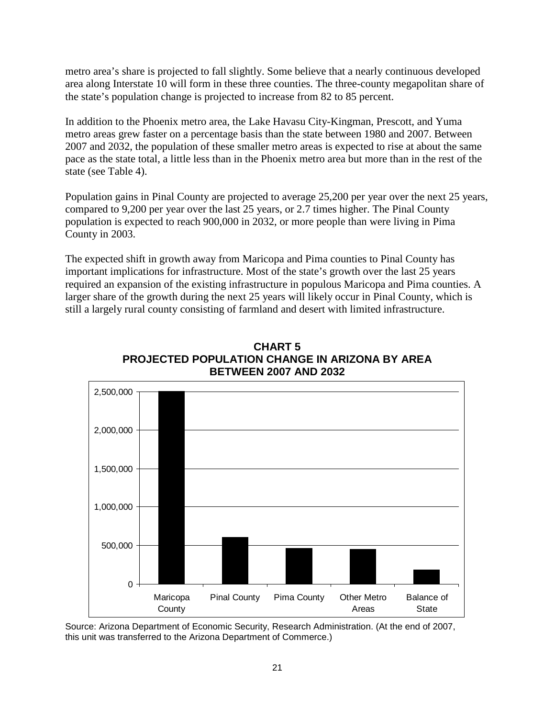metro area's share is projected to fall slightly. Some believe that a nearly continuous developed area along Interstate 10 will form in these three counties. The three-county megapolitan share of the state's population change is projected to increase from 82 to 85 percent.

In addition to the Phoenix metro area, the Lake Havasu City-Kingman, Prescott, and Yuma metro areas grew faster on a percentage basis than the state between 1980 and 2007. Between 2007 and 2032, the population of these smaller metro areas is expected to rise at about the same pace as the state total, a little less than in the Phoenix metro area but more than in the rest of the state (see Table 4).

Population gains in Pinal County are projected to average 25,200 per year over the next 25 years, compared to 9,200 per year over the last 25 years, or 2.7 times higher. The Pinal County population is expected to reach 900,000 in 2032, or more people than were living in Pima County in 2003.

The expected shift in growth away from Maricopa and Pima counties to Pinal County has important implications for infrastructure. Most of the state's growth over the last 25 years required an expansion of the existing infrastructure in populous Maricopa and Pima counties. A larger share of the growth during the next 25 years will likely occur in Pinal County, which is still a largely rural county consisting of farmland and desert with limited infrastructure.



**CHART 5 PROJECTED POPULATION CHANGE IN ARIZONA BY AREA BETWEEN 2007 AND 2032**

Source: Arizona Department of Economic Security, Research Administration. (At the end of 2007, this unit was transferred to the Arizona Department of Commerce.)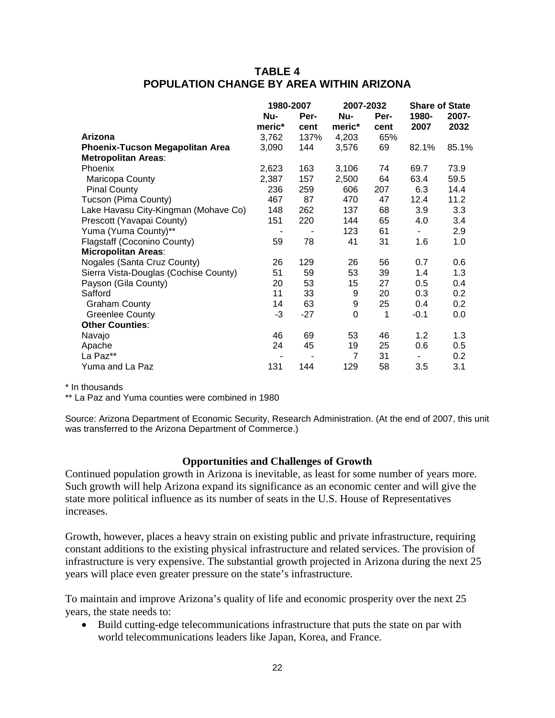# **TABLE 4 POPULATION CHANGE BY AREA WITHIN ARIZONA**

|                                        | 1980-2007 |       | 2007-2032 |      | <b>Share of State</b> |       |
|----------------------------------------|-----------|-------|-----------|------|-----------------------|-------|
|                                        | Nu-       | Per-  | Nu-       | Per- | 1980-                 | 2007- |
|                                        | meric*    | cent  | meric*    | cent | 2007                  | 2032  |
| Arizona                                | 3,762     | 137%  | 4,203     | 65%  |                       |       |
| <b>Phoenix-Tucson Megapolitan Area</b> | 3,090     | 144   | 3,576     | 69   | 82.1%                 | 85.1% |
| <b>Metropolitan Areas:</b>             |           |       |           |      |                       |       |
| Phoenix                                | 2,623     | 163   | 3,106     | 74   | 69.7                  | 73.9  |
| Maricopa County                        | 2,387     | 157   | 2,500     | 64   | 63.4                  | 59.5  |
| <b>Pinal County</b>                    | 236       | 259   | 606       | 207  | 6.3                   | 14.4  |
| Tucson (Pima County)                   | 467       | 87    | 470       | 47   | 12.4                  | 11.2  |
| Lake Havasu City-Kingman (Mohave Co)   | 148       | 262   | 137       | 68   | 3.9                   | 3.3   |
| Prescott (Yavapai County)              | 151       | 220   | 144       | 65   | 4.0                   | 3.4   |
| Yuma (Yuma County)**                   |           | ٠     | 123       | 61   | $\blacksquare$        | 2.9   |
| Flagstaff (Coconino County)            | 59        | 78    | 41        | 31   | 1.6                   | 1.0   |
| <b>Micropolitan Areas:</b>             |           |       |           |      |                       |       |
| Nogales (Santa Cruz County)            | 26        | 129   | 26        | 56   | 0.7                   | 0.6   |
| Sierra Vista-Douglas (Cochise County)  | 51        | 59    | 53        | 39   | 1.4                   | 1.3   |
| Payson (Gila County)                   | 20        | 53    | 15        | 27   | 0.5                   | 0.4   |
| Safford                                | 11        | 33    | 9         | 20   | 0.3                   | 0.2   |
| <b>Graham County</b>                   | 14        | 63    | 9         | 25   | 0.4                   | 0.2   |
| <b>Greenlee County</b>                 | $-3$      | $-27$ | 0         | 1    | $-0.1$                | 0.0   |
| <b>Other Counties:</b>                 |           |       |           |      |                       |       |
| Navajo                                 | 46        | 69    | 53        | 46   | 1.2                   | 1.3   |
| Apache                                 | 24        | 45    | 19        | 25   | 0.6                   | 0.5   |
| La Paz**                               |           |       | 7         | 31   |                       | 0.2   |
| Yuma and La Paz                        | 131       | 144   | 129       | 58   | 3.5                   | 3.1   |

\* In thousands

\*\* La Paz and Yuma counties were combined in 1980

Source: Arizona Department of Economic Security, Research Administration. (At the end of 2007, this unit was transferred to the Arizona Department of Commerce.)

#### **Opportunities and Challenges of Growth**

Continued population growth in Arizona is inevitable, as least for some number of years more. Such growth will help Arizona expand its significance as an economic center and will give the state more political influence as its number of seats in the U.S. House of Representatives increases.

Growth, however, places a heavy strain on existing public and private infrastructure, requiring constant additions to the existing physical infrastructure and related services. The provision of infrastructure is very expensive. The substantial growth projected in Arizona during the next 25 years will place even greater pressure on the state's infrastructure.

To maintain and improve Arizona's quality of life and economic prosperity over the next 25 years, the state needs to:

• Build cutting-edge telecommunications infrastructure that puts the state on par with world telecommunications leaders like Japan, Korea, and France.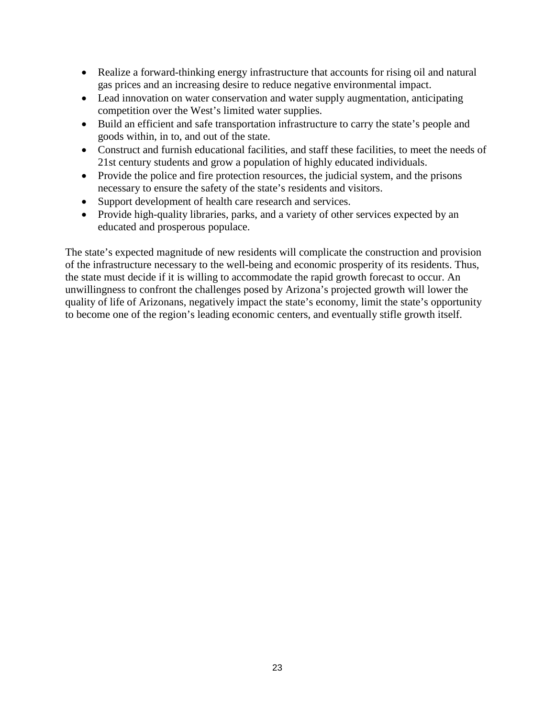- Realize a forward-thinking energy infrastructure that accounts for rising oil and natural gas prices and an increasing desire to reduce negative environmental impact.
- Lead innovation on water conservation and water supply augmentation, anticipating competition over the West's limited water supplies.
- Build an efficient and safe transportation infrastructure to carry the state's people and goods within, in to, and out of the state.
- Construct and furnish educational facilities, and staff these facilities, to meet the needs of 21st century students and grow a population of highly educated individuals.
- Provide the police and fire protection resources, the judicial system, and the prisons necessary to ensure the safety of the state's residents and visitors.
- Support development of health care research and services.
- Provide high-quality libraries, parks, and a variety of other services expected by an educated and prosperous populace.

The state's expected magnitude of new residents will complicate the construction and provision of the infrastructure necessary to the well-being and economic prosperity of its residents. Thus, the state must decide if it is willing to accommodate the rapid growth forecast to occur. An unwillingness to confront the challenges posed by Arizona's projected growth will lower the quality of life of Arizonans, negatively impact the state's economy, limit the state's opportunity to become one of the region's leading economic centers, and eventually stifle growth itself.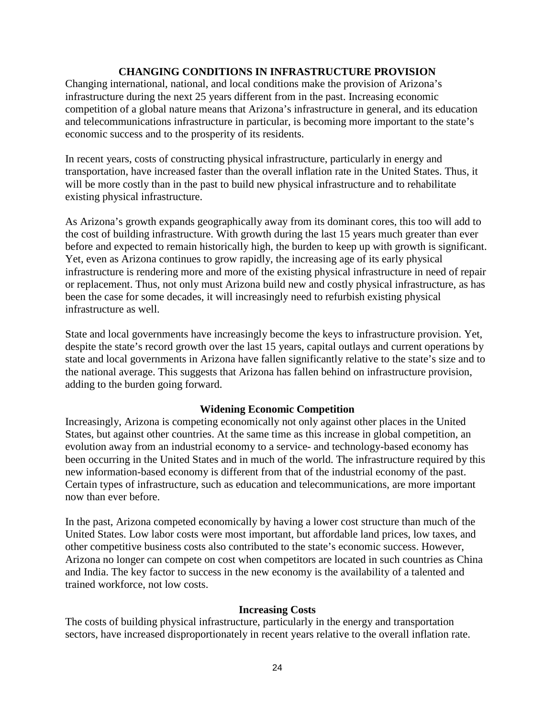#### **CHANGING CONDITIONS IN INFRASTRUCTURE PROVISION**

Changing international, national, and local conditions make the provision of Arizona's infrastructure during the next 25 years different from in the past. Increasing economic competition of a global nature means that Arizona's infrastructure in general, and its education and telecommunications infrastructure in particular, is becoming more important to the state's economic success and to the prosperity of its residents.

In recent years, costs of constructing physical infrastructure, particularly in energy and transportation, have increased faster than the overall inflation rate in the United States. Thus, it will be more costly than in the past to build new physical infrastructure and to rehabilitate existing physical infrastructure.

As Arizona's growth expands geographically away from its dominant cores, this too will add to the cost of building infrastructure. With growth during the last 15 years much greater than ever before and expected to remain historically high, the burden to keep up with growth is significant. Yet, even as Arizona continues to grow rapidly, the increasing age of its early physical infrastructure is rendering more and more of the existing physical infrastructure in need of repair or replacement. Thus, not only must Arizona build new and costly physical infrastructure, as has been the case for some decades, it will increasingly need to refurbish existing physical infrastructure as well.

State and local governments have increasingly become the keys to infrastructure provision. Yet, despite the state's record growth over the last 15 years, capital outlays and current operations by state and local governments in Arizona have fallen significantly relative to the state's size and to the national average. This suggests that Arizona has fallen behind on infrastructure provision, adding to the burden going forward.

#### **Widening Economic Competition**

Increasingly, Arizona is competing economically not only against other places in the United States, but against other countries. At the same time as this increase in global competition, an evolution away from an industrial economy to a service- and technology-based economy has been occurring in the United States and in much of the world. The infrastructure required by this new information-based economy is different from that of the industrial economy of the past. Certain types of infrastructure, such as education and telecommunications, are more important now than ever before.

In the past, Arizona competed economically by having a lower cost structure than much of the United States. Low labor costs were most important, but affordable land prices, low taxes, and other competitive business costs also contributed to the state's economic success. However, Arizona no longer can compete on cost when competitors are located in such countries as China and India. The key factor to success in the new economy is the availability of a talented and trained workforce, not low costs.

#### **Increasing Costs**

The costs of building physical infrastructure, particularly in the energy and transportation sectors, have increased disproportionately in recent years relative to the overall inflation rate.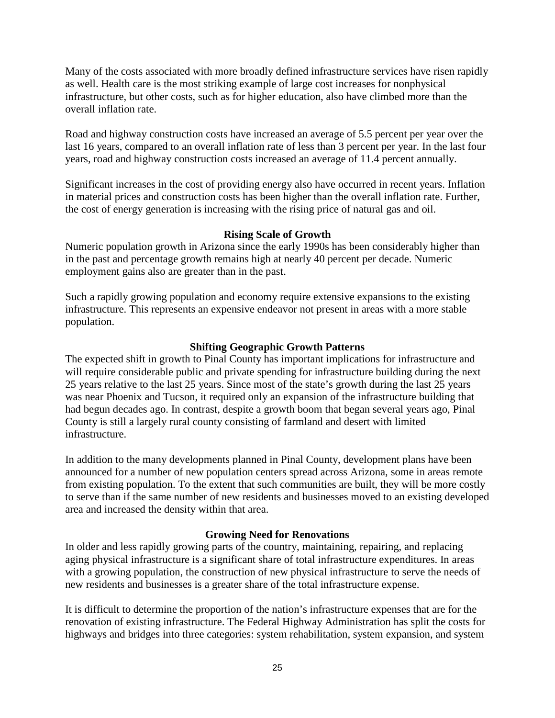Many of the costs associated with more broadly defined infrastructure services have risen rapidly as well. Health care is the most striking example of large cost increases for nonphysical infrastructure, but other costs, such as for higher education, also have climbed more than the overall inflation rate.

Road and highway construction costs have increased an average of 5.5 percent per year over the last 16 years, compared to an overall inflation rate of less than 3 percent per year. In the last four years, road and highway construction costs increased an average of 11.4 percent annually.

Significant increases in the cost of providing energy also have occurred in recent years. Inflation in material prices and construction costs has been higher than the overall inflation rate. Further, the cost of energy generation is increasing with the rising price of natural gas and oil.

### **Rising Scale of Growth**

Numeric population growth in Arizona since the early 1990s has been considerably higher than in the past and percentage growth remains high at nearly 40 percent per decade. Numeric employment gains also are greater than in the past.

Such a rapidly growing population and economy require extensive expansions to the existing infrastructure. This represents an expensive endeavor not present in areas with a more stable population.

### **Shifting Geographic Growth Patterns**

The expected shift in growth to Pinal County has important implications for infrastructure and will require considerable public and private spending for infrastructure building during the next 25 years relative to the last 25 years. Since most of the state's growth during the last 25 years was near Phoenix and Tucson, it required only an expansion of the infrastructure building that had begun decades ago. In contrast, despite a growth boom that began several years ago, Pinal County is still a largely rural county consisting of farmland and desert with limited infrastructure.

In addition to the many developments planned in Pinal County, development plans have been announced for a number of new population centers spread across Arizona, some in areas remote from existing population. To the extent that such communities are built, they will be more costly to serve than if the same number of new residents and businesses moved to an existing developed area and increased the density within that area.

# **Growing Need for Renovations**

In older and less rapidly growing parts of the country, maintaining, repairing, and replacing aging physical infrastructure is a significant share of total infrastructure expenditures. In areas with a growing population, the construction of new physical infrastructure to serve the needs of new residents and businesses is a greater share of the total infrastructure expense.

It is difficult to determine the proportion of the nation's infrastructure expenses that are for the renovation of existing infrastructure. The Federal Highway Administration has split the costs for highways and bridges into three categories: system rehabilitation, system expansion, and system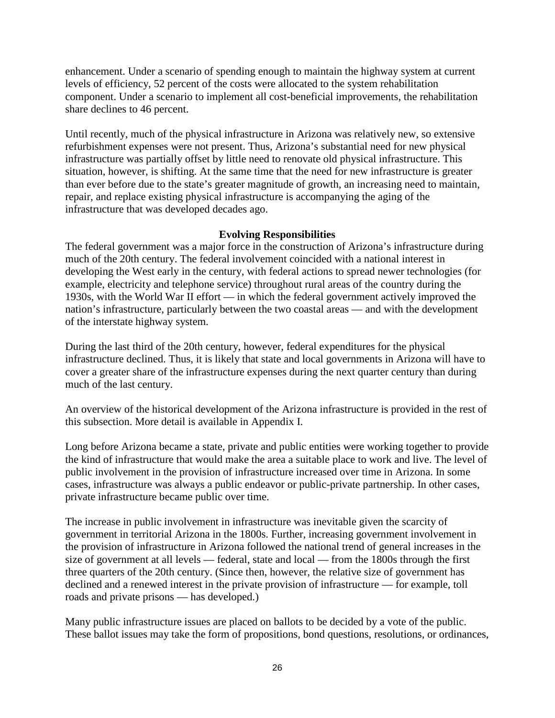enhancement. Under a scenario of spending enough to maintain the highway system at current levels of efficiency, 52 percent of the costs were allocated to the system rehabilitation component. Under a scenario to implement all cost-beneficial improvements, the rehabilitation share declines to 46 percent.

Until recently, much of the physical infrastructure in Arizona was relatively new, so extensive refurbishment expenses were not present. Thus, Arizona's substantial need for new physical infrastructure was partially offset by little need to renovate old physical infrastructure. This situation, however, is shifting. At the same time that the need for new infrastructure is greater than ever before due to the state's greater magnitude of growth, an increasing need to maintain, repair, and replace existing physical infrastructure is accompanying the aging of the infrastructure that was developed decades ago.

# **Evolving Responsibilities**

The federal government was a major force in the construction of Arizona's infrastructure during much of the 20th century. The federal involvement coincided with a national interest in developing the West early in the century, with federal actions to spread newer technologies (for example, electricity and telephone service) throughout rural areas of the country during the 1930s, with the World War II effort — in which the federal government actively improved the nation's infrastructure, particularly between the two coastal areas — and with the development of the interstate highway system.

During the last third of the 20th century, however, federal expenditures for the physical infrastructure declined. Thus, it is likely that state and local governments in Arizona will have to cover a greater share of the infrastructure expenses during the next quarter century than during much of the last century.

An overview of the historical development of the Arizona infrastructure is provided in the rest of this subsection. More detail is available in Appendix I.

Long before Arizona became a state, private and public entities were working together to provide the kind of infrastructure that would make the area a suitable place to work and live. The level of public involvement in the provision of infrastructure increased over time in Arizona. In some cases, infrastructure was always a public endeavor or public-private partnership. In other cases, private infrastructure became public over time.

The increase in public involvement in infrastructure was inevitable given the scarcity of government in territorial Arizona in the 1800s. Further, increasing government involvement in the provision of infrastructure in Arizona followed the national trend of general increases in the size of government at all levels — federal, state and local — from the 1800s through the first three quarters of the 20th century. (Since then, however, the relative size of government has declined and a renewed interest in the private provision of infrastructure — for example, toll roads and private prisons — has developed.)

Many public infrastructure issues are placed on ballots to be decided by a vote of the public. These ballot issues may take the form of propositions, bond questions, resolutions, or ordinances,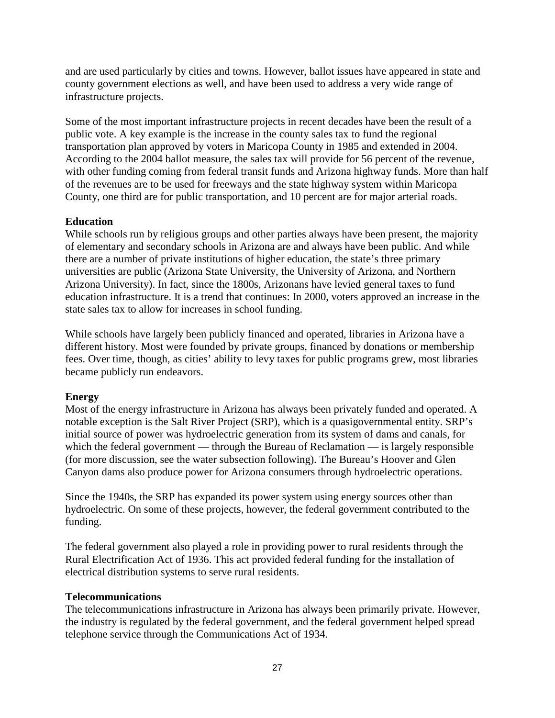and are used particularly by cities and towns. However, ballot issues have appeared in state and county government elections as well, and have been used to address a very wide range of infrastructure projects.

Some of the most important infrastructure projects in recent decades have been the result of a public vote. A key example is the increase in the county sales tax to fund the regional transportation plan approved by voters in Maricopa County in 1985 and extended in 2004. According to the 2004 ballot measure, the sales tax will provide for 56 percent of the revenue, with other funding coming from federal transit funds and Arizona highway funds. More than half of the revenues are to be used for freeways and the state highway system within Maricopa County, one third are for public transportation, and 10 percent are for major arterial roads.

# **Education**

While schools run by religious groups and other parties always have been present, the majority of elementary and secondary schools in Arizona are and always have been public. And while there are a number of private institutions of higher education, the state's three primary universities are public (Arizona State University, the University of Arizona, and Northern Arizona University). In fact, since the 1800s, Arizonans have levied general taxes to fund education infrastructure. It is a trend that continues: In 2000, voters approved an increase in the state sales tax to allow for increases in school funding.

While schools have largely been publicly financed and operated, libraries in Arizona have a different history. Most were founded by private groups, financed by donations or membership fees. Over time, though, as cities' ability to levy taxes for public programs grew, most libraries became publicly run endeavors.

# **Energy**

Most of the energy infrastructure in Arizona has always been privately funded and operated. A notable exception is the Salt River Project (SRP), which is a quasigovernmental entity. SRP's initial source of power was hydroelectric generation from its system of dams and canals, for which the federal government — through the Bureau of Reclamation — is largely responsible (for more discussion, see the water subsection following). The Bureau's Hoover and Glen Canyon dams also produce power for Arizona consumers through hydroelectric operations.

Since the 1940s, the SRP has expanded its power system using energy sources other than hydroelectric. On some of these projects, however, the federal government contributed to the funding.

The federal government also played a role in providing power to rural residents through the Rural Electrification Act of 1936. This act provided federal funding for the installation of electrical distribution systems to serve rural residents.

#### **Telecommunications**

The telecommunications infrastructure in Arizona has always been primarily private. However, the industry is regulated by the federal government, and the federal government helped spread telephone service through the Communications Act of 1934.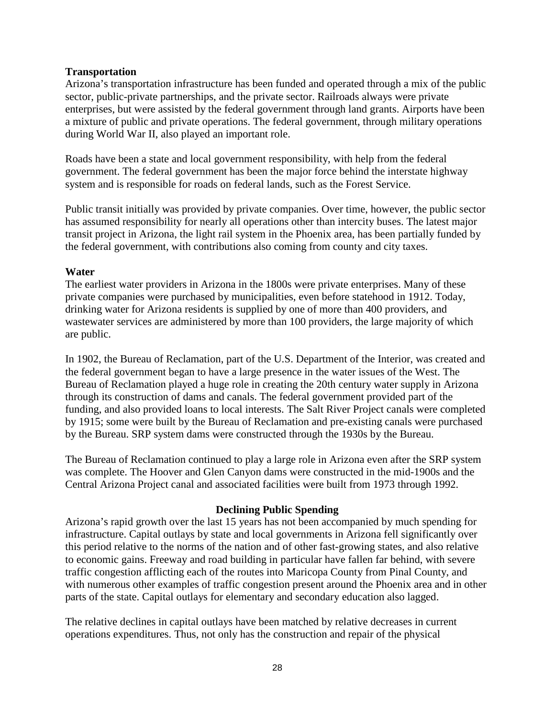#### **Transportation**

Arizona's transportation infrastructure has been funded and operated through a mix of the public sector, public-private partnerships, and the private sector. Railroads always were private enterprises, but were assisted by the federal government through land grants. Airports have been a mixture of public and private operations. The federal government, through military operations during World War II, also played an important role.

Roads have been a state and local government responsibility, with help from the federal government. The federal government has been the major force behind the interstate highway system and is responsible for roads on federal lands, such as the Forest Service.

Public transit initially was provided by private companies. Over time, however, the public sector has assumed responsibility for nearly all operations other than intercity buses. The latest major transit project in Arizona, the light rail system in the Phoenix area, has been partially funded by the federal government, with contributions also coming from county and city taxes.

#### **Water**

The earliest water providers in Arizona in the 1800s were private enterprises. Many of these private companies were purchased by municipalities, even before statehood in 1912. Today, drinking water for Arizona residents is supplied by one of more than 400 providers, and wastewater services are administered by more than 100 providers, the large majority of which are public.

In 1902, the Bureau of Reclamation, part of the U.S. Department of the Interior, was created and the federal government began to have a large presence in the water issues of the West. The Bureau of Reclamation played a huge role in creating the 20th century water supply in Arizona through its construction of dams and canals. The federal government provided part of the funding, and also provided loans to local interests. The Salt River Project canals were completed by 1915; some were built by the Bureau of Reclamation and pre-existing canals were purchased by the Bureau. SRP system dams were constructed through the 1930s by the Bureau.

The Bureau of Reclamation continued to play a large role in Arizona even after the SRP system was complete. The Hoover and Glen Canyon dams were constructed in the mid-1900s and the Central Arizona Project canal and associated facilities were built from 1973 through 1992.

#### **Declining Public Spending**

Arizona's rapid growth over the last 15 years has not been accompanied by much spending for infrastructure. Capital outlays by state and local governments in Arizona fell significantly over this period relative to the norms of the nation and of other fast-growing states, and also relative to economic gains. Freeway and road building in particular have fallen far behind, with severe traffic congestion afflicting each of the routes into Maricopa County from Pinal County, and with numerous other examples of traffic congestion present around the Phoenix area and in other parts of the state. Capital outlays for elementary and secondary education also lagged.

The relative declines in capital outlays have been matched by relative decreases in current operations expenditures. Thus, not only has the construction and repair of the physical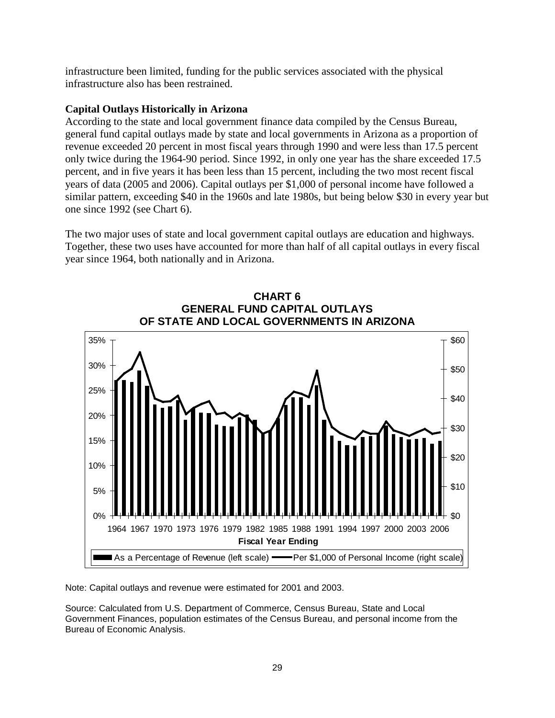infrastructure been limited, funding for the public services associated with the physical infrastructure also has been restrained.

# **Capital Outlays Historically in Arizona**

According to the state and local government finance data compiled by the Census Bureau, general fund capital outlays made by state and local governments in Arizona as a proportion of revenue exceeded 20 percent in most fiscal years through 1990 and were less than 17.5 percent only twice during the 1964-90 period. Since 1992, in only one year has the share exceeded 17.5 percent, and in five years it has been less than 15 percent, including the two most recent fiscal years of data (2005 and 2006). Capital outlays per \$1,000 of personal income have followed a similar pattern, exceeding \$40 in the 1960s and late 1980s, but being below \$30 in every year but one since 1992 (see Chart 6).

The two major uses of state and local government capital outlays are education and highways. Together, these two uses have accounted for more than half of all capital outlays in every fiscal year since 1964, both nationally and in Arizona.



Note: Capital outlays and revenue were estimated for 2001 and 2003.

Source: Calculated from U.S. Department of Commerce, Census Bureau, State and Local Government Finances, population estimates of the Census Bureau, and personal income from the Bureau of Economic Analysis.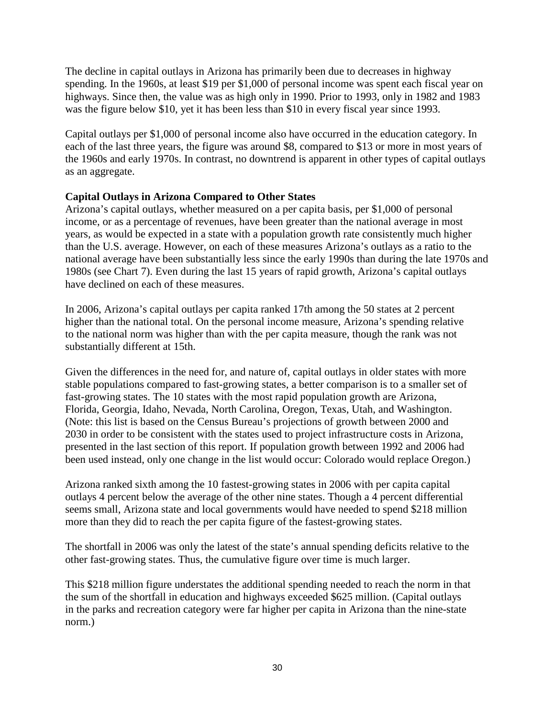The decline in capital outlays in Arizona has primarily been due to decreases in highway spending. In the 1960s, at least \$19 per \$1,000 of personal income was spent each fiscal year on highways. Since then, the value was as high only in 1990. Prior to 1993, only in 1982 and 1983 was the figure below \$10, yet it has been less than \$10 in every fiscal year since 1993.

Capital outlays per \$1,000 of personal income also have occurred in the education category. In each of the last three years, the figure was around \$8, compared to \$13 or more in most years of the 1960s and early 1970s. In contrast, no downtrend is apparent in other types of capital outlays as an aggregate.

### **Capital Outlays in Arizona Compared to Other States**

Arizona's capital outlays, whether measured on a per capita basis, per \$1,000 of personal income, or as a percentage of revenues, have been greater than the national average in most years, as would be expected in a state with a population growth rate consistently much higher than the U.S. average. However, on each of these measures Arizona's outlays as a ratio to the national average have been substantially less since the early 1990s than during the late 1970s and 1980s (see Chart 7). Even during the last 15 years of rapid growth, Arizona's capital outlays have declined on each of these measures.

In 2006, Arizona's capital outlays per capita ranked 17th among the 50 states at 2 percent higher than the national total. On the personal income measure, Arizona's spending relative to the national norm was higher than with the per capita measure, though the rank was not substantially different at 15th.

Given the differences in the need for, and nature of, capital outlays in older states with more stable populations compared to fast-growing states, a better comparison is to a smaller set of fast-growing states. The 10 states with the most rapid population growth are Arizona, Florida, Georgia, Idaho, Nevada, North Carolina, Oregon, Texas, Utah, and Washington. (Note: this list is based on the Census Bureau's projections of growth between 2000 and 2030 in order to be consistent with the states used to project infrastructure costs in Arizona, presented in the last section of this report. If population growth between 1992 and 2006 had been used instead, only one change in the list would occur: Colorado would replace Oregon.)

Arizona ranked sixth among the 10 fastest-growing states in 2006 with per capita capital outlays 4 percent below the average of the other nine states. Though a 4 percent differential seems small, Arizona state and local governments would have needed to spend \$218 million more than they did to reach the per capita figure of the fastest-growing states.

The shortfall in 2006 was only the latest of the state's annual spending deficits relative to the other fast-growing states. Thus, the cumulative figure over time is much larger.

This \$218 million figure understates the additional spending needed to reach the norm in that the sum of the shortfall in education and highways exceeded \$625 million. (Capital outlays in the parks and recreation category were far higher per capita in Arizona than the nine-state norm.)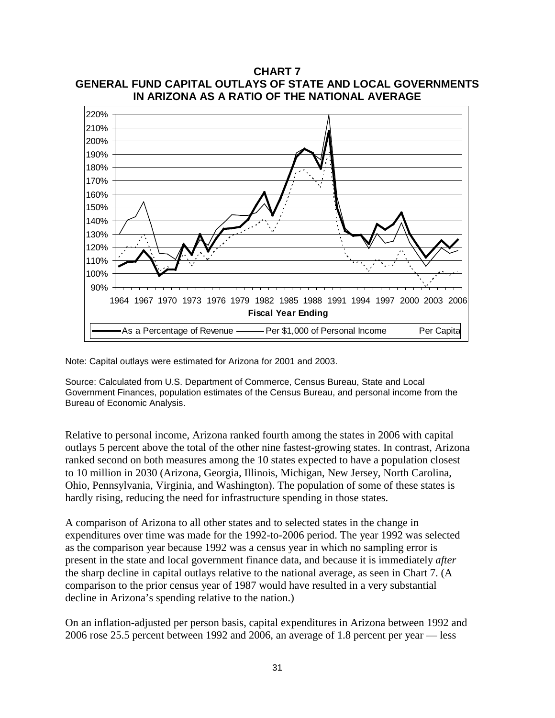

Note: Capital outlays were estimated for Arizona for 2001 and 2003.

Source: Calculated from U.S. Department of Commerce, Census Bureau, State and Local Government Finances, population estimates of the Census Bureau, and personal income from the Bureau of Economic Analysis.

Relative to personal income, Arizona ranked fourth among the states in 2006 with capital outlays 5 percent above the total of the other nine fastest-growing states. In contrast, Arizona ranked second on both measures among the 10 states expected to have a population closest to 10 million in 2030 (Arizona, Georgia, Illinois, Michigan, New Jersey, North Carolina, Ohio, Pennsylvania, Virginia, and Washington). The population of some of these states is hardly rising, reducing the need for infrastructure spending in those states.

A comparison of Arizona to all other states and to selected states in the change in expenditures over time was made for the 1992-to-2006 period. The year 1992 was selected as the comparison year because 1992 was a census year in which no sampling error is present in the state and local government finance data, and because it is immediately *after* the sharp decline in capital outlays relative to the national average, as seen in Chart 7. (A comparison to the prior census year of 1987 would have resulted in a very substantial decline in Arizona's spending relative to the nation.)

On an inflation-adjusted per person basis, capital expenditures in Arizona between 1992 and 2006 rose 25.5 percent between 1992 and 2006, an average of 1.8 percent per year — less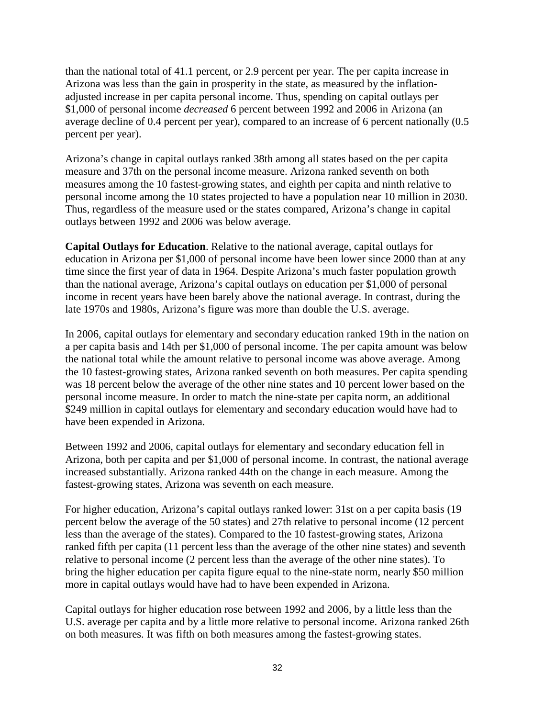than the national total of 41.1 percent, or 2.9 percent per year. The per capita increase in Arizona was less than the gain in prosperity in the state, as measured by the inflationadjusted increase in per capita personal income. Thus, spending on capital outlays per \$1,000 of personal income *decreased* 6 percent between 1992 and 2006 in Arizona (an average decline of 0.4 percent per year), compared to an increase of 6 percent nationally (0.5 percent per year).

Arizona's change in capital outlays ranked 38th among all states based on the per capita measure and 37th on the personal income measure. Arizona ranked seventh on both measures among the 10 fastest-growing states, and eighth per capita and ninth relative to personal income among the 10 states projected to have a population near 10 million in 2030. Thus, regardless of the measure used or the states compared, Arizona's change in capital outlays between 1992 and 2006 was below average.

**Capital Outlays for Education**. Relative to the national average, capital outlays for education in Arizona per \$1,000 of personal income have been lower since 2000 than at any time since the first year of data in 1964. Despite Arizona's much faster population growth than the national average, Arizona's capital outlays on education per \$1,000 of personal income in recent years have been barely above the national average. In contrast, during the late 1970s and 1980s, Arizona's figure was more than double the U.S. average.

In 2006, capital outlays for elementary and secondary education ranked 19th in the nation on a per capita basis and 14th per \$1,000 of personal income. The per capita amount was below the national total while the amount relative to personal income was above average. Among the 10 fastest-growing states, Arizona ranked seventh on both measures. Per capita spending was 18 percent below the average of the other nine states and 10 percent lower based on the personal income measure. In order to match the nine-state per capita norm, an additional \$249 million in capital outlays for elementary and secondary education would have had to have been expended in Arizona.

Between 1992 and 2006, capital outlays for elementary and secondary education fell in Arizona, both per capita and per \$1,000 of personal income. In contrast, the national average increased substantially. Arizona ranked 44th on the change in each measure. Among the fastest-growing states, Arizona was seventh on each measure.

For higher education, Arizona's capital outlays ranked lower: 31st on a per capita basis (19 percent below the average of the 50 states) and 27th relative to personal income (12 percent less than the average of the states). Compared to the 10 fastest-growing states, Arizona ranked fifth per capita (11 percent less than the average of the other nine states) and seventh relative to personal income (2 percent less than the average of the other nine states). To bring the higher education per capita figure equal to the nine-state norm, nearly \$50 million more in capital outlays would have had to have been expended in Arizona.

Capital outlays for higher education rose between 1992 and 2006, by a little less than the U.S. average per capita and by a little more relative to personal income. Arizona ranked 26th on both measures. It was fifth on both measures among the fastest-growing states.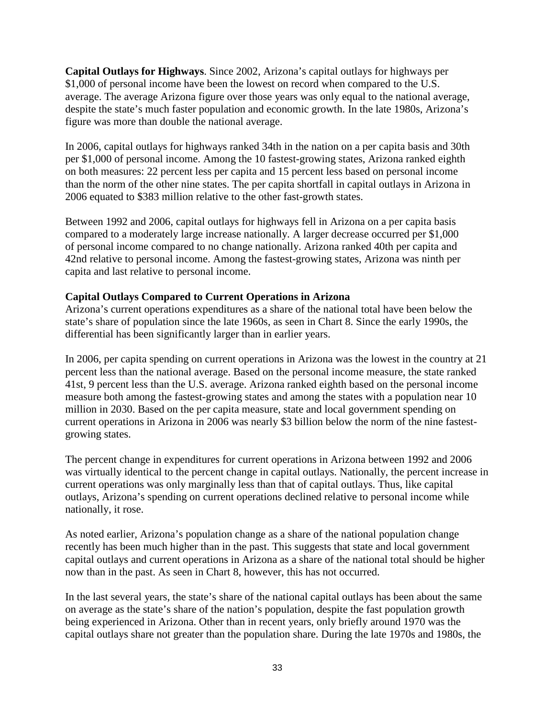**Capital Outlays for Highways**. Since 2002, Arizona's capital outlays for highways per \$1,000 of personal income have been the lowest on record when compared to the U.S. average. The average Arizona figure over those years was only equal to the national average, despite the state's much faster population and economic growth. In the late 1980s, Arizona's figure was more than double the national average.

In 2006, capital outlays for highways ranked 34th in the nation on a per capita basis and 30th per \$1,000 of personal income. Among the 10 fastest-growing states, Arizona ranked eighth on both measures: 22 percent less per capita and 15 percent less based on personal income than the norm of the other nine states. The per capita shortfall in capital outlays in Arizona in 2006 equated to \$383 million relative to the other fast-growth states.

Between 1992 and 2006, capital outlays for highways fell in Arizona on a per capita basis compared to a moderately large increase nationally. A larger decrease occurred per \$1,000 of personal income compared to no change nationally. Arizona ranked 40th per capita and 42nd relative to personal income. Among the fastest-growing states, Arizona was ninth per capita and last relative to personal income.

# **Capital Outlays Compared to Current Operations in Arizona**

Arizona's current operations expenditures as a share of the national total have been below the state's share of population since the late 1960s, as seen in Chart 8. Since the early 1990s, the differential has been significantly larger than in earlier years.

In 2006, per capita spending on current operations in Arizona was the lowest in the country at 21 percent less than the national average. Based on the personal income measure, the state ranked 41st, 9 percent less than the U.S. average. Arizona ranked eighth based on the personal income measure both among the fastest-growing states and among the states with a population near 10 million in 2030. Based on the per capita measure, state and local government spending on current operations in Arizona in 2006 was nearly \$3 billion below the norm of the nine fastestgrowing states.

The percent change in expenditures for current operations in Arizona between 1992 and 2006 was virtually identical to the percent change in capital outlays. Nationally, the percent increase in current operations was only marginally less than that of capital outlays. Thus, like capital outlays, Arizona's spending on current operations declined relative to personal income while nationally, it rose.

As noted earlier, Arizona's population change as a share of the national population change recently has been much higher than in the past. This suggests that state and local government capital outlays and current operations in Arizona as a share of the national total should be higher now than in the past. As seen in Chart 8, however, this has not occurred.

In the last several years, the state's share of the national capital outlays has been about the same on average as the state's share of the nation's population, despite the fast population growth being experienced in Arizona. Other than in recent years, only briefly around 1970 was the capital outlays share not greater than the population share. During the late 1970s and 1980s, the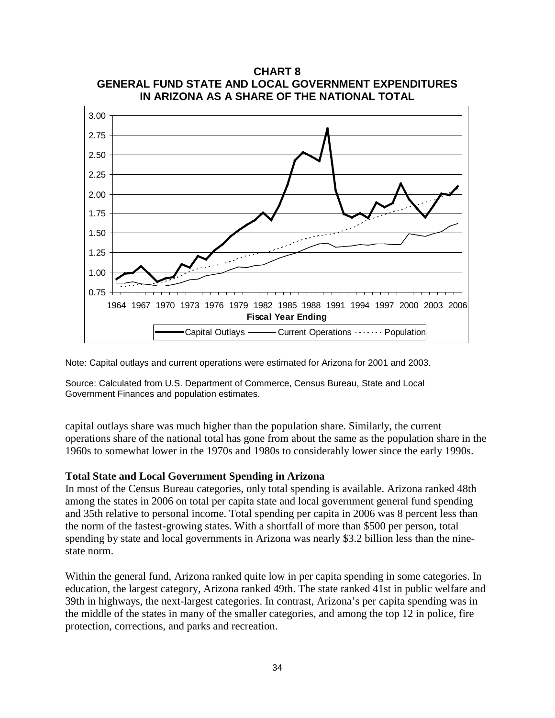

Note: Capital outlays and current operations were estimated for Arizona for 2001 and 2003.

Source: Calculated from U.S. Department of Commerce, Census Bureau, State and Local Government Finances and population estimates.

capital outlays share was much higher than the population share. Similarly, the current operations share of the national total has gone from about the same as the population share in the 1960s to somewhat lower in the 1970s and 1980s to considerably lower since the early 1990s.

#### **Total State and Local Government Spending in Arizona**

In most of the Census Bureau categories, only total spending is available. Arizona ranked 48th among the states in 2006 on total per capita state and local government general fund spending and 35th relative to personal income. Total spending per capita in 2006 was 8 percent less than the norm of the fastest-growing states. With a shortfall of more than \$500 per person, total spending by state and local governments in Arizona was nearly \$3.2 billion less than the ninestate norm.

Within the general fund, Arizona ranked quite low in per capita spending in some categories. In education, the largest category, Arizona ranked 49th. The state ranked 41st in public welfare and 39th in highways, the next-largest categories. In contrast, Arizona's per capita spending was in the middle of the states in many of the smaller categories, and among the top 12 in police, fire protection, corrections, and parks and recreation.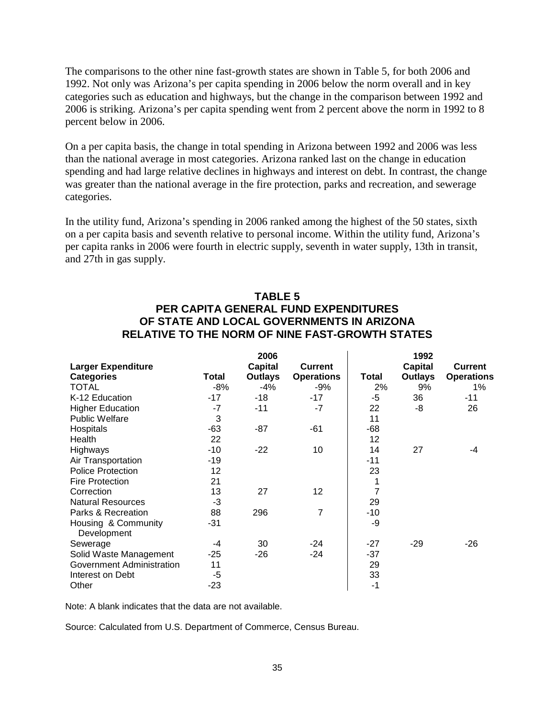The comparisons to the other nine fast-growth states are shown in Table 5, for both 2006 and 1992. Not only was Arizona's per capita spending in 2006 below the norm overall and in key categories such as education and highways, but the change in the comparison between 1992 and 2006 is striking. Arizona's per capita spending went from 2 percent above the norm in 1992 to 8 percent below in 2006.

On a per capita basis, the change in total spending in Arizona between 1992 and 2006 was less than the national average in most categories. Arizona ranked last on the change in education spending and had large relative declines in highways and interest on debt. In contrast, the change was greater than the national average in the fire protection, parks and recreation, and sewerage categories.

In the utility fund, Arizona's spending in 2006 ranked among the highest of the 50 states, sixth on a per capita basis and seventh relative to personal income. Within the utility fund, Arizona's per capita ranks in 2006 were fourth in electric supply, seventh in water supply, 13th in transit, and 27th in gas supply.

# **TABLE 5 PER CAPITA GENERAL FUND EXPENDITURES OF STATE AND LOCAL GOVERNMENTS IN ARIZONA RELATIVE TO THE NORM OF NINE FAST-GROWTH STATES**

|                           |       | 2006           |                   |              | 1992           |                   |
|---------------------------|-------|----------------|-------------------|--------------|----------------|-------------------|
| <b>Larger Expenditure</b> |       | <b>Capital</b> | <b>Current</b>    |              | <b>Capital</b> | <b>Current</b>    |
| <b>Categories</b>         | Total | <b>Outlays</b> | <b>Operations</b> | <b>Total</b> | <b>Outlays</b> | <b>Operations</b> |
| <b>TOTAL</b>              | $-8%$ | $-4%$          | -9%               | 2%           | 9%             | $1\%$             |
| K-12 Education            | $-17$ | -18            | $-17$             | $-5$         | 36             | -11               |
| <b>Higher Education</b>   | $-7$  | $-11$          | -7                | 22           | -8             | 26                |
| <b>Public Welfare</b>     | 3     |                |                   | 11           |                |                   |
| Hospitals                 | $-63$ | $-87$          | -61               | $-68$        |                |                   |
| Health                    | 22    |                |                   | 12           |                |                   |
| Highways                  | $-10$ | $-22$          | 10                | 14           | 27             | -4                |
| Air Transportation        | $-19$ |                |                   | $-11$        |                |                   |
| <b>Police Protection</b>  | 12    |                |                   | 23           |                |                   |
| <b>Fire Protection</b>    | 21    |                |                   | 1            |                |                   |
| Correction                | 13    | 27             | 12                | 7            |                |                   |
| <b>Natural Resources</b>  | -3    |                |                   | 29           |                |                   |
| Parks & Recreation        | 88    | 296            | $\overline{7}$    | $-10$        |                |                   |
| Housing & Community       | -31   |                |                   | -9           |                |                   |
| Development               |       |                |                   |              |                |                   |
| Sewerage                  | -4    | 30             | $-24$             | $-27$        | $-29$          | -26               |
| Solid Waste Management    | $-25$ | -26            | $-24$             | -37          |                |                   |
| Government Administration | 11    |                |                   | 29           |                |                   |
| Interest on Debt          | $-5$  |                |                   | 33           |                |                   |
| Other                     | -23   |                |                   | -1           |                |                   |

Note: A blank indicates that the data are not available.

Source: Calculated from U.S. Department of Commerce, Census Bureau.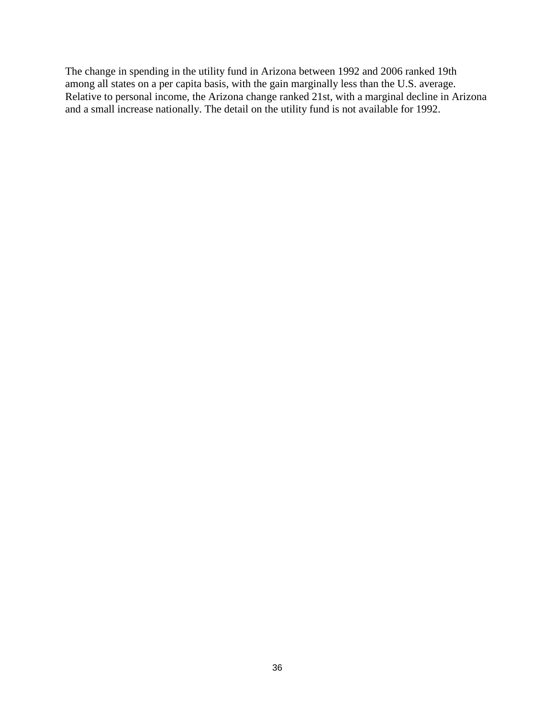The change in spending in the utility fund in Arizona between 1992 and 2006 ranked 19th among all states on a per capita basis, with the gain marginally less than the U.S. average. Relative to personal income, the Arizona change ranked 21st, with a marginal decline in Arizona and a small increase nationally. The detail on the utility fund is not available for 1992.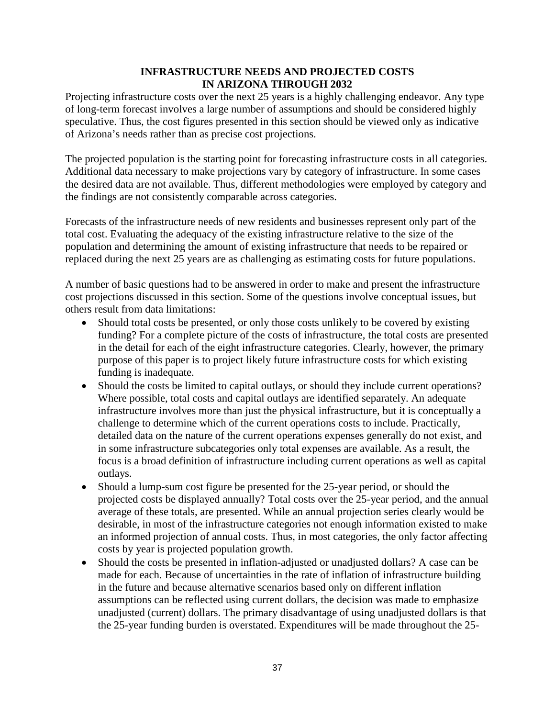# **INFRASTRUCTURE NEEDS AND PROJECTED COSTS IN ARIZONA THROUGH 2032**

Projecting infrastructure costs over the next 25 years is a highly challenging endeavor. Any type of long-term forecast involves a large number of assumptions and should be considered highly speculative. Thus, the cost figures presented in this section should be viewed only as indicative of Arizona's needs rather than as precise cost projections.

The projected population is the starting point for forecasting infrastructure costs in all categories. Additional data necessary to make projections vary by category of infrastructure. In some cases the desired data are not available. Thus, different methodologies were employed by category and the findings are not consistently comparable across categories.

Forecasts of the infrastructure needs of new residents and businesses represent only part of the total cost. Evaluating the adequacy of the existing infrastructure relative to the size of the population and determining the amount of existing infrastructure that needs to be repaired or replaced during the next 25 years are as challenging as estimating costs for future populations.

A number of basic questions had to be answered in order to make and present the infrastructure cost projections discussed in this section. Some of the questions involve conceptual issues, but others result from data limitations:

- Should total costs be presented, or only those costs unlikely to be covered by existing funding? For a complete picture of the costs of infrastructure, the total costs are presented in the detail for each of the eight infrastructure categories. Clearly, however, the primary purpose of this paper is to project likely future infrastructure costs for which existing funding is inadequate.
- Should the costs be limited to capital outlays, or should they include current operations? Where possible, total costs and capital outlays are identified separately. An adequate infrastructure involves more than just the physical infrastructure, but it is conceptually a challenge to determine which of the current operations costs to include. Practically, detailed data on the nature of the current operations expenses generally do not exist, and in some infrastructure subcategories only total expenses are available. As a result, the focus is a broad definition of infrastructure including current operations as well as capital outlays.
- Should a lump-sum cost figure be presented for the 25-year period, or should the projected costs be displayed annually? Total costs over the 25-year period, and the annual average of these totals, are presented. While an annual projection series clearly would be desirable, in most of the infrastructure categories not enough information existed to make an informed projection of annual costs. Thus, in most categories, the only factor affecting costs by year is projected population growth.
- Should the costs be presented in inflation-adjusted or unadjusted dollars? A case can be made for each. Because of uncertainties in the rate of inflation of infrastructure building in the future and because alternative scenarios based only on different inflation assumptions can be reflected using current dollars, the decision was made to emphasize unadjusted (current) dollars. The primary disadvantage of using unadjusted dollars is that the 25-year funding burden is overstated. Expenditures will be made throughout the 25-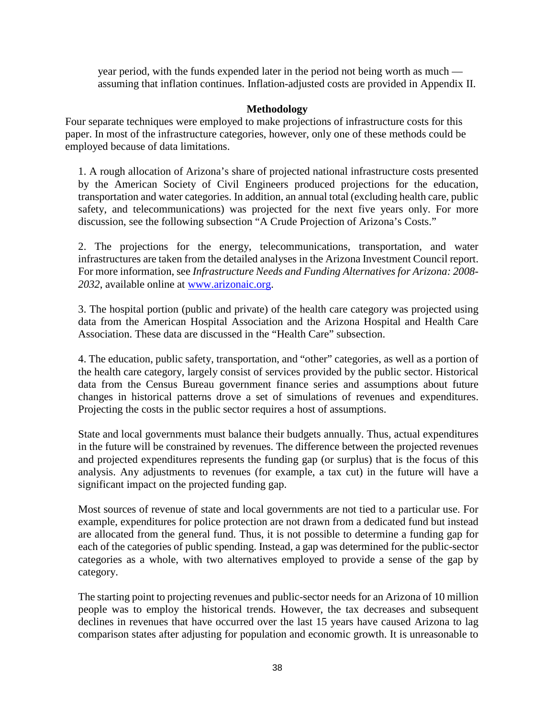year period, with the funds expended later in the period not being worth as much assuming that inflation continues. Inflation-adjusted costs are provided in Appendix II.

## **Methodology**

Four separate techniques were employed to make projections of infrastructure costs for this paper. In most of the infrastructure categories, however, only one of these methods could be employed because of data limitations.

1. A rough allocation of Arizona's share of projected national infrastructure costs presented by the American Society of Civil Engineers produced projections for the education, transportation and water categories. In addition, an annual total (excluding health care, public safety, and telecommunications) was projected for the next five years only. For more discussion, see the following subsection "A Crude Projection of Arizona's Costs."

2. The projections for the energy, telecommunications, transportation, and water infrastructures are taken from the detailed analyses in the Arizona Investment Council report. For more information, see *Infrastructure Needs and Funding Alternatives for Arizona: 2008- 2032*, available online at [www.arizonaic.org.](http://www.arizonaic.org/)

3. The hospital portion (public and private) of the health care category was projected using data from the American Hospital Association and the Arizona Hospital and Health Care Association. These data are discussed in the "Health Care" subsection.

4. The education, public safety, transportation, and "other" categories, as well as a portion of the health care category, largely consist of services provided by the public sector. Historical data from the Census Bureau government finance series and assumptions about future changes in historical patterns drove a set of simulations of revenues and expenditures. Projecting the costs in the public sector requires a host of assumptions.

State and local governments must balance their budgets annually. Thus, actual expenditures in the future will be constrained by revenues. The difference between the projected revenues and projected expenditures represents the funding gap (or surplus) that is the focus of this analysis. Any adjustments to revenues (for example, a tax cut) in the future will have a significant impact on the projected funding gap.

Most sources of revenue of state and local governments are not tied to a particular use. For example, expenditures for police protection are not drawn from a dedicated fund but instead are allocated from the general fund. Thus, it is not possible to determine a funding gap for each of the categories of public spending. Instead, a gap was determined for the public-sector categories as a whole, with two alternatives employed to provide a sense of the gap by category.

The starting point to projecting revenues and public-sector needs for an Arizona of 10 million people was to employ the historical trends. However, the tax decreases and subsequent declines in revenues that have occurred over the last 15 years have caused Arizona to lag comparison states after adjusting for population and economic growth. It is unreasonable to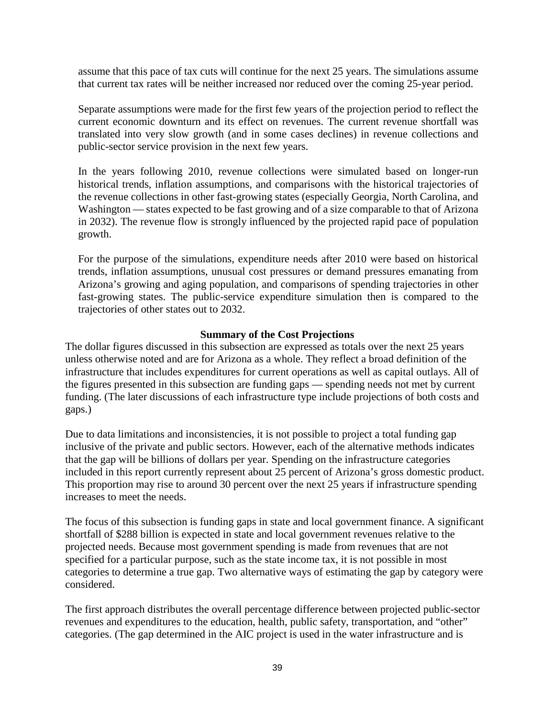assume that this pace of tax cuts will continue for the next 25 years. The simulations assume that current tax rates will be neither increased nor reduced over the coming 25-year period.

Separate assumptions were made for the first few years of the projection period to reflect the current economic downturn and its effect on revenues. The current revenue shortfall was translated into very slow growth (and in some cases declines) in revenue collections and public-sector service provision in the next few years.

In the years following 2010, revenue collections were simulated based on longer-run historical trends, inflation assumptions, and comparisons with the historical trajectories of the revenue collections in other fast-growing states (especially Georgia, North Carolina, and Washington — states expected to be fast growing and of a size comparable to that of Arizona in 2032). The revenue flow is strongly influenced by the projected rapid pace of population growth.

For the purpose of the simulations, expenditure needs after 2010 were based on historical trends, inflation assumptions, unusual cost pressures or demand pressures emanating from Arizona's growing and aging population, and comparisons of spending trajectories in other fast-growing states. The public-service expenditure simulation then is compared to the trajectories of other states out to 2032.

## **Summary of the Cost Projections**

The dollar figures discussed in this subsection are expressed as totals over the next 25 years unless otherwise noted and are for Arizona as a whole. They reflect a broad definition of the infrastructure that includes expenditures for current operations as well as capital outlays. All of the figures presented in this subsection are funding gaps — spending needs not met by current funding. (The later discussions of each infrastructure type include projections of both costs and gaps.)

Due to data limitations and inconsistencies, it is not possible to project a total funding gap inclusive of the private and public sectors. However, each of the alternative methods indicates that the gap will be billions of dollars per year. Spending on the infrastructure categories included in this report currently represent about 25 percent of Arizona's gross domestic product. This proportion may rise to around 30 percent over the next 25 years if infrastructure spending increases to meet the needs.

The focus of this subsection is funding gaps in state and local government finance. A significant shortfall of \$288 billion is expected in state and local government revenues relative to the projected needs. Because most government spending is made from revenues that are not specified for a particular purpose, such as the state income tax, it is not possible in most categories to determine a true gap. Two alternative ways of estimating the gap by category were considered.

The first approach distributes the overall percentage difference between projected public-sector revenues and expenditures to the education, health, public safety, transportation, and "other" categories. (The gap determined in the AIC project is used in the water infrastructure and is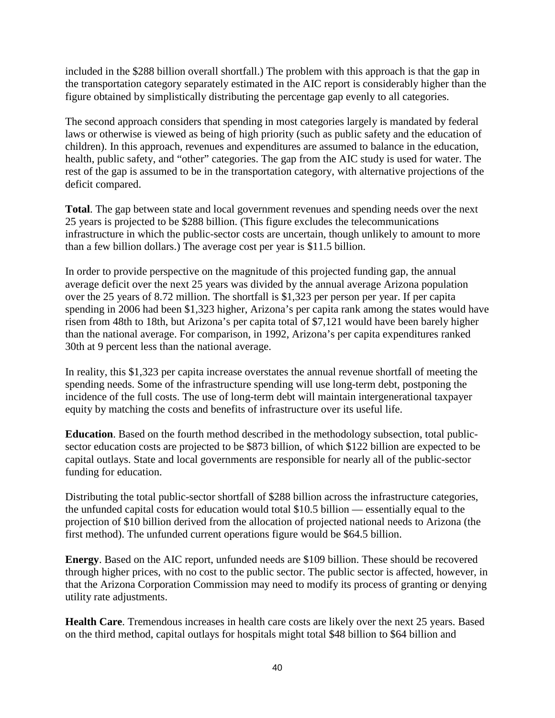included in the \$288 billion overall shortfall.) The problem with this approach is that the gap in the transportation category separately estimated in the AIC report is considerably higher than the figure obtained by simplistically distributing the percentage gap evenly to all categories.

The second approach considers that spending in most categories largely is mandated by federal laws or otherwise is viewed as being of high priority (such as public safety and the education of children). In this approach, revenues and expenditures are assumed to balance in the education, health, public safety, and "other" categories. The gap from the AIC study is used for water. The rest of the gap is assumed to be in the transportation category, with alternative projections of the deficit compared.

**Total**. The gap between state and local government revenues and spending needs over the next 25 years is projected to be \$288 billion. (This figure excludes the telecommunications infrastructure in which the public-sector costs are uncertain, though unlikely to amount to more than a few billion dollars.) The average cost per year is \$11.5 billion.

In order to provide perspective on the magnitude of this projected funding gap, the annual average deficit over the next 25 years was divided by the annual average Arizona population over the 25 years of 8.72 million. The shortfall is \$1,323 per person per year. If per capita spending in 2006 had been \$1,323 higher, Arizona's per capita rank among the states would have risen from 48th to 18th, but Arizona's per capita total of \$7,121 would have been barely higher than the national average. For comparison, in 1992, Arizona's per capita expenditures ranked 30th at 9 percent less than the national average.

In reality, this \$1,323 per capita increase overstates the annual revenue shortfall of meeting the spending needs. Some of the infrastructure spending will use long-term debt, postponing the incidence of the full costs. The use of long-term debt will maintain intergenerational taxpayer equity by matching the costs and benefits of infrastructure over its useful life.

**Education**. Based on the fourth method described in the methodology subsection, total publicsector education costs are projected to be \$873 billion, of which \$122 billion are expected to be capital outlays. State and local governments are responsible for nearly all of the public-sector funding for education.

Distributing the total public-sector shortfall of \$288 billion across the infrastructure categories, the unfunded capital costs for education would total \$10.5 billion — essentially equal to the projection of \$10 billion derived from the allocation of projected national needs to Arizona (the first method). The unfunded current operations figure would be \$64.5 billion.

**Energy**. Based on the AIC report, unfunded needs are \$109 billion. These should be recovered through higher prices, with no cost to the public sector. The public sector is affected, however, in that the Arizona Corporation Commission may need to modify its process of granting or denying utility rate adjustments.

**Health Care**. Tremendous increases in health care costs are likely over the next 25 years. Based on the third method, capital outlays for hospitals might total \$48 billion to \$64 billion and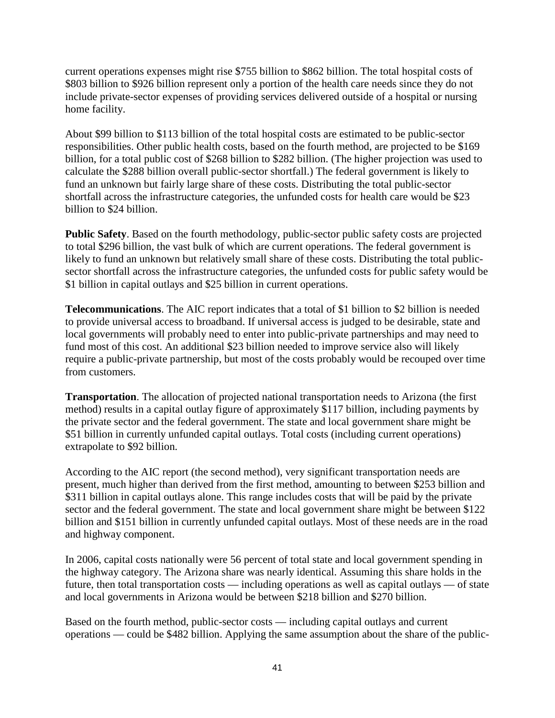current operations expenses might rise \$755 billion to \$862 billion. The total hospital costs of \$803 billion to \$926 billion represent only a portion of the health care needs since they do not include private-sector expenses of providing services delivered outside of a hospital or nursing home facility.

About \$99 billion to \$113 billion of the total hospital costs are estimated to be public-sector responsibilities. Other public health costs, based on the fourth method, are projected to be \$169 billion, for a total public cost of \$268 billion to \$282 billion. (The higher projection was used to calculate the \$288 billion overall public-sector shortfall.) The federal government is likely to fund an unknown but fairly large share of these costs. Distributing the total public-sector shortfall across the infrastructure categories, the unfunded costs for health care would be \$23 billion to \$24 billion.

**Public Safety**. Based on the fourth methodology, public-sector public safety costs are projected to total \$296 billion, the vast bulk of which are current operations. The federal government is likely to fund an unknown but relatively small share of these costs. Distributing the total publicsector shortfall across the infrastructure categories, the unfunded costs for public safety would be \$1 billion in capital outlays and \$25 billion in current operations.

**Telecommunications**. The AIC report indicates that a total of \$1 billion to \$2 billion is needed to provide universal access to broadband. If universal access is judged to be desirable, state and local governments will probably need to enter into public-private partnerships and may need to fund most of this cost. An additional \$23 billion needed to improve service also will likely require a public-private partnership, but most of the costs probably would be recouped over time from customers.

**Transportation**. The allocation of projected national transportation needs to Arizona (the first method) results in a capital outlay figure of approximately \$117 billion, including payments by the private sector and the federal government. The state and local government share might be \$51 billion in currently unfunded capital outlays. Total costs (including current operations) extrapolate to \$92 billion.

According to the AIC report (the second method), very significant transportation needs are present, much higher than derived from the first method, amounting to between \$253 billion and \$311 billion in capital outlays alone. This range includes costs that will be paid by the private sector and the federal government. The state and local government share might be between \$122 billion and \$151 billion in currently unfunded capital outlays. Most of these needs are in the road and highway component.

In 2006, capital costs nationally were 56 percent of total state and local government spending in the highway category. The Arizona share was nearly identical. Assuming this share holds in the future, then total transportation costs — including operations as well as capital outlays — of state and local governments in Arizona would be between \$218 billion and \$270 billion.

Based on the fourth method, public-sector costs — including capital outlays and current operations — could be \$482 billion. Applying the same assumption about the share of the public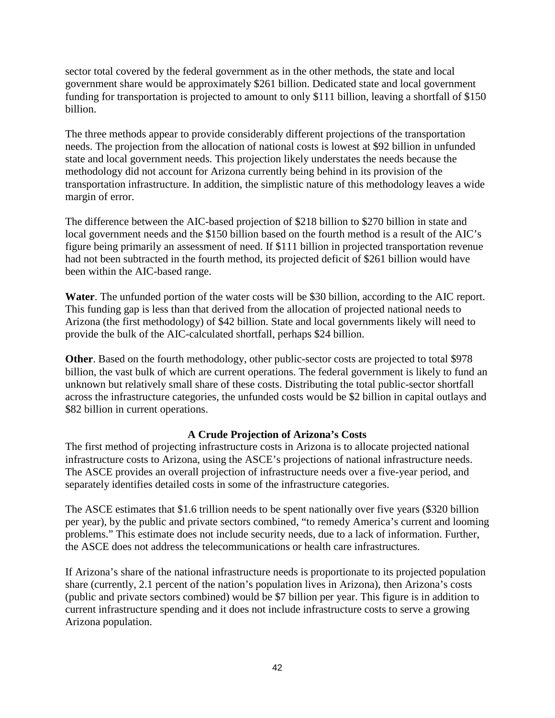sector total covered by the federal government as in the other methods, the state and local government share would be approximately \$261 billion. Dedicated state and local government funding for transportation is projected to amount to only \$111 billion, leaving a shortfall of \$150 billion.

The three methods appear to provide considerably different projections of the transportation needs. The projection from the allocation of national costs is lowest at \$92 billion in unfunded state and local government needs. This projection likely understates the needs because the methodology did not account for Arizona currently being behind in its provision of the transportation infrastructure. In addition, the simplistic nature of this methodology leaves a wide margin of error.

The difference between the AIC-based projection of \$218 billion to \$270 billion in state and local government needs and the \$150 billion based on the fourth method is a result of the AIC's figure being primarily an assessment of need. If \$111 billion in projected transportation revenue had not been subtracted in the fourth method, its projected deficit of \$261 billion would have been within the AIC-based range.

**Water**. The unfunded portion of the water costs will be \$30 billion, according to the AIC report. This funding gap is less than that derived from the allocation of projected national needs to Arizona (the first methodology) of \$42 billion. State and local governments likely will need to provide the bulk of the AIC-calculated shortfall, perhaps \$24 billion.

**Other**. Based on the fourth methodology, other public-sector costs are projected to total \$978 billion, the vast bulk of which are current operations. The federal government is likely to fund an unknown but relatively small share of these costs. Distributing the total public-sector shortfall across the infrastructure categories, the unfunded costs would be \$2 billion in capital outlays and \$82 billion in current operations.

## **A Crude Projection of Arizona's Costs**

The first method of projecting infrastructure costs in Arizona is to allocate projected national infrastructure costs to Arizona, using the ASCE's projections of national infrastructure needs. The ASCE provides an overall projection of infrastructure needs over a five-year period, and separately identifies detailed costs in some of the infrastructure categories.

The ASCE estimates that \$1.6 trillion needs to be spent nationally over five years (\$320 billion per year), by the public and private sectors combined, "to remedy America's current and looming problems." This estimate does not include security needs, due to a lack of information. Further, the ASCE does not address the telecommunications or health care infrastructures.

If Arizona's share of the national infrastructure needs is proportionate to its projected population share (currently, 2.1 percent of the nation's population lives in Arizona), then Arizona's costs (public and private sectors combined) would be \$7 billion per year. This figure is in addition to current infrastructure spending and it does not include infrastructure costs to serve a growing Arizona population.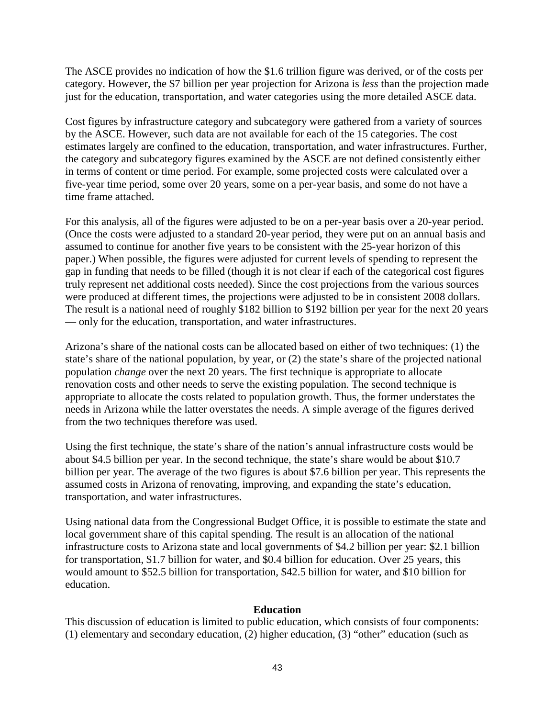The ASCE provides no indication of how the \$1.6 trillion figure was derived, or of the costs per category. However, the \$7 billion per year projection for Arizona is *less* than the projection made just for the education, transportation, and water categories using the more detailed ASCE data.

Cost figures by infrastructure category and subcategory were gathered from a variety of sources by the ASCE. However, such data are not available for each of the 15 categories. The cost estimates largely are confined to the education, transportation, and water infrastructures. Further, the category and subcategory figures examined by the ASCE are not defined consistently either in terms of content or time period. For example, some projected costs were calculated over a five-year time period, some over 20 years, some on a per-year basis, and some do not have a time frame attached.

For this analysis, all of the figures were adjusted to be on a per-year basis over a 20-year period. (Once the costs were adjusted to a standard 20-year period, they were put on an annual basis and assumed to continue for another five years to be consistent with the 25-year horizon of this paper.) When possible, the figures were adjusted for current levels of spending to represent the gap in funding that needs to be filled (though it is not clear if each of the categorical cost figures truly represent net additional costs needed). Since the cost projections from the various sources were produced at different times, the projections were adjusted to be in consistent 2008 dollars. The result is a national need of roughly \$182 billion to \$192 billion per year for the next 20 years — only for the education, transportation, and water infrastructures.

Arizona's share of the national costs can be allocated based on either of two techniques: (1) the state's share of the national population, by year, or (2) the state's share of the projected national population *change* over the next 20 years. The first technique is appropriate to allocate renovation costs and other needs to serve the existing population. The second technique is appropriate to allocate the costs related to population growth. Thus, the former understates the needs in Arizona while the latter overstates the needs. A simple average of the figures derived from the two techniques therefore was used.

Using the first technique, the state's share of the nation's annual infrastructure costs would be about \$4.5 billion per year. In the second technique, the state's share would be about \$10.7 billion per year. The average of the two figures is about \$7.6 billion per year. This represents the assumed costs in Arizona of renovating, improving, and expanding the state's education, transportation, and water infrastructures.

Using national data from the Congressional Budget Office, it is possible to estimate the state and local government share of this capital spending. The result is an allocation of the national infrastructure costs to Arizona state and local governments of \$4.2 billion per year: \$2.1 billion for transportation, \$1.7 billion for water, and \$0.4 billion for education. Over 25 years, this would amount to \$52.5 billion for transportation, \$42.5 billion for water, and \$10 billion for education.

#### **Education**

This discussion of education is limited to public education, which consists of four components: (1) elementary and secondary education, (2) higher education, (3) "other" education (such as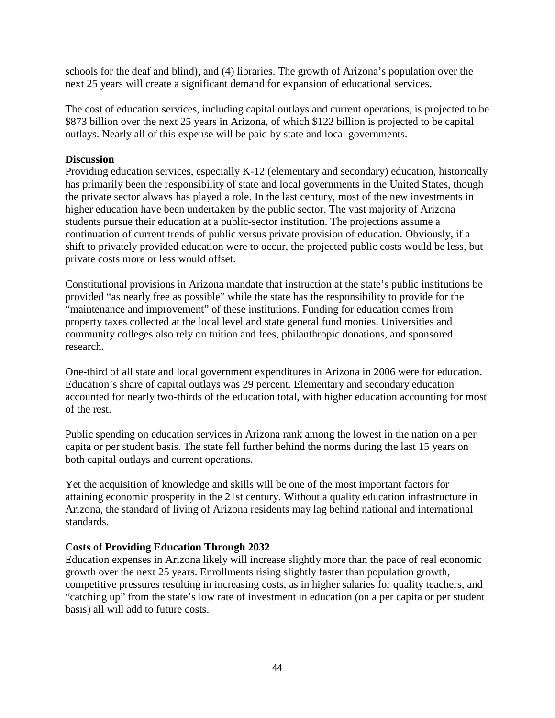schools for the deaf and blind), and (4) libraries. The growth of Arizona's population over the next 25 years will create a significant demand for expansion of educational services.

The cost of education services, including capital outlays and current operations, is projected to be \$873 billion over the next 25 years in Arizona, of which \$122 billion is projected to be capital outlays. Nearly all of this expense will be paid by state and local governments.

## **Discussion**

Providing education services, especially K-12 (elementary and secondary) education, historically has primarily been the responsibility of state and local governments in the United States, though the private sector always has played a role. In the last century, most of the new investments in higher education have been undertaken by the public sector. The vast majority of Arizona students pursue their education at a public-sector institution. The projections assume a continuation of current trends of public versus private provision of education. Obviously, if a shift to privately provided education were to occur, the projected public costs would be less, but private costs more or less would offset.

Constitutional provisions in Arizona mandate that instruction at the state's public institutions be provided "as nearly free as possible" while the state has the responsibility to provide for the "maintenance and improvement" of these institutions. Funding for education comes from property taxes collected at the local level and state general fund monies. Universities and community colleges also rely on tuition and fees, philanthropic donations, and sponsored research.

One-third of all state and local government expenditures in Arizona in 2006 were for education. Education's share of capital outlays was 29 percent. Elementary and secondary education accounted for nearly two-thirds of the education total, with higher education accounting for most of the rest.

Public spending on education services in Arizona rank among the lowest in the nation on a per capita or per student basis. The state fell further behind the norms during the last 15 years on both capital outlays and current operations.

Yet the acquisition of knowledge and skills will be one of the most important factors for attaining economic prosperity in the 21st century. Without a quality education infrastructure in Arizona, the standard of living of Arizona residents may lag behind national and international standards.

## **Costs of Providing Education Through 2032**

Education expenses in Arizona likely will increase slightly more than the pace of real economic growth over the next 25 years. Enrollments rising slightly faster than population growth, competitive pressures resulting in increasing costs, as in higher salaries for quality teachers, and "catching up" from the state's low rate of investment in education (on a per capita or per student basis) all will add to future costs.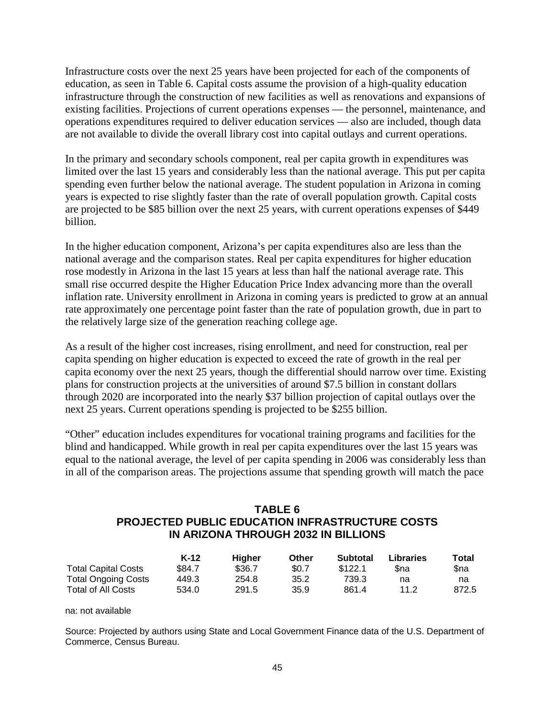Infrastructure costs over the next 25 years have been projected for each of the components of education, as seen in Table 6. Capital costs assume the provision of a high-quality education infrastructure through the construction of new facilities as well as renovations and expansions of existing facilities. Projections of current operations expenses — the personnel, maintenance, and operations expenditures required to deliver education services — also are included, though data are not available to divide the overall library cost into capital outlays and current operations.

In the primary and secondary schools component, real per capita growth in expenditures was limited over the last 15 years and considerably less than the national average. This put per capita spending even further below the national average. The student population in Arizona in coming years is expected to rise slightly faster than the rate of overall population growth. Capital costs are projected to be \$85 billion over the next 25 years, with current operations expenses of \$449 billion.

In the higher education component, Arizona's per capita expenditures also are less than the national average and the comparison states. Real per capita expenditures for higher education rose modestly in Arizona in the last 15 years at less than half the national average rate. This small rise occurred despite the Higher Education Price Index advancing more than the overall inflation rate. University enrollment in Arizona in coming years is predicted to grow at an annual rate approximately one percentage point faster than the rate of population growth, due in part to the relatively large size of the generation reaching college age.

As a result of the higher cost increases, rising enrollment, and need for construction, real per capita spending on higher education is expected to exceed the rate of growth in the real per capita economy over the next 25 years, though the differential should narrow over time. Existing plans for construction projects at the universities of around \$7.5 billion in constant dollars through 2020 are incorporated into the nearly \$37 billion projection of capital outlays over the next 25 years. Current operations spending is projected to be \$255 billion.

"Other" education includes expenditures for vocational training programs and facilities for the blind and handicapped. While growth in real per capita expenditures over the last 15 years was equal to the national average, the level of per capita spending in 2006 was considerably less than in all of the comparison areas. The projections assume that spending growth will match the pace

# **TABLE 6 PROJECTED PUBLIC EDUCATION INFRASTRUCTURE COSTS IN ARIZONA THROUGH 2032 IN BILLIONS**

|                            | K-12   | Hiaher | Other | Subtotal | Libraries | Total |
|----------------------------|--------|--------|-------|----------|-----------|-------|
| <b>Total Capital Costs</b> | \$84.7 | \$36.7 | \$0.7 | \$122.1  | Sna       | Sna   |
| <b>Total Ongoing Costs</b> | 449.3  | 254.8  | 35.2  | 739.3    | na        | na    |
| <b>Total of All Costs</b>  | 534.0  | 291.5  | 35.9  | 861.4    | 11.2      | 872.5 |

#### na: not available

Source: Projected by authors using State and Local Government Finance data of the U.S. Department of Commerce, Census Bureau.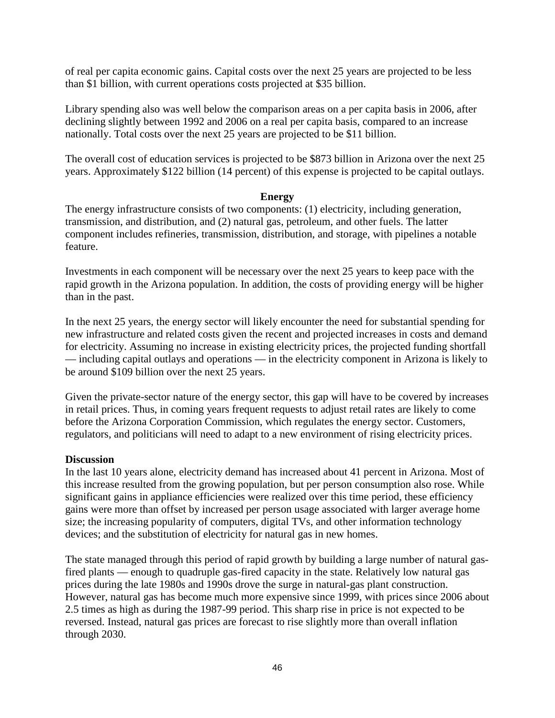of real per capita economic gains. Capital costs over the next 25 years are projected to be less than \$1 billion, with current operations costs projected at \$35 billion.

Library spending also was well below the comparison areas on a per capita basis in 2006, after declining slightly between 1992 and 2006 on a real per capita basis, compared to an increase nationally. Total costs over the next 25 years are projected to be \$11 billion.

The overall cost of education services is projected to be \$873 billion in Arizona over the next 25 years. Approximately \$122 billion (14 percent) of this expense is projected to be capital outlays.

### **Energy**

The energy infrastructure consists of two components: (1) electricity, including generation, transmission, and distribution, and (2) natural gas, petroleum, and other fuels. The latter component includes refineries, transmission, distribution, and storage, with pipelines a notable feature.

Investments in each component will be necessary over the next 25 years to keep pace with the rapid growth in the Arizona population. In addition, the costs of providing energy will be higher than in the past.

In the next 25 years, the energy sector will likely encounter the need for substantial spending for new infrastructure and related costs given the recent and projected increases in costs and demand for electricity. Assuming no increase in existing electricity prices, the projected funding shortfall — including capital outlays and operations — in the electricity component in Arizona is likely to be around \$109 billion over the next 25 years.

Given the private-sector nature of the energy sector, this gap will have to be covered by increases in retail prices. Thus, in coming years frequent requests to adjust retail rates are likely to come before the Arizona Corporation Commission, which regulates the energy sector. Customers, regulators, and politicians will need to adapt to a new environment of rising electricity prices.

## **Discussion**

In the last 10 years alone, electricity demand has increased about 41 percent in Arizona. Most of this increase resulted from the growing population, but per person consumption also rose. While significant gains in appliance efficiencies were realized over this time period, these efficiency gains were more than offset by increased per person usage associated with larger average home size; the increasing popularity of computers, digital TVs, and other information technology devices; and the substitution of electricity for natural gas in new homes.

The state managed through this period of rapid growth by building a large number of natural gasfired plants — enough to quadruple gas-fired capacity in the state. Relatively low natural gas prices during the late 1980s and 1990s drove the surge in natural-gas plant construction. However, natural gas has become much more expensive since 1999, with prices since 2006 about 2.5 times as high as during the 1987-99 period. This sharp rise in price is not expected to be reversed. Instead, natural gas prices are forecast to rise slightly more than overall inflation through 2030.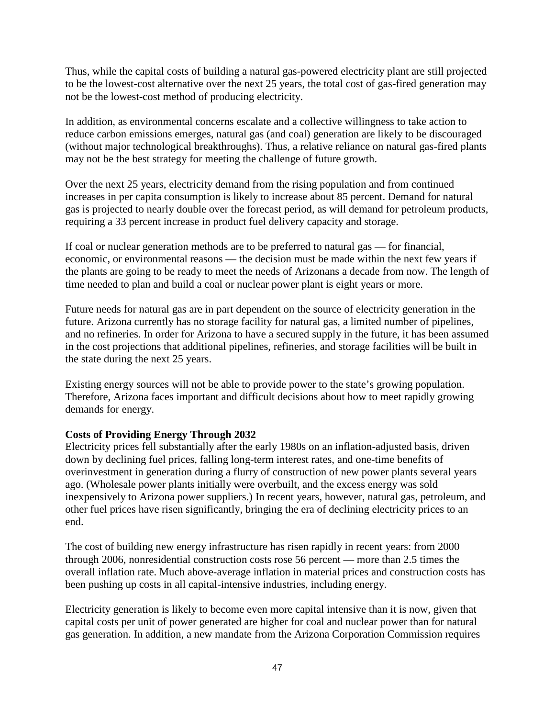Thus, while the capital costs of building a natural gas-powered electricity plant are still projected to be the lowest-cost alternative over the next 25 years, the total cost of gas-fired generation may not be the lowest-cost method of producing electricity.

In addition, as environmental concerns escalate and a collective willingness to take action to reduce carbon emissions emerges, natural gas (and coal) generation are likely to be discouraged (without major technological breakthroughs). Thus, a relative reliance on natural gas-fired plants may not be the best strategy for meeting the challenge of future growth.

Over the next 25 years, electricity demand from the rising population and from continued increases in per capita consumption is likely to increase about 85 percent. Demand for natural gas is projected to nearly double over the forecast period, as will demand for petroleum products, requiring a 33 percent increase in product fuel delivery capacity and storage.

If coal or nuclear generation methods are to be preferred to natural gas — for financial, economic, or environmental reasons — the decision must be made within the next few years if the plants are going to be ready to meet the needs of Arizonans a decade from now. The length of time needed to plan and build a coal or nuclear power plant is eight years or more.

Future needs for natural gas are in part dependent on the source of electricity generation in the future. Arizona currently has no storage facility for natural gas, a limited number of pipelines, and no refineries. In order for Arizona to have a secured supply in the future, it has been assumed in the cost projections that additional pipelines, refineries, and storage facilities will be built in the state during the next 25 years.

Existing energy sources will not be able to provide power to the state's growing population. Therefore, Arizona faces important and difficult decisions about how to meet rapidly growing demands for energy.

# **Costs of Providing Energy Through 2032**

Electricity prices fell substantially after the early 1980s on an inflation-adjusted basis, driven down by declining fuel prices, falling long-term interest rates, and one-time benefits of overinvestment in generation during a flurry of construction of new power plants several years ago. (Wholesale power plants initially were overbuilt, and the excess energy was sold inexpensively to Arizona power suppliers.) In recent years, however, natural gas, petroleum, and other fuel prices have risen significantly, bringing the era of declining electricity prices to an end.

The cost of building new energy infrastructure has risen rapidly in recent years: from 2000 through 2006, nonresidential construction costs rose 56 percent — more than 2.5 times the overall inflation rate. Much above-average inflation in material prices and construction costs has been pushing up costs in all capital-intensive industries, including energy.

Electricity generation is likely to become even more capital intensive than it is now, given that capital costs per unit of power generated are higher for coal and nuclear power than for natural gas generation. In addition, a new mandate from the Arizona Corporation Commission requires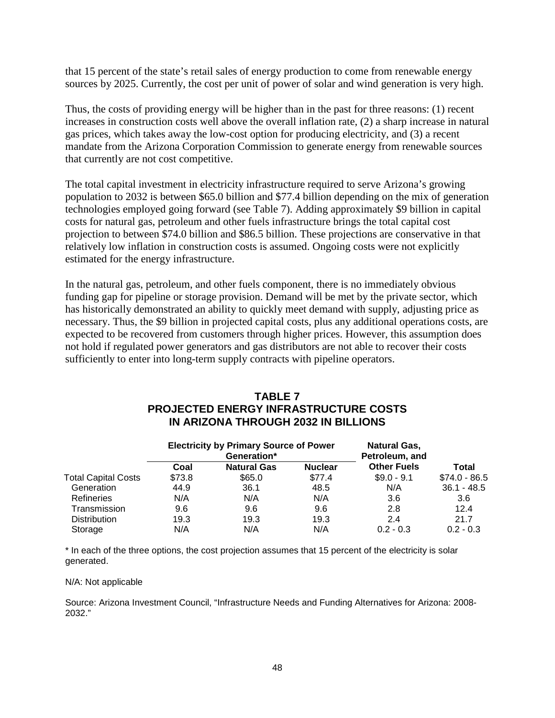that 15 percent of the state's retail sales of energy production to come from renewable energy sources by 2025. Currently, the cost per unit of power of solar and wind generation is very high.

Thus, the costs of providing energy will be higher than in the past for three reasons: (1) recent increases in construction costs well above the overall inflation rate, (2) a sharp increase in natural gas prices, which takes away the low-cost option for producing electricity, and (3) a recent mandate from the Arizona Corporation Commission to generate energy from renewable sources that currently are not cost competitive.

The total capital investment in electricity infrastructure required to serve Arizona's growing population to 2032 is between \$65.0 billion and \$77.4 billion depending on the mix of generation technologies employed going forward (see Table 7). Adding approximately \$9 billion in capital costs for natural gas, petroleum and other fuels infrastructure brings the total capital cost projection to between \$74.0 billion and \$86.5 billion. These projections are conservative in that relatively low inflation in construction costs is assumed. Ongoing costs were not explicitly estimated for the energy infrastructure.

In the natural gas, petroleum, and other fuels component, there is no immediately obvious funding gap for pipeline or storage provision. Demand will be met by the private sector, which has historically demonstrated an ability to quickly meet demand with supply, adjusting price as necessary. Thus, the \$9 billion in projected capital costs, plus any additional operations costs, are expected to be recovered from customers through higher prices. However, this assumption does not hold if regulated power generators and gas distributors are not able to recover their costs sufficiently to enter into long-term supply contracts with pipeline operators.

# **TABLE 7 PROJECTED ENERGY INFRASTRUCTURE COSTS IN ARIZONA THROUGH 2032 IN BILLIONS**

|                            | <b>Electricity by Primary Source of Power</b><br>Generation* |                    |                | <b>Natural Gas,</b><br>Petroleum, and |                |
|----------------------------|--------------------------------------------------------------|--------------------|----------------|---------------------------------------|----------------|
|                            | Coal                                                         | <b>Natural Gas</b> | <b>Nuclear</b> | <b>Other Fuels</b>                    | Total          |
| <b>Total Capital Costs</b> | \$73.8                                                       | \$65.0             | \$77.4         | $$9.0 - 9.1$                          | $$74.0 - 86.5$ |
| Generation                 | 44.9                                                         | 36.1               | 48.5           | N/A                                   | $36.1 - 48.5$  |
| Refineries                 | N/A                                                          | N/A                | N/A            | 3.6                                   | 3.6            |
| Transmission               | 9.6                                                          | 9.6                | 9.6            | 2.8                                   | 12.4           |
| <b>Distribution</b>        | 19.3                                                         | 19.3               | 19.3           | 2.4                                   | 21.7           |
| Storage                    | N/A                                                          | N/A                | N/A            | $0.2 - 0.3$                           | $0.2 - 0.3$    |

\* In each of the three options, the cost projection assumes that 15 percent of the electricity is solar generated.

#### N/A: Not applicable

Source: Arizona Investment Council, "Infrastructure Needs and Funding Alternatives for Arizona: 2008- 2032."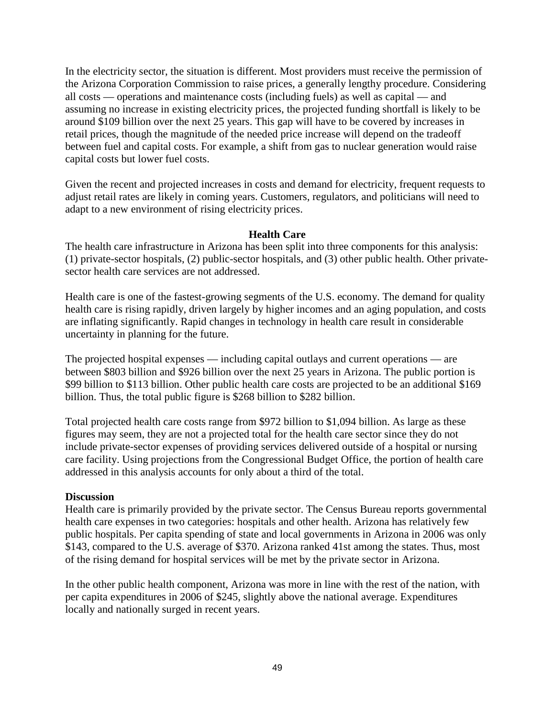In the electricity sector, the situation is different. Most providers must receive the permission of the Arizona Corporation Commission to raise prices, a generally lengthy procedure. Considering all costs — operations and maintenance costs (including fuels) as well as capital — and assuming no increase in existing electricity prices, the projected funding shortfall is likely to be around \$109 billion over the next 25 years. This gap will have to be covered by increases in retail prices, though the magnitude of the needed price increase will depend on the tradeoff between fuel and capital costs. For example, a shift from gas to nuclear generation would raise capital costs but lower fuel costs.

Given the recent and projected increases in costs and demand for electricity, frequent requests to adjust retail rates are likely in coming years. Customers, regulators, and politicians will need to adapt to a new environment of rising electricity prices.

## **Health Care**

The health care infrastructure in Arizona has been split into three components for this analysis: (1) private-sector hospitals, (2) public-sector hospitals, and (3) other public health. Other privatesector health care services are not addressed.

Health care is one of the fastest-growing segments of the U.S. economy. The demand for quality health care is rising rapidly, driven largely by higher incomes and an aging population, and costs are inflating significantly. Rapid changes in technology in health care result in considerable uncertainty in planning for the future.

The projected hospital expenses — including capital outlays and current operations — are between \$803 billion and \$926 billion over the next 25 years in Arizona. The public portion is \$99 billion to \$113 billion. Other public health care costs are projected to be an additional \$169 billion. Thus, the total public figure is \$268 billion to \$282 billion.

Total projected health care costs range from \$972 billion to \$1,094 billion. As large as these figures may seem, they are not a projected total for the health care sector since they do not include private-sector expenses of providing services delivered outside of a hospital or nursing care facility. Using projections from the Congressional Budget Office, the portion of health care addressed in this analysis accounts for only about a third of the total.

#### **Discussion**

Health care is primarily provided by the private sector. The Census Bureau reports governmental health care expenses in two categories: hospitals and other health. Arizona has relatively few public hospitals. Per capita spending of state and local governments in Arizona in 2006 was only \$143, compared to the U.S. average of \$370. Arizona ranked 41st among the states. Thus, most of the rising demand for hospital services will be met by the private sector in Arizona.

In the other public health component, Arizona was more in line with the rest of the nation, with per capita expenditures in 2006 of \$245, slightly above the national average. Expenditures locally and nationally surged in recent years.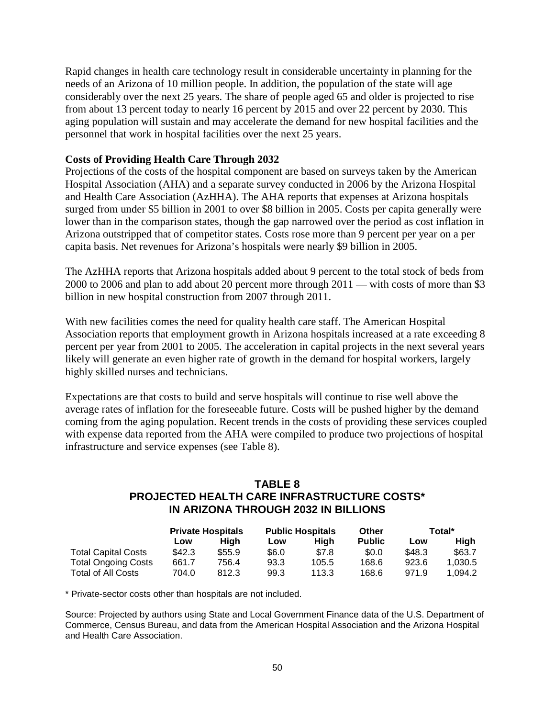Rapid changes in health care technology result in considerable uncertainty in planning for the needs of an Arizona of 10 million people. In addition, the population of the state will age considerably over the next 25 years. The share of people aged 65 and older is projected to rise from about 13 percent today to nearly 16 percent by 2015 and over 22 percent by 2030. This aging population will sustain and may accelerate the demand for new hospital facilities and the personnel that work in hospital facilities over the next 25 years.

### **Costs of Providing Health Care Through 2032**

Projections of the costs of the hospital component are based on surveys taken by the American Hospital Association (AHA) and a separate survey conducted in 2006 by the Arizona Hospital and Health Care Association (AzHHA). The AHA reports that expenses at Arizona hospitals surged from under \$5 billion in 2001 to over \$8 billion in 2005. Costs per capita generally were lower than in the comparison states, though the gap narrowed over the period as cost inflation in Arizona outstripped that of competitor states. Costs rose more than 9 percent per year on a per capita basis. Net revenues for Arizona's hospitals were nearly \$9 billion in 2005.

The AzHHA reports that Arizona hospitals added about 9 percent to the total stock of beds from 2000 to 2006 and plan to add about 20 percent more through 2011 — with costs of more than \$3 billion in new hospital construction from 2007 through 2011.

With new facilities comes the need for quality health care staff. The American Hospital Association reports that employment growth in Arizona hospitals increased at a rate exceeding 8 percent per year from 2001 to 2005. The acceleration in capital projects in the next several years likely will generate an even higher rate of growth in the demand for hospital workers, largely highly skilled nurses and technicians.

Expectations are that costs to build and serve hospitals will continue to rise well above the average rates of inflation for the foreseeable future. Costs will be pushed higher by the demand coming from the aging population. Recent trends in the costs of providing these services coupled with expense data reported from the AHA were compiled to produce two projections of hospital infrastructure and service expenses (see Table 8).

# **TABLE 8 PROJECTED HEALTH CARE INFRASTRUCTURE COSTS\* IN ARIZONA THROUGH 2032 IN BILLIONS**

|                            | <b>Private Hospitals</b> |        | <b>Public Hospitals</b> |       | Other         | Total* |         |
|----------------------------|--------------------------|--------|-------------------------|-------|---------------|--------|---------|
|                            | Low                      | Hiah   | Low                     | Hiah  | <b>Public</b> | Low    | Hiah    |
| <b>Total Capital Costs</b> | \$42.3                   | \$55.9 | \$6.0                   | \$7.8 | \$0.0         | \$48.3 | \$63.7  |
| <b>Total Ongoing Costs</b> | 661.7                    | 756.4  | 93.3                    | 105.5 | 168.6         | 923.6  | 1.030.5 |
| <b>Total of All Costs</b>  | 704.0                    | 812.3  | 99.3                    | 113.3 | 168.6         | 971.9  | 1.094.2 |

\* Private-sector costs other than hospitals are not included.

Source: Projected by authors using State and Local Government Finance data of the U.S. Department of Commerce, Census Bureau, and data from the American Hospital Association and the Arizona Hospital and Health Care Association.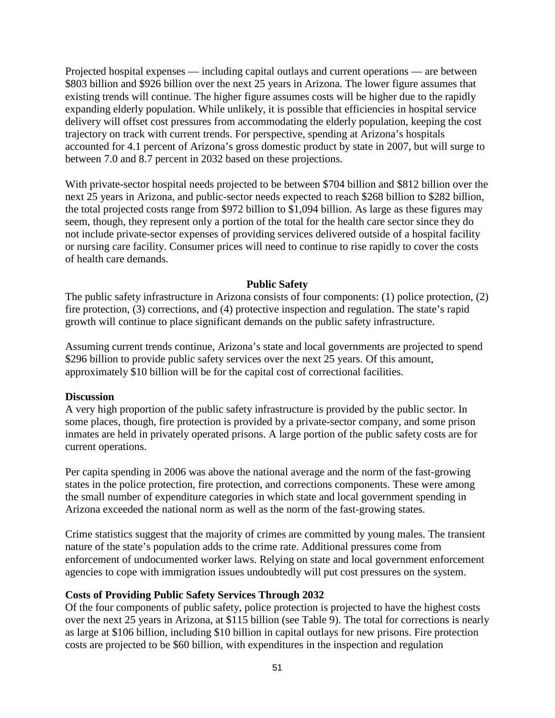Projected hospital expenses — including capital outlays and current operations — are between \$803 billion and \$926 billion over the next 25 years in Arizona. The lower figure assumes that existing trends will continue. The higher figure assumes costs will be higher due to the rapidly expanding elderly population. While unlikely, it is possible that efficiencies in hospital service delivery will offset cost pressures from accommodating the elderly population, keeping the cost trajectory on track with current trends. For perspective, spending at Arizona's hospitals accounted for 4.1 percent of Arizona's gross domestic product by state in 2007, but will surge to between 7.0 and 8.7 percent in 2032 based on these projections.

With private-sector hospital needs projected to be between \$704 billion and \$812 billion over the next 25 years in Arizona, and public-sector needs expected to reach \$268 billion to \$282 billion, the total projected costs range from \$972 billion to \$1,094 billion. As large as these figures may seem, though, they represent only a portion of the total for the health care sector since they do not include private-sector expenses of providing services delivered outside of a hospital facility or nursing care facility. Consumer prices will need to continue to rise rapidly to cover the costs of health care demands.

# **Public Safety**

The public safety infrastructure in Arizona consists of four components: (1) police protection, (2) fire protection, (3) corrections, and (4) protective inspection and regulation. The state's rapid growth will continue to place significant demands on the public safety infrastructure.

Assuming current trends continue, Arizona's state and local governments are projected to spend \$296 billion to provide public safety services over the next 25 years. Of this amount, approximately \$10 billion will be for the capital cost of correctional facilities.

#### **Discussion**

A very high proportion of the public safety infrastructure is provided by the public sector. In some places, though, fire protection is provided by a private-sector company, and some prison inmates are held in privately operated prisons. A large portion of the public safety costs are for current operations.

Per capita spending in 2006 was above the national average and the norm of the fast-growing states in the police protection, fire protection, and corrections components. These were among the small number of expenditure categories in which state and local government spending in Arizona exceeded the national norm as well as the norm of the fast-growing states.

Crime statistics suggest that the majority of crimes are committed by young males. The transient nature of the state's population adds to the crime rate. Additional pressures come from enforcement of undocumented worker laws. Relying on state and local government enforcement agencies to cope with immigration issues undoubtedly will put cost pressures on the system.

## **Costs of Providing Public Safety Services Through 2032**

Of the four components of public safety, police protection is projected to have the highest costs over the next 25 years in Arizona, at \$115 billion (see Table 9). The total for corrections is nearly as large at \$106 billion, including \$10 billion in capital outlays for new prisons. Fire protection costs are projected to be \$60 billion, with expenditures in the inspection and regulation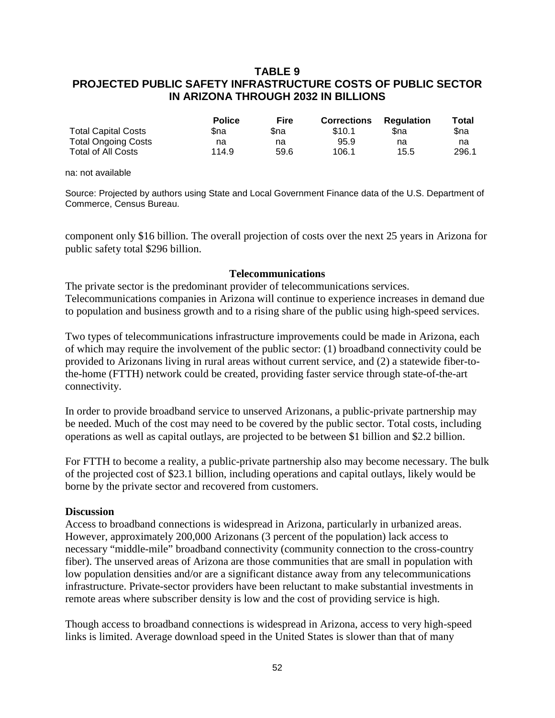# **TABLE 9 PROJECTED PUBLIC SAFETY INFRASTRUCTURE COSTS OF PUBLIC SECTOR IN ARIZONA THROUGH 2032 IN BILLIONS**

|                            | <b>Police</b> | <b>Fire</b> | <b>Corrections</b> | <b>Regulation</b> | Total |
|----------------------------|---------------|-------------|--------------------|-------------------|-------|
| <b>Total Capital Costs</b> | \$na          | Sna         | \$10.1             | Sna               | Sna   |
| <b>Total Ongoing Costs</b> | na            | na          | 95.9               | na                | na    |
| <b>Total of All Costs</b>  | 114.9         | 59.6        | 106.1              | 15.5              | 296.1 |

na: not available

Source: Projected by authors using State and Local Government Finance data of the U.S. Department of Commerce, Census Bureau.

component only \$16 billion. The overall projection of costs over the next 25 years in Arizona for public safety total \$296 billion.

#### **Telecommunications**

The private sector is the predominant provider of telecommunications services. Telecommunications companies in Arizona will continue to experience increases in demand due to population and business growth and to a rising share of the public using high-speed services.

Two types of telecommunications infrastructure improvements could be made in Arizona, each of which may require the involvement of the public sector: (1) broadband connectivity could be provided to Arizonans living in rural areas without current service, and (2) a statewide fiber-tothe-home (FTTH) network could be created, providing faster service through state-of-the-art connectivity.

In order to provide broadband service to unserved Arizonans, a public-private partnership may be needed. Much of the cost may need to be covered by the public sector. Total costs, including operations as well as capital outlays, are projected to be between \$1 billion and \$2.2 billion.

For FTTH to become a reality, a public-private partnership also may become necessary. The bulk of the projected cost of \$23.1 billion, including operations and capital outlays, likely would be borne by the private sector and recovered from customers.

#### **Discussion**

Access to broadband connections is widespread in Arizona, particularly in urbanized areas. However, approximately 200,000 Arizonans (3 percent of the population) lack access to necessary "middle-mile" broadband connectivity (community connection to the cross-country fiber). The unserved areas of Arizona are those communities that are small in population with low population densities and/or are a significant distance away from any telecommunications infrastructure. Private-sector providers have been reluctant to make substantial investments in remote areas where subscriber density is low and the cost of providing service is high.

Though access to broadband connections is widespread in Arizona, access to very high-speed links is limited. Average download speed in the United States is slower than that of many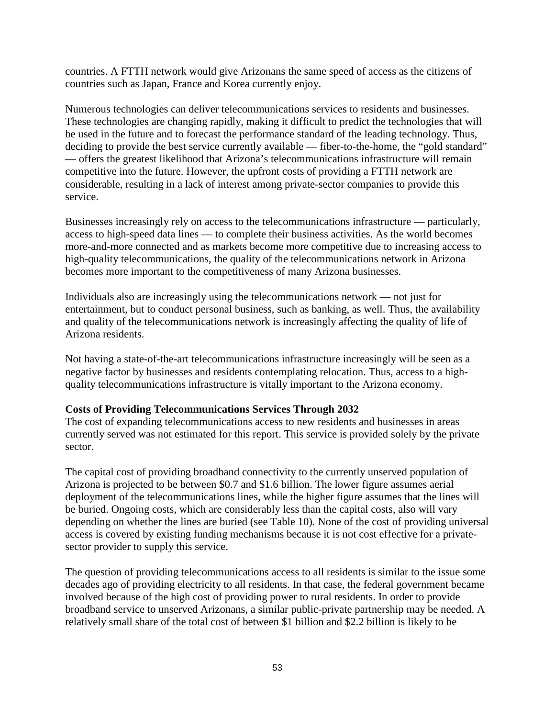countries. A FTTH network would give Arizonans the same speed of access as the citizens of countries such as Japan, France and Korea currently enjoy.

Numerous technologies can deliver telecommunications services to residents and businesses. These technologies are changing rapidly, making it difficult to predict the technologies that will be used in the future and to forecast the performance standard of the leading technology. Thus, deciding to provide the best service currently available — fiber-to-the-home, the "gold standard" — offers the greatest likelihood that Arizona's telecommunications infrastructure will remain competitive into the future. However, the upfront costs of providing a FTTH network are considerable, resulting in a lack of interest among private-sector companies to provide this service.

Businesses increasingly rely on access to the telecommunications infrastructure — particularly, access to high-speed data lines — to complete their business activities. As the world becomes more-and-more connected and as markets become more competitive due to increasing access to high-quality telecommunications, the quality of the telecommunications network in Arizona becomes more important to the competitiveness of many Arizona businesses.

Individuals also are increasingly using the telecommunications network — not just for entertainment, but to conduct personal business, such as banking, as well. Thus, the availability and quality of the telecommunications network is increasingly affecting the quality of life of Arizona residents.

Not having a state-of-the-art telecommunications infrastructure increasingly will be seen as a negative factor by businesses and residents contemplating relocation. Thus, access to a highquality telecommunications infrastructure is vitally important to the Arizona economy.

## **Costs of Providing Telecommunications Services Through 2032**

The cost of expanding telecommunications access to new residents and businesses in areas currently served was not estimated for this report. This service is provided solely by the private sector.

The capital cost of providing broadband connectivity to the currently unserved population of Arizona is projected to be between \$0.7 and \$1.6 billion. The lower figure assumes aerial deployment of the telecommunications lines, while the higher figure assumes that the lines will be buried. Ongoing costs, which are considerably less than the capital costs, also will vary depending on whether the lines are buried (see Table 10). None of the cost of providing universal access is covered by existing funding mechanisms because it is not cost effective for a privatesector provider to supply this service.

The question of providing telecommunications access to all residents is similar to the issue some decades ago of providing electricity to all residents. In that case, the federal government became involved because of the high cost of providing power to rural residents. In order to provide broadband service to unserved Arizonans, a similar public-private partnership may be needed. A relatively small share of the total cost of between \$1 billion and \$2.2 billion is likely to be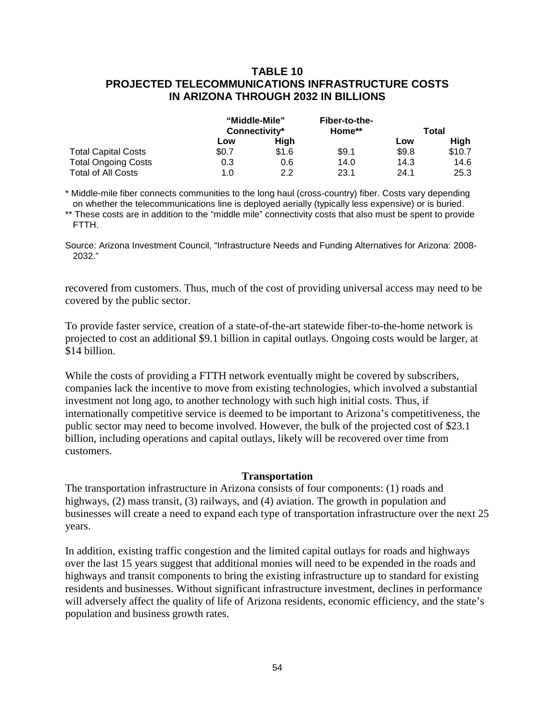# **TABLE 10 PROJECTED TELECOMMUNICATIONS INFRASTRUCTURE COSTS IN ARIZONA THROUGH 2032 IN BILLIONS**

|                            | "Middle-Mile"<br>Connectivity* |       | Fiber-to-the- |       |             |
|----------------------------|--------------------------------|-------|---------------|-------|-------------|
|                            |                                |       | Home**        | Total |             |
|                            | Low                            | Hiah  |               | Low   | <b>High</b> |
| <b>Total Capital Costs</b> | \$0.7                          | \$1.6 | \$9.1         | \$9.8 | \$10.7      |
| <b>Total Ongoing Costs</b> | 0.3                            | 0.6   | 14.0          | 14.3  | 14.6        |
| <b>Total of All Costs</b>  | 1.0                            | 2.2   | 23.1          | 24.1  | 25.3        |

\* Middle-mile fiber connects communities to the long haul (cross-country) fiber. Costs vary depending on whether the telecommunications line is deployed aerially (typically less expensive) or is buried.

\*\* These costs are in addition to the "middle mile" connectivity costs that also must be spent to provide FTTH.

Source: Arizona Investment Council, "Infrastructure Needs and Funding Alternatives for Arizona: 2008- 2032."

recovered from customers. Thus, much of the cost of providing universal access may need to be covered by the public sector.

To provide faster service, creation of a state-of-the-art statewide fiber-to-the-home network is projected to cost an additional \$9.1 billion in capital outlays. Ongoing costs would be larger, at \$14 billion.

While the costs of providing a FTTH network eventually might be covered by subscribers, companies lack the incentive to move from existing technologies, which involved a substantial investment not long ago, to another technology with such high initial costs. Thus, if internationally competitive service is deemed to be important to Arizona's competitiveness, the public sector may need to become involved. However, the bulk of the projected cost of \$23.1 billion, including operations and capital outlays, likely will be recovered over time from customers.

#### **Transportation**

The transportation infrastructure in Arizona consists of four components: (1) roads and highways, (2) mass transit, (3) railways, and (4) aviation. The growth in population and businesses will create a need to expand each type of transportation infrastructure over the next 25 years.

In addition, existing traffic congestion and the limited capital outlays for roads and highways over the last 15 years suggest that additional monies will need to be expended in the roads and highways and transit components to bring the existing infrastructure up to standard for existing residents and businesses. Without significant infrastructure investment, declines in performance will adversely affect the quality of life of Arizona residents, economic efficiency, and the state's population and business growth rates.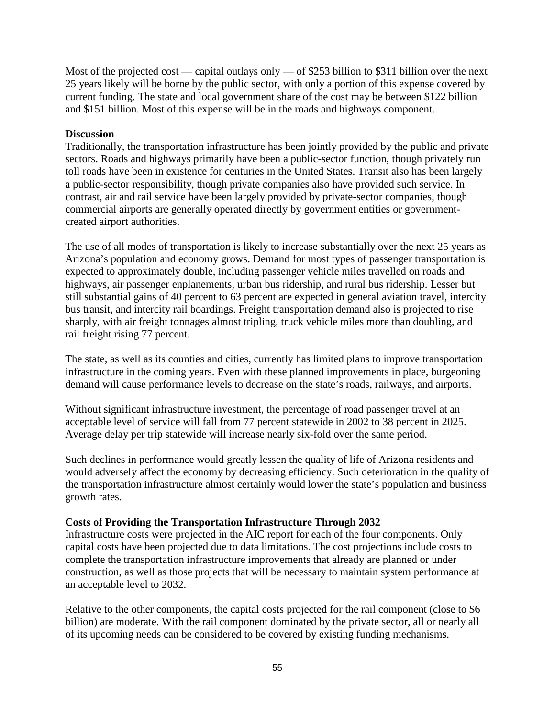Most of the projected cost — capital outlays only — of \$253 billion to \$311 billion over the next 25 years likely will be borne by the public sector, with only a portion of this expense covered by current funding. The state and local government share of the cost may be between \$122 billion and \$151 billion. Most of this expense will be in the roads and highways component.

# **Discussion**

Traditionally, the transportation infrastructure has been jointly provided by the public and private sectors. Roads and highways primarily have been a public-sector function, though privately run toll roads have been in existence for centuries in the United States. Transit also has been largely a public-sector responsibility, though private companies also have provided such service. In contrast, air and rail service have been largely provided by private-sector companies, though commercial airports are generally operated directly by government entities or governmentcreated airport authorities.

The use of all modes of transportation is likely to increase substantially over the next 25 years as Arizona's population and economy grows. Demand for most types of passenger transportation is expected to approximately double, including passenger vehicle miles travelled on roads and highways, air passenger enplanements, urban bus ridership, and rural bus ridership. Lesser but still substantial gains of 40 percent to 63 percent are expected in general aviation travel, intercity bus transit, and intercity rail boardings. Freight transportation demand also is projected to rise sharply, with air freight tonnages almost tripling, truck vehicle miles more than doubling, and rail freight rising 77 percent.

The state, as well as its counties and cities, currently has limited plans to improve transportation infrastructure in the coming years. Even with these planned improvements in place, burgeoning demand will cause performance levels to decrease on the state's roads, railways, and airports.

Without significant infrastructure investment, the percentage of road passenger travel at an acceptable level of service will fall from 77 percent statewide in 2002 to 38 percent in 2025. Average delay per trip statewide will increase nearly six-fold over the same period.

Such declines in performance would greatly lessen the quality of life of Arizona residents and would adversely affect the economy by decreasing efficiency. Such deterioration in the quality of the transportation infrastructure almost certainly would lower the state's population and business growth rates.

## **Costs of Providing the Transportation Infrastructure Through 2032**

Infrastructure costs were projected in the AIC report for each of the four components. Only capital costs have been projected due to data limitations. The cost projections include costs to complete the transportation infrastructure improvements that already are planned or under construction, as well as those projects that will be necessary to maintain system performance at an acceptable level to 2032.

Relative to the other components, the capital costs projected for the rail component (close to \$6 billion) are moderate. With the rail component dominated by the private sector, all or nearly all of its upcoming needs can be considered to be covered by existing funding mechanisms.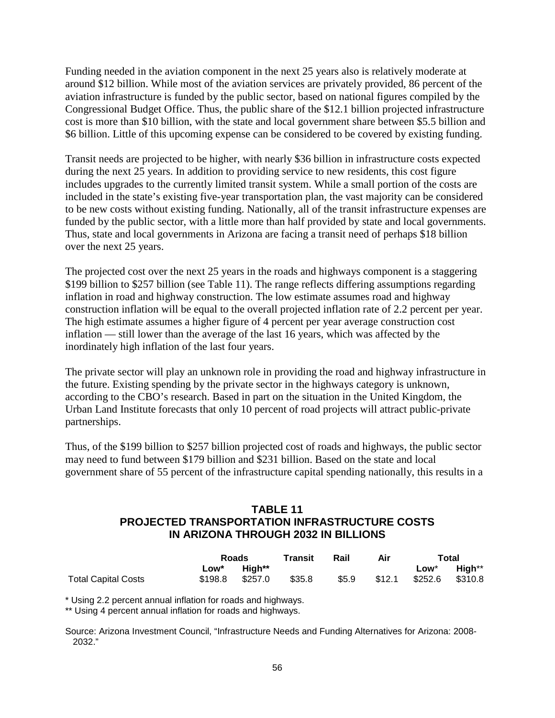Funding needed in the aviation component in the next 25 years also is relatively moderate at around \$12 billion. While most of the aviation services are privately provided, 86 percent of the aviation infrastructure is funded by the public sector, based on national figures compiled by the Congressional Budget Office. Thus, the public share of the \$12.1 billion projected infrastructure cost is more than \$10 billion, with the state and local government share between \$5.5 billion and \$6 billion. Little of this upcoming expense can be considered to be covered by existing funding.

Transit needs are projected to be higher, with nearly \$36 billion in infrastructure costs expected during the next 25 years. In addition to providing service to new residents, this cost figure includes upgrades to the currently limited transit system. While a small portion of the costs are included in the state's existing five-year transportation plan, the vast majority can be considered to be new costs without existing funding. Nationally, all of the transit infrastructure expenses are funded by the public sector, with a little more than half provided by state and local governments. Thus, state and local governments in Arizona are facing a transit need of perhaps \$18 billion over the next 25 years.

The projected cost over the next 25 years in the roads and highways component is a staggering \$199 billion to \$257 billion (see Table 11). The range reflects differing assumptions regarding inflation in road and highway construction. The low estimate assumes road and highway construction inflation will be equal to the overall projected inflation rate of 2.2 percent per year. The high estimate assumes a higher figure of 4 percent per year average construction cost inflation — still lower than the average of the last 16 years, which was affected by the inordinately high inflation of the last four years.

The private sector will play an unknown role in providing the road and highway infrastructure in the future. Existing spending by the private sector in the highways category is unknown, according to the CBO's research. Based in part on the situation in the United Kingdom, the Urban Land Institute forecasts that only 10 percent of road projects will attract public-private partnerships.

Thus, of the \$199 billion to \$257 billion projected cost of roads and highways, the public sector may need to fund between \$179 billion and \$231 billion. Based on the state and local government share of 55 percent of the infrastructure capital spending nationally, this results in a

# **TABLE 11 PROJECTED TRANSPORTATION INFRASTRUCTURE COSTS IN ARIZONA THROUGH 2032 IN BILLIONS**

|                            |      | Roads           |        | Rail  | Air    | Total           |        |
|----------------------------|------|-----------------|--------|-------|--------|-----------------|--------|
|                            | ∟ow* | Hiah**          |        |       |        | Low*            | High** |
| <b>Total Capital Costs</b> |      | \$198.8 \$257.0 | \$35.8 | \$5.9 | \$12.1 | \$252.6 \$310.8 |        |

\* Using 2.2 percent annual inflation for roads and highways.

\*\* Using 4 percent annual inflation for roads and highways.

Source: Arizona Investment Council, "Infrastructure Needs and Funding Alternatives for Arizona: 2008- 2032."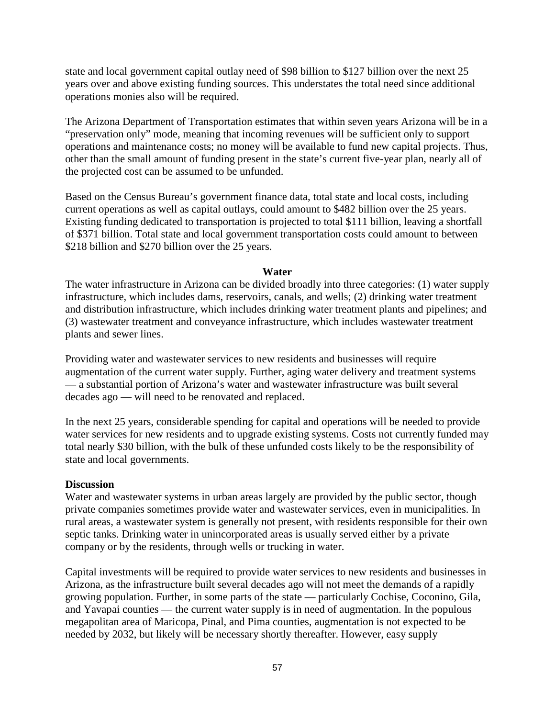state and local government capital outlay need of \$98 billion to \$127 billion over the next 25 years over and above existing funding sources. This understates the total need since additional operations monies also will be required.

The Arizona Department of Transportation estimates that within seven years Arizona will be in a "preservation only" mode, meaning that incoming revenues will be sufficient only to support operations and maintenance costs; no money will be available to fund new capital projects. Thus, other than the small amount of funding present in the state's current five-year plan, nearly all of the projected cost can be assumed to be unfunded.

Based on the Census Bureau's government finance data, total state and local costs, including current operations as well as capital outlays, could amount to \$482 billion over the 25 years. Existing funding dedicated to transportation is projected to total \$111 billion, leaving a shortfall of \$371 billion. Total state and local government transportation costs could amount to between \$218 billion and \$270 billion over the 25 years.

### **Water**

The water infrastructure in Arizona can be divided broadly into three categories: (1) water supply infrastructure, which includes dams, reservoirs, canals, and wells; (2) drinking water treatment and distribution infrastructure, which includes drinking water treatment plants and pipelines; and (3) wastewater treatment and conveyance infrastructure, which includes wastewater treatment plants and sewer lines.

Providing water and wastewater services to new residents and businesses will require augmentation of the current water supply. Further, aging water delivery and treatment systems — a substantial portion of Arizona's water and wastewater infrastructure was built several decades ago — will need to be renovated and replaced.

In the next 25 years, considerable spending for capital and operations will be needed to provide water services for new residents and to upgrade existing systems. Costs not currently funded may total nearly \$30 billion, with the bulk of these unfunded costs likely to be the responsibility of state and local governments.

## **Discussion**

Water and wastewater systems in urban areas largely are provided by the public sector, though private companies sometimes provide water and wastewater services, even in municipalities. In rural areas, a wastewater system is generally not present, with residents responsible for their own septic tanks. Drinking water in unincorporated areas is usually served either by a private company or by the residents, through wells or trucking in water.

Capital investments will be required to provide water services to new residents and businesses in Arizona, as the infrastructure built several decades ago will not meet the demands of a rapidly growing population. Further, in some parts of the state — particularly Cochise, Coconino, Gila, and Yavapai counties — the current water supply is in need of augmentation. In the populous megapolitan area of Maricopa, Pinal, and Pima counties, augmentation is not expected to be needed by 2032, but likely will be necessary shortly thereafter. However, easy supply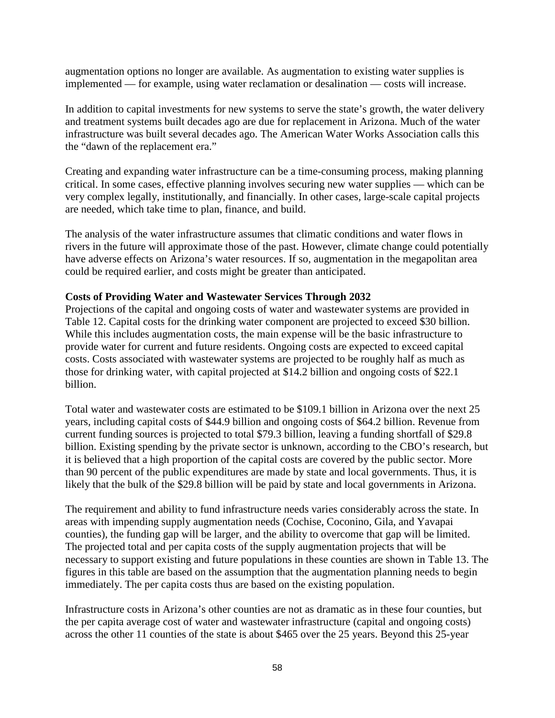augmentation options no longer are available. As augmentation to existing water supplies is implemented — for example, using water reclamation or desalination — costs will increase.

In addition to capital investments for new systems to serve the state's growth, the water delivery and treatment systems built decades ago are due for replacement in Arizona. Much of the water infrastructure was built several decades ago. The American Water Works Association calls this the "dawn of the replacement era."

Creating and expanding water infrastructure can be a time-consuming process, making planning critical. In some cases, effective planning involves securing new water supplies — which can be very complex legally, institutionally, and financially. In other cases, large-scale capital projects are needed, which take time to plan, finance, and build.

The analysis of the water infrastructure assumes that climatic conditions and water flows in rivers in the future will approximate those of the past. However, climate change could potentially have adverse effects on Arizona's water resources. If so, augmentation in the megapolitan area could be required earlier, and costs might be greater than anticipated.

## **Costs of Providing Water and Wastewater Services Through 2032**

Projections of the capital and ongoing costs of water and wastewater systems are provided in Table 12. Capital costs for the drinking water component are projected to exceed \$30 billion. While this includes augmentation costs, the main expense will be the basic infrastructure to provide water for current and future residents. Ongoing costs are expected to exceed capital costs. Costs associated with wastewater systems are projected to be roughly half as much as those for drinking water, with capital projected at \$14.2 billion and ongoing costs of \$22.1 billion.

Total water and wastewater costs are estimated to be \$109.1 billion in Arizona over the next 25 years, including capital costs of \$44.9 billion and ongoing costs of \$64.2 billion. Revenue from current funding sources is projected to total \$79.3 billion, leaving a funding shortfall of \$29.8 billion. Existing spending by the private sector is unknown, according to the CBO's research, but it is believed that a high proportion of the capital costs are covered by the public sector. More than 90 percent of the public expenditures are made by state and local governments. Thus, it is likely that the bulk of the \$29.8 billion will be paid by state and local governments in Arizona.

The requirement and ability to fund infrastructure needs varies considerably across the state. In areas with impending supply augmentation needs (Cochise, Coconino, Gila, and Yavapai counties), the funding gap will be larger, and the ability to overcome that gap will be limited. The projected total and per capita costs of the supply augmentation projects that will be necessary to support existing and future populations in these counties are shown in Table 13. The figures in this table are based on the assumption that the augmentation planning needs to begin immediately. The per capita costs thus are based on the existing population.

Infrastructure costs in Arizona's other counties are not as dramatic as in these four counties, but the per capita average cost of water and wastewater infrastructure (capital and ongoing costs) across the other 11 counties of the state is about \$465 over the 25 years. Beyond this 25-year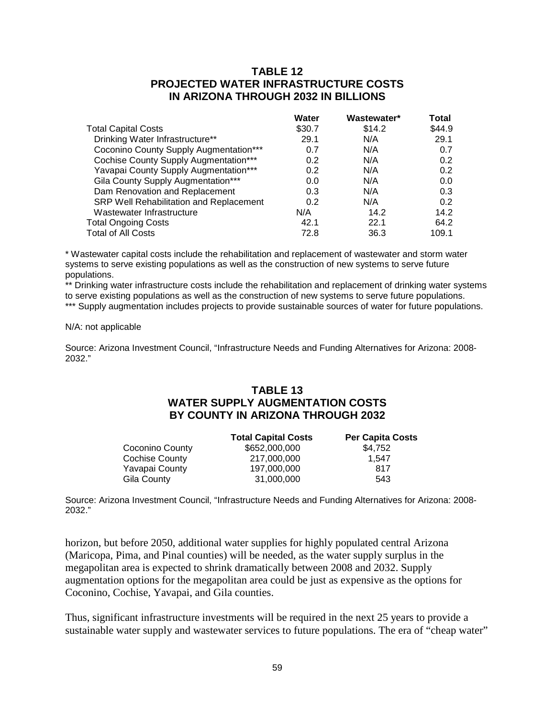# **TABLE 12 PROJECTED WATER INFRASTRUCTURE COSTS IN ARIZONA THROUGH 2032 IN BILLIONS**

|                                              | <b>Water</b> | Wastewater* | Total  |
|----------------------------------------------|--------------|-------------|--------|
| <b>Total Capital Costs</b>                   | \$30.7       | \$14.2      | \$44.9 |
| Drinking Water Infrastructure**              | 29.1         | N/A         | 29.1   |
| Coconino County Supply Augmentation***       | 0.7          | N/A         | 0.7    |
| <b>Cochise County Supply Augmentation***</b> | 0.2          | N/A         | 0.2    |
| Yavapai County Supply Augmentation***        | 0.2          | N/A         | 0.2    |
| Gila County Supply Augmentation***           | 0.0          | N/A         | 0.0    |
| Dam Renovation and Replacement               | 0.3          | N/A         | 0.3    |
| SRP Well Rehabilitation and Replacement      | 0.2          | N/A         | 0.2    |
| Wastewater Infrastructure                    | N/A          | 14.2        | 14.2   |
| <b>Total Ongoing Costs</b>                   | 42.1         | 22.1        | 64.2   |
| <b>Total of All Costs</b>                    | 72.8         | 36.3        | 109.1  |

\* Wastewater capital costs include the rehabilitation and replacement of wastewater and storm water systems to serve existing populations as well as the construction of new systems to serve future populations.

\*\* Drinking water infrastructure costs include the rehabilitation and replacement of drinking water systems to serve existing populations as well as the construction of new systems to serve future populations.

\*\*\* Supply augmentation includes projects to provide sustainable sources of water for future populations.

#### N/A: not applicable

Source: Arizona Investment Council, "Infrastructure Needs and Funding Alternatives for Arizona: 2008- 2032."

# **TABLE 13 WATER SUPPLY AUGMENTATION COSTS BY COUNTY IN ARIZONA THROUGH 2032**

|                 | <b>Total Capital Costs</b> | <b>Per Capita Costs</b> |
|-----------------|----------------------------|-------------------------|
| Coconino County | \$652,000,000              | \$4.752                 |
| Cochise County  | 217,000,000                | 1.547                   |
| Yavapai County  | 197,000,000                | 817                     |
| Gila County     | 31,000,000                 | 543                     |

Source: Arizona Investment Council, "Infrastructure Needs and Funding Alternatives for Arizona: 2008- 2032."

horizon, but before 2050, additional water supplies for highly populated central Arizona (Maricopa, Pima, and Pinal counties) will be needed, as the water supply surplus in the megapolitan area is expected to shrink dramatically between 2008 and 2032. Supply augmentation options for the megapolitan area could be just as expensive as the options for Coconino, Cochise, Yavapai, and Gila counties.

Thus, significant infrastructure investments will be required in the next 25 years to provide a sustainable water supply and wastewater services to future populations. The era of "cheap water"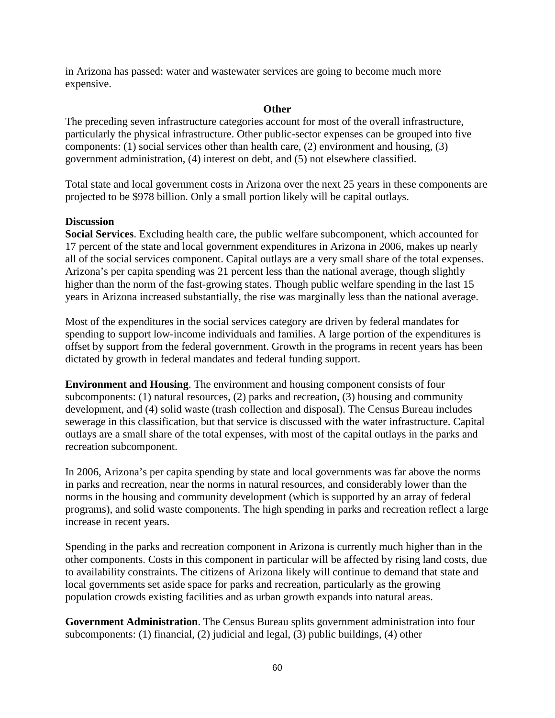in Arizona has passed: water and wastewater services are going to become much more expensive.

## **Other**

The preceding seven infrastructure categories account for most of the overall infrastructure, particularly the physical infrastructure. Other public-sector expenses can be grouped into five components: (1) social services other than health care, (2) environment and housing, (3) government administration, (4) interest on debt, and (5) not elsewhere classified.

Total state and local government costs in Arizona over the next 25 years in these components are projected to be \$978 billion. Only a small portion likely will be capital outlays.

# **Discussion**

**Social Services**. Excluding health care, the public welfare subcomponent, which accounted for 17 percent of the state and local government expenditures in Arizona in 2006, makes up nearly all of the social services component. Capital outlays are a very small share of the total expenses. Arizona's per capita spending was 21 percent less than the national average, though slightly higher than the norm of the fast-growing states. Though public welfare spending in the last 15 years in Arizona increased substantially, the rise was marginally less than the national average.

Most of the expenditures in the social services category are driven by federal mandates for spending to support low-income individuals and families. A large portion of the expenditures is offset by support from the federal government. Growth in the programs in recent years has been dictated by growth in federal mandates and federal funding support.

**Environment and Housing**. The environment and housing component consists of four subcomponents: (1) natural resources, (2) parks and recreation, (3) housing and community development, and (4) solid waste (trash collection and disposal). The Census Bureau includes sewerage in this classification, but that service is discussed with the water infrastructure. Capital outlays are a small share of the total expenses, with most of the capital outlays in the parks and recreation subcomponent.

In 2006, Arizona's per capita spending by state and local governments was far above the norms in parks and recreation, near the norms in natural resources, and considerably lower than the norms in the housing and community development (which is supported by an array of federal programs), and solid waste components. The high spending in parks and recreation reflect a large increase in recent years.

Spending in the parks and recreation component in Arizona is currently much higher than in the other components. Costs in this component in particular will be affected by rising land costs, due to availability constraints. The citizens of Arizona likely will continue to demand that state and local governments set aside space for parks and recreation, particularly as the growing population crowds existing facilities and as urban growth expands into natural areas.

**Government Administration**. The Census Bureau splits government administration into four subcomponents: (1) financial, (2) judicial and legal, (3) public buildings, (4) other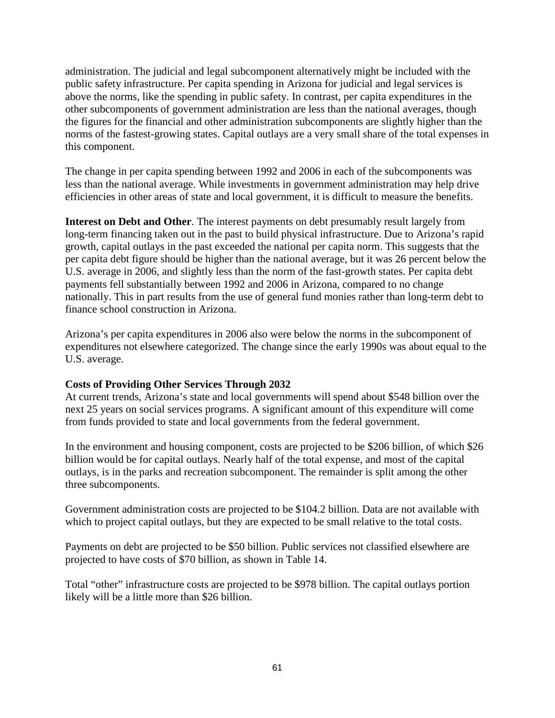administration. The judicial and legal subcomponent alternatively might be included with the public safety infrastructure. Per capita spending in Arizona for judicial and legal services is above the norms, like the spending in public safety. In contrast, per capita expenditures in the other subcomponents of government administration are less than the national averages, though the figures for the financial and other administration subcomponents are slightly higher than the norms of the fastest-growing states. Capital outlays are a very small share of the total expenses in this component.

The change in per capita spending between 1992 and 2006 in each of the subcomponents was less than the national average. While investments in government administration may help drive efficiencies in other areas of state and local government, it is difficult to measure the benefits.

**Interest on Debt and Other**. The interest payments on debt presumably result largely from long-term financing taken out in the past to build physical infrastructure. Due to Arizona's rapid growth, capital outlays in the past exceeded the national per capita norm. This suggests that the per capita debt figure should be higher than the national average, but it was 26 percent below the U.S. average in 2006, and slightly less than the norm of the fast-growth states. Per capita debt payments fell substantially between 1992 and 2006 in Arizona, compared to no change nationally. This in part results from the use of general fund monies rather than long-term debt to finance school construction in Arizona.

Arizona's per capita expenditures in 2006 also were below the norms in the subcomponent of expenditures not elsewhere categorized. The change since the early 1990s was about equal to the U.S. average.

# **Costs of Providing Other Services Through 2032**

At current trends, Arizona's state and local governments will spend about \$548 billion over the next 25 years on social services programs. A significant amount of this expenditure will come from funds provided to state and local governments from the federal government.

In the environment and housing component, costs are projected to be \$206 billion, of which \$26 billion would be for capital outlays. Nearly half of the total expense, and most of the capital outlays, is in the parks and recreation subcomponent. The remainder is split among the other three subcomponents.

Government administration costs are projected to be \$104.2 billion. Data are not available with which to project capital outlays, but they are expected to be small relative to the total costs.

Payments on debt are projected to be \$50 billion. Public services not classified elsewhere are projected to have costs of \$70 billion, as shown in Table 14.

Total "other" infrastructure costs are projected to be \$978 billion. The capital outlays portion likely will be a little more than \$26 billion.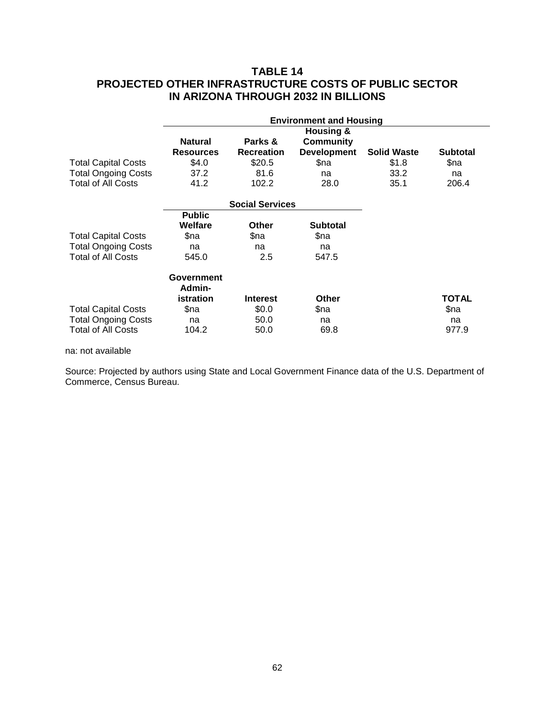# **TABLE 14 PROJECTED OTHER INFRASTRUCTURE COSTS OF PUBLIC SECTOR IN ARIZONA THROUGH 2032 IN BILLIONS**

|                            | <b>Environment and Housing</b> |                        |                      |                    |                 |
|----------------------------|--------------------------------|------------------------|----------------------|--------------------|-----------------|
|                            |                                |                        | <b>Housing &amp;</b> |                    |                 |
|                            | <b>Natural</b>                 | Parks &                | Community            |                    |                 |
|                            | <b>Resources</b>               | <b>Recreation</b>      | <b>Development</b>   | <b>Solid Waste</b> | <b>Subtotal</b> |
| <b>Total Capital Costs</b> | \$4.0                          | \$20.5                 | \$na                 | \$1.8              | \$na            |
| <b>Total Ongoing Costs</b> | 37.2                           | 81.6                   | na                   | 33.2               | na              |
| Total of All Costs         | 41.2                           | 102.2                  | 28.0                 | 35.1               | 206.4           |
|                            |                                | <b>Social Services</b> |                      |                    |                 |
|                            | <b>Public</b>                  |                        |                      |                    |                 |
|                            | Welfare                        | Other                  | <b>Subtotal</b>      |                    |                 |
| <b>Total Capital Costs</b> | \$na                           | \$na                   | \$na                 |                    |                 |
| <b>Total Ongoing Costs</b> | na                             | na                     | na                   |                    |                 |
| Total of All Costs         | 545.0                          | 2.5                    | 547.5                |                    |                 |
|                            | <b>Government</b>              |                        |                      |                    |                 |
|                            | Admin-                         |                        |                      |                    |                 |
|                            | istration                      | <b>Interest</b>        | <b>Other</b>         |                    | TOTAL           |
| <b>Total Capital Costs</b> | \$na                           | \$0.0                  | \$na                 |                    | \$na            |
| <b>Total Ongoing Costs</b> | na                             | 50.0                   | na                   |                    | na              |
| <b>Total of All Costs</b>  | 104.2                          | 50.0                   | 69.8                 |                    | 977.9           |

na: not available

Source: Projected by authors using State and Local Government Finance data of the U.S. Department of Commerce, Census Bureau.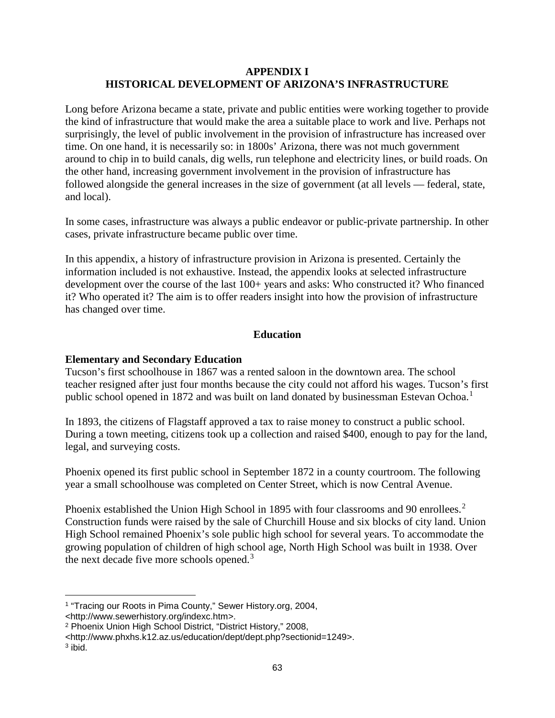# **APPENDIX I HISTORICAL DEVELOPMENT OF ARIZONA'S INFRASTRUCTURE**

Long before Arizona became a state, private and public entities were working together to provide the kind of infrastructure that would make the area a suitable place to work and live. Perhaps not surprisingly, the level of public involvement in the provision of infrastructure has increased over time. On one hand, it is necessarily so: in 1800s' Arizona, there was not much government around to chip in to build canals, dig wells, run telephone and electricity lines, or build roads. On the other hand, increasing government involvement in the provision of infrastructure has followed alongside the general increases in the size of government (at all levels — federal, state, and local).

In some cases, infrastructure was always a public endeavor or public-private partnership. In other cases, private infrastructure became public over time.

In this appendix, a history of infrastructure provision in Arizona is presented. Certainly the information included is not exhaustive. Instead, the appendix looks at selected infrastructure development over the course of the last 100+ years and asks: Who constructed it? Who financed it? Who operated it? The aim is to offer readers insight into how the provision of infrastructure has changed over time.

# **Education**

# **Elementary and Secondary Education**

Tucson's first schoolhouse in 1867 was a rented saloon in the downtown area. The school teacher resigned after just four months because the city could not afford his wages. Tucson's first public school opened in [1](#page-66-0)872 and was built on land donated by businessman Estevan Ochoa.<sup>1</sup>

In 1893, the citizens of Flagstaff approved a tax to raise money to construct a public school. During a town meeting, citizens took up a collection and raised \$400, enough to pay for the land, legal, and surveying costs.

Phoenix opened its first public school in September 1872 in a county courtroom. The following year a small schoolhouse was completed on Center Street, which is now Central Avenue.

Phoenix established the Union High School in 1895 with four classrooms and 90 enrollees.<sup>[2](#page-66-1)</sup> Construction funds were raised by the sale of Churchill House and six blocks of city land. Union High School remained Phoenix's sole public high school for several years. To accommodate the growing population of children of high school age, North High School was built in 1938. Over the next decade five more schools opened.<sup>[3](#page-66-2)</sup>

 $\overline{a}$ 

<span id="page-66-0"></span><sup>1</sup> "Tracing our Roots in Pima County," Sewer History.org, 2004,

<sup>&</sup>lt;http://www.sewerhistory.org/indexc.htm>.

<span id="page-66-1"></span><sup>2</sup> Phoenix Union High School District, "District History," 2008,

<sup>&</sup>lt;http://www.phxhs.k12.az.us/education/dept/dept.php?sectionid=1249>.

<span id="page-66-2"></span> $3$  ibid.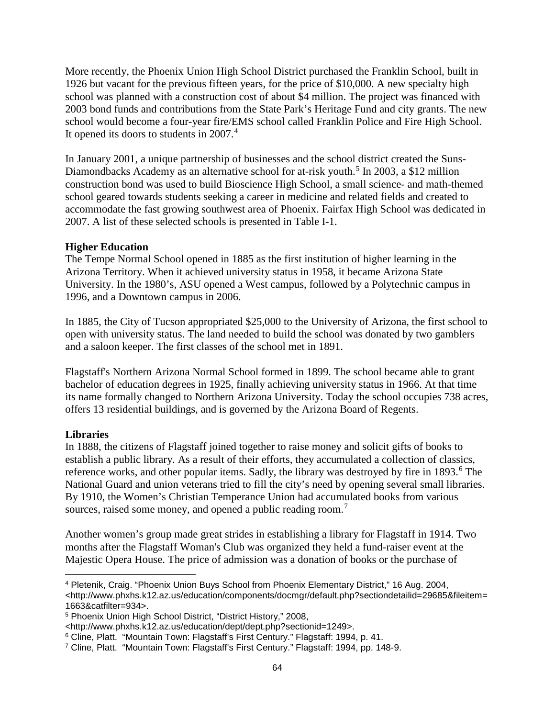More recently, the Phoenix Union High School District purchased the Franklin School, built in 1926 but vacant for the previous fifteen years, for the price of \$10,000. A new specialty high school was planned with a construction cost of about \$4 million. The project was financed with 2003 bond funds and contributions from the State Park's Heritage Fund and city grants. The new school would become a four-year fire/EMS school called Franklin Police and Fire High School. It opened its doors to students in 2007. [4](#page-67-0)

In January 2001, a unique partnership of businesses and the school district created the Suns-Diamondbacks Academy as an alternative school for at-risk youth.<sup>[5](#page-67-1)</sup> In 2003, a \$12 million construction bond was used to build Bioscience High School, a small science- and math-themed school geared towards students seeking a career in medicine and related fields and created to accommodate the fast growing southwest area of Phoenix. Fairfax High School was dedicated in 2007. A list of these selected schools is presented in Table I-1.

### **Higher Education**

The Tempe Normal School opened in 1885 as the first institution of higher learning in the Arizona Territory. When it achieved university status in 1958, it became Arizona State University. In the 1980's, ASU opened a West campus, followed by a Polytechnic campus in 1996, and a Downtown campus in 2006.

In 1885, the City of Tucson appropriated \$25,000 to the University of Arizona, the first school to open with university status. The land needed to build the school was donated by two gamblers and a saloon keeper. The first classes of the school met in 1891.

Flagstaff's Northern Arizona Normal School formed in 1899. The school became able to grant bachelor of education degrees in 1925, finally achieving university status in 1966. At that time its name formally changed to Northern Arizona University. Today the school occupies 738 acres, offers 13 residential buildings, and is governed by the Arizona Board of Regents.

## **Libraries**

In 1888, the citizens of Flagstaff joined together to raise money and solicit gifts of books to establish a public library. As a result of their efforts, they accumulated a collection of classics, reference works, and other popular items. Sadly, the library was destroyed by fire in 1893.<sup>[6](#page-67-2)</sup> The National Guard and union veterans tried to fill the city's need by opening several small libraries. By 1910, the Women's Christian Temperance Union had accumulated books from various sources, raised some money, and opened a public reading room.<sup>[7](#page-67-3)</sup>

Another women's group made great strides in establishing a library for Flagstaff in 1914. Two months after the Flagstaff Woman's Club was organized they held a fund-raiser event at the Majestic Opera House. The price of admission was a donation of books or the purchase of

<span id="page-67-0"></span><sup>4</sup> Pletenik, Craig. "Phoenix Union Buys School from Phoenix Elementary District," 16 Aug. 2004, <http://www.phxhs.k12.az.us/education/components/docmgr/default.php?sectiondetailid=29685&fileitem= 1663&catfilter=934>.  $\overline{a}$ 

<span id="page-67-1"></span><sup>5</sup> Phoenix Union High School District, "District History," 2008,

<sup>&</sup>lt;http://www.phxhs.k12.az.us/education/dept/dept.php?sectionid=1249>.

<span id="page-67-2"></span><sup>6</sup> Cline, Platt. "Mountain Town: Flagstaff's First Century." Flagstaff: 1994, p. 41.

<span id="page-67-3"></span><sup>7</sup> Cline, Platt. "Mountain Town: Flagstaff's First Century." Flagstaff: 1994, pp. 148-9.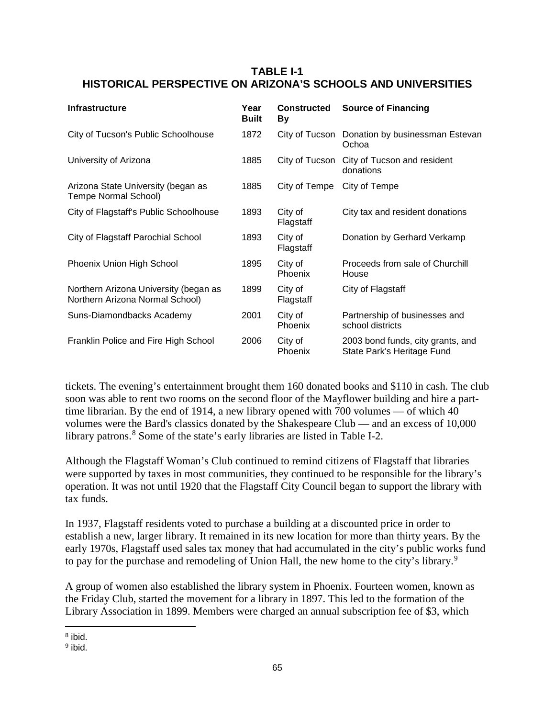# **TABLE I-1 HISTORICAL PERSPECTIVE ON ARIZONA'S SCHOOLS AND UNIVERSITIES**

| <b>Infrastructure</b>                                                    | Year<br><b>Built</b> | <b>Constructed</b><br>Вy  | <b>Source of Financing</b>                                      |
|--------------------------------------------------------------------------|----------------------|---------------------------|-----------------------------------------------------------------|
| City of Tucson's Public Schoolhouse                                      | 1872                 | City of Tucson            | Donation by businessman Estevan<br>Ochoa                        |
| University of Arizona                                                    | 1885                 | City of Tucson            | City of Tucson and resident<br>donations                        |
| Arizona State University (began as<br>Tempe Normal School)               | 1885                 | City of Tempe             | City of Tempe                                                   |
| City of Flagstaff's Public Schoolhouse                                   | 1893                 | City of<br>Flagstaff      | City tax and resident donations                                 |
| City of Flagstaff Parochial School                                       | 1893                 | City of<br>Flagstaff      | Donation by Gerhard Verkamp                                     |
| Phoenix Union High School                                                | 1895                 | City of<br><b>Phoenix</b> | Proceeds from sale of Churchill<br>House                        |
| Northern Arizona University (began as<br>Northern Arizona Normal School) | 1899                 | City of<br>Flagstaff      | City of Flagstaff                                               |
| Suns-Diamondbacks Academy                                                | 2001                 | City of<br>Phoenix        | Partnership of businesses and<br>school districts               |
| Franklin Police and Fire High School                                     | 2006                 | City of<br>Phoenix        | 2003 bond funds, city grants, and<br>State Park's Heritage Fund |

tickets. The evening's entertainment brought them 160 donated books and \$110 in cash. The club soon was able to rent two rooms on the second floor of the Mayflower building and hire a parttime librarian. By the end of 1914, a new library opened with 700 volumes — of which 40 volumes were the Bard's classics donated by the Shakespeare Club — and an excess of 10,000 library patrons.<sup>[8](#page-68-0)</sup> Some of the state's early libraries are listed in Table I-2.

Although the Flagstaff Woman's Club continued to remind citizens of Flagstaff that libraries were supported by taxes in most communities, they continued to be responsible for the library's operation. It was not until 1920 that the Flagstaff City Council began to support the library with tax funds.

In 1937, Flagstaff residents voted to purchase a building at a discounted price in order to establish a new, larger library. It remained in its new location for more than thirty years. By the early 1970s, Flagstaff used sales tax money that had accumulated in the city's public works fund to pay for the purchase and remodeling of Union Hall, the new home to the city's library.<sup>[9](#page-68-1)</sup>

A group of women also established the library system in Phoenix. Fourteen women, known as the Friday Club, started the movement for a library in 1897. This led to the formation of the Library Association in 1899. Members were charged an annual subscription fee of \$3, which

<span id="page-68-0"></span><sup>8</sup> ibid.  $\overline{a}$ 

<span id="page-68-1"></span><sup>9</sup> ibid.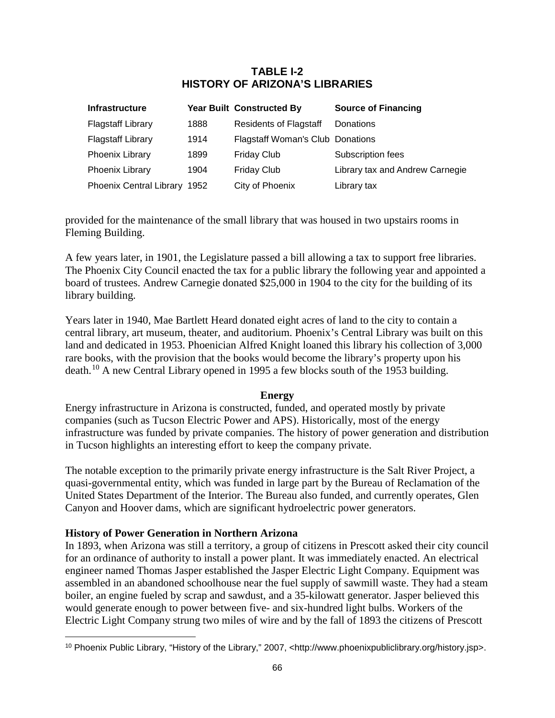# **TABLE I-2 HISTORY OF ARIZONA'S LIBRARIES**

| Infrastructure               |      | <b>Year Built Constructed By</b>        | <b>Source of Financing</b>      |
|------------------------------|------|-----------------------------------------|---------------------------------|
| <b>Flagstaff Library</b>     | 1888 | <b>Residents of Flagstaff</b>           | Donations                       |
| <b>Flagstaff Library</b>     | 1914 | <b>Flagstaff Woman's Club Donations</b> |                                 |
| Phoenix Library              | 1899 | <b>Friday Club</b>                      | Subscription fees               |
| Phoenix Library              | 1904 | Friday Club                             | Library tax and Andrew Carnegie |
| Phoenix Central Library 1952 |      | City of Phoenix                         | Library tax                     |

provided for the maintenance of the small library that was housed in two upstairs rooms in Fleming Building.

A few years later, in 1901, the Legislature passed a bill allowing a tax to support free libraries. The Phoenix City Council enacted the tax for a public library the following year and appointed a board of trustees. Andrew Carnegie donated \$25,000 in 1904 to the city for the building of its library building.

Years later in 1940, Mae Bartlett Heard donated eight acres of land to the city to contain a central library, art museum, theater, and auditorium. Phoenix's Central Library was built on this land and dedicated in 1953. Phoenician Alfred Knight loaned this library his collection of 3,000 rare books, with the provision that the books would become the library's property upon his death.<sup>[10](#page-69-0)</sup> A new Central Library opened in 1995 a few blocks south of the 1953 building.

## **Energy**

Energy infrastructure in Arizona is constructed, funded, and operated mostly by private companies (such as Tucson Electric Power and APS). Historically, most of the energy infrastructure was funded by private companies. The history of power generation and distribution in Tucson highlights an interesting effort to keep the company private.

The notable exception to the primarily private energy infrastructure is the Salt River Project, a quasi-governmental entity, which was funded in large part by the Bureau of Reclamation of the United States Department of the Interior. The Bureau also funded, and currently operates, Glen Canyon and Hoover dams, which are significant hydroelectric power generators.

## **History of Power Generation in Northern Arizona**

 $\overline{a}$ 

In 1893, when Arizona was still a territory, a group of citizens in Prescott asked their city council for an ordinance of authority to install a power plant. It was immediately enacted. An electrical engineer named Thomas Jasper established the Jasper Electric Light Company. Equipment was assembled in an abandoned schoolhouse near the fuel supply of sawmill waste. They had a steam boiler, an engine fueled by scrap and sawdust, and a 35-kilowatt generator. Jasper believed this would generate enough to power between five- and six-hundred light bulbs. Workers of the Electric Light Company strung two miles of wire and by the fall of 1893 the citizens of Prescott

<span id="page-69-0"></span><sup>10</sup> Phoenix Public Library, "History of the Library," 2007, <http://www.phoenixpubliclibrary.org/history.jsp>.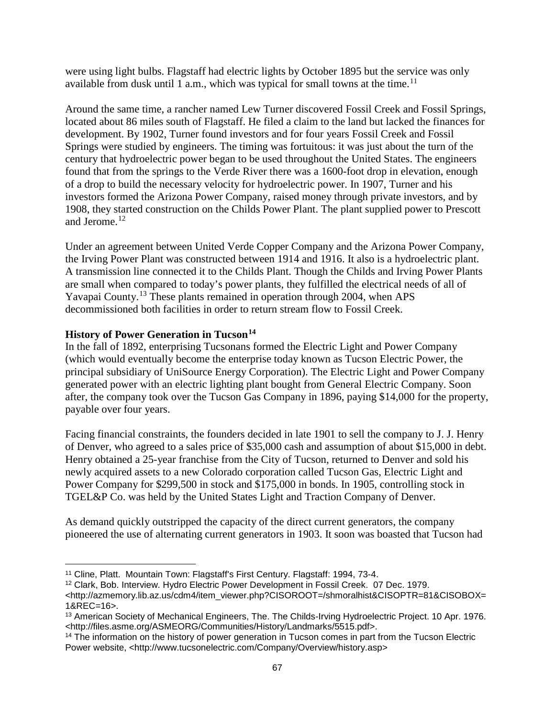were using light bulbs. Flagstaff had electric lights by October 1895 but the service was only available from dusk until 1 a.m., which was typical for small towns at the time.<sup>[11](#page-70-0)</sup>

Around the same time, a rancher named Lew Turner discovered Fossil Creek and Fossil Springs, located about 86 miles south of Flagstaff. He filed a claim to the land but lacked the finances for development. By 1902, Turner found investors and for four years Fossil Creek and Fossil Springs were studied by engineers. The timing was fortuitous: it was just about the turn of the century that hydroelectric power began to be used throughout the United States. The engineers found that from the springs to the Verde River there was a 1600-foot drop in elevation, enough of a drop to build the necessary velocity for hydroelectric power. In 1907, Turner and his investors formed the Arizona Power Company, raised money through private investors, and by 1908, they started construction on the Childs Power Plant. The plant supplied power to Prescott and Jerome.<sup>[12](#page-70-1)</sup>

Under an agreement between United Verde Copper Company and the Arizona Power Company, the Irving Power Plant was constructed between 1914 and 1916. It also is a hydroelectric plant. A transmission line connected it to the Childs Plant. Though the Childs and Irving Power Plants are small when compared to today's power plants, they fulfilled the electrical needs of all of Yavapai County.[13](#page-70-2) These plants remained in operation through 2004, when APS decommissioned both facilities in order to return stream flow to Fossil Creek.

# **History of Power Generation in Tucson[14](#page-70-3)**

 $\overline{a}$ 

In the fall of 1892, enterprising Tucsonans formed the Electric Light and Power Company (which would eventually become the enterprise today known as Tucson Electric Power, the principal subsidiary of UniSource Energy Corporation). The Electric Light and Power Company generated power with an electric lighting plant bought from General Electric Company. Soon after, the company took over the Tucson Gas Company in 1896, paying \$14,000 for the property, payable over four years.

Facing financial constraints, the founders decided in late 1901 to sell the company to J. J. Henry of Denver, who agreed to a sales price of \$35,000 cash and assumption of about \$15,000 in debt. Henry obtained a 25-year franchise from the City of Tucson, returned to Denver and sold his newly acquired assets to a new Colorado corporation called Tucson Gas, Electric Light and Power Company for \$299,500 in stock and \$175,000 in bonds. In 1905, controlling stock in TGEL&P Co. was held by the United States Light and Traction Company of Denver.

As demand quickly outstripped the capacity of the direct current generators, the company pioneered the use of alternating current generators in 1903. It soon was boasted that Tucson had

<span id="page-70-0"></span><sup>11</sup> Cline, Platt. Mountain Town: Flagstaff's First Century. Flagstaff: 1994, 73-4.

<span id="page-70-1"></span><sup>12</sup> Clark, Bob. Interview. Hydro Electric Power Development in Fossil Creek. 07 Dec. 1979.

<sup>&</sup>lt;http://azmemory.lib.az.us/cdm4/item\_viewer.php?CISOROOT=/shmoralhist&CISOPTR=81&CISOBOX= 1&REC=16>.

<span id="page-70-2"></span><sup>13</sup> American Society of Mechanical Engineers, The. The Childs-Irving Hydroelectric Project. 10 Apr. 1976. <http://files.asme.org/ASMEORG/Communities/History/Landmarks/5515.pdf>.

<span id="page-70-3"></span><sup>&</sup>lt;sup>14</sup> The information on the history of power generation in Tucson comes in part from the Tucson Electric Power website, <http://www.tucsonelectric.com/Company/Overview/history.asp>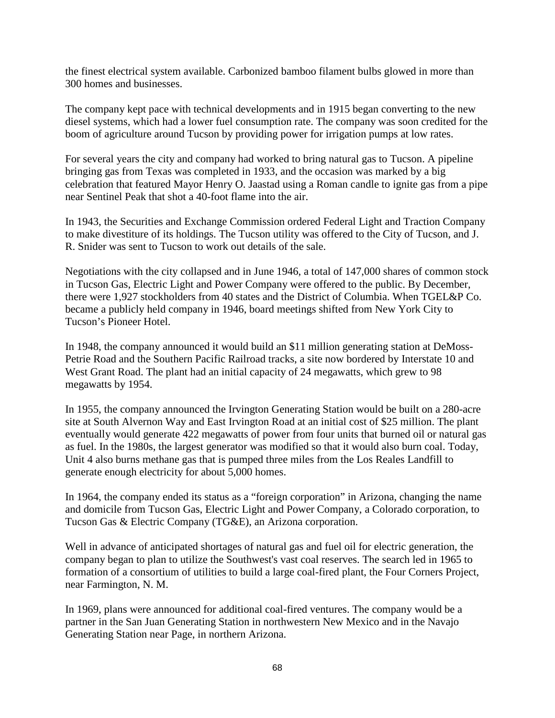the finest electrical system available. Carbonized bamboo filament bulbs glowed in more than 300 homes and businesses.

The company kept pace with technical developments and in 1915 began converting to the new diesel systems, which had a lower fuel consumption rate. The company was soon credited for the boom of agriculture around Tucson by providing power for irrigation pumps at low rates.

For several years the city and company had worked to bring natural gas to Tucson. A pipeline bringing gas from Texas was completed in 1933, and the occasion was marked by a big celebration that featured Mayor Henry O. Jaastad using a Roman candle to ignite gas from a pipe near Sentinel Peak that shot a 40-foot flame into the air.

In 1943, the Securities and Exchange Commission ordered Federal Light and Traction Company to make divestiture of its holdings. The Tucson utility was offered to the City of Tucson, and J. R. Snider was sent to Tucson to work out details of the sale.

Negotiations with the city collapsed and in June 1946, a total of 147,000 shares of common stock in Tucson Gas, Electric Light and Power Company were offered to the public. By December, there were 1,927 stockholders from 40 states and the District of Columbia. When TGEL&P Co. became a publicly held company in 1946, board meetings shifted from New York City to Tucson's Pioneer Hotel.

In 1948, the company announced it would build an \$11 million generating station at DeMoss-Petrie Road and the Southern Pacific Railroad tracks, a site now bordered by Interstate 10 and West Grant Road. The plant had an initial capacity of 24 megawatts, which grew to 98 megawatts by 1954.

In 1955, the company announced the Irvington Generating Station would be built on a 280-acre site at South Alvernon Way and East Irvington Road at an initial cost of \$25 million. The plant eventually would generate 422 megawatts of power from four units that burned oil or natural gas as fuel. In the 1980s, the largest generator was modified so that it would also burn coal. Today, Unit 4 also burns methane gas that is pumped three miles from the Los Reales Landfill to generate enough electricity for about 5,000 homes.

In 1964, the company ended its status as a "foreign corporation" in Arizona, changing the name and domicile from Tucson Gas, Electric Light and Power Company, a Colorado corporation, to Tucson Gas & Electric Company (TG&E), an Arizona corporation.

Well in advance of anticipated shortages of natural gas and fuel oil for electric generation, the company began to plan to utilize the Southwest's vast coal reserves. The search led in 1965 to formation of a consortium of utilities to build a large coal-fired plant, the Four Corners Project, near Farmington, N. M.

In 1969, plans were announced for additional coal-fired ventures. The company would be a partner in the San Juan Generating Station in northwestern New Mexico and in the Navajo Generating Station near Page, in northern Arizona.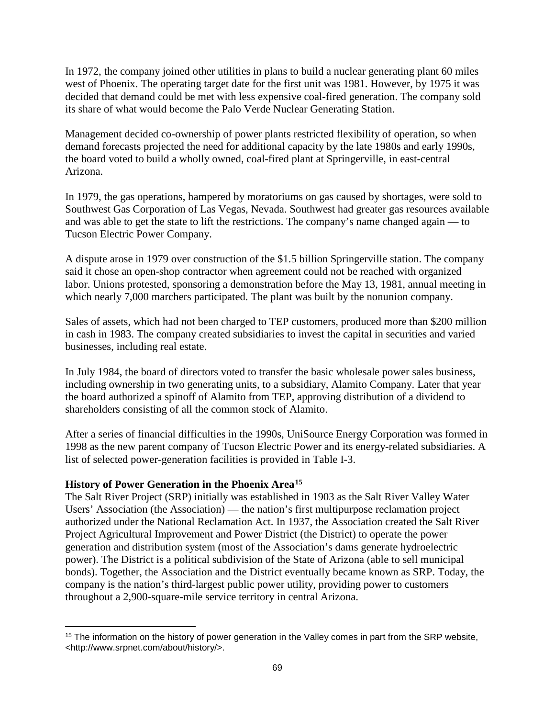In 1972, the company joined other utilities in plans to build a nuclear generating plant 60 miles west of Phoenix. The operating target date for the first unit was 1981. However, by 1975 it was decided that demand could be met with less expensive coal-fired generation. The company sold its share of what would become the Palo Verde Nuclear Generating Station.

Management decided co-ownership of power plants restricted flexibility of operation, so when demand forecasts projected the need for additional capacity by the late 1980s and early 1990s, the board voted to build a wholly owned, coal-fired plant at Springerville, in east-central Arizona.

In 1979, the gas operations, hampered by moratoriums on gas caused by shortages, were sold to Southwest Gas Corporation of Las Vegas, Nevada. Southwest had greater gas resources available and was able to get the state to lift the restrictions. The company's name changed again — to Tucson Electric Power Company.

A dispute arose in 1979 over construction of the \$1.5 billion Springerville station. The company said it chose an open-shop contractor when agreement could not be reached with organized labor. Unions protested, sponsoring a demonstration before the May 13, 1981, annual meeting in which nearly 7,000 marchers participated. The plant was built by the nonunion company.

Sales of assets, which had not been charged to TEP customers, produced more than \$200 million in cash in 1983. The company created subsidiaries to invest the capital in securities and varied businesses, including real estate.

In July 1984, the board of directors voted to transfer the basic wholesale power sales business, including ownership in two generating units, to a subsidiary, Alamito Company. Later that year the board authorized a spinoff of Alamito from TEP, approving distribution of a dividend to shareholders consisting of all the common stock of Alamito.

After a series of financial difficulties in the 1990s, UniSource Energy Corporation was formed in 1998 as the new parent company of Tucson Electric Power and its energy-related subsidiaries. A list of selected power-generation facilities is provided in Table I-3.

# **History of Power Generation in the Phoenix Area[15](#page-72-0)**

 $\overline{a}$ 

The Salt River Project (SRP) initially was established in 1903 as the Salt River Valley Water Users' Association (the Association) — the nation's first multipurpose reclamation project authorized under the National Reclamation Act. In 1937, the Association created the Salt River Project Agricultural Improvement and Power District (the District) to operate the power generation and distribution system (most of the Association's dams generate hydroelectric power). The District is a political subdivision of the State of Arizona (able to sell municipal bonds). Together, the Association and the District eventually became known as SRP. Today, the company is the nation's third-largest public power utility, providing power to customers throughout a 2,900-square-mile service territory in central Arizona.

<span id="page-72-0"></span><sup>&</sup>lt;sup>15</sup> The information on the history of power generation in the Valley comes in part from the SRP website, <http://www.srpnet.com/about/history/>.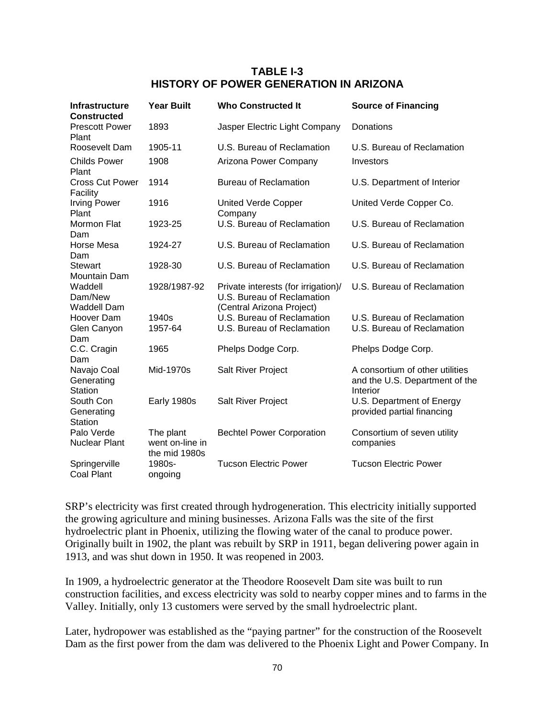# **TABLE I-3 HISTORY OF POWER GENERATION IN ARIZONA**

| <b>Infrastructure</b><br><b>Constructed</b> | <b>Year Built</b>                             | <b>Who Constructed It</b>                                                                      | <b>Source of Financing</b>                                                    |
|---------------------------------------------|-----------------------------------------------|------------------------------------------------------------------------------------------------|-------------------------------------------------------------------------------|
| <b>Prescott Power</b><br>Plant              | 1893                                          | Jasper Electric Light Company                                                                  | Donations                                                                     |
| Roosevelt Dam                               | 1905-11                                       | U.S. Bureau of Reclamation                                                                     | U.S. Bureau of Reclamation                                                    |
| <b>Childs Power</b><br>Plant                | 1908                                          | Arizona Power Company                                                                          | Investors                                                                     |
| <b>Cross Cut Power</b><br>Facility          | 1914                                          | <b>Bureau of Reclamation</b>                                                                   | U.S. Department of Interior                                                   |
| <b>Irving Power</b><br>Plant                | 1916                                          | <b>United Verde Copper</b><br>Company                                                          | United Verde Copper Co.                                                       |
| Mormon Flat<br>Dam                          | 1923-25                                       | U.S. Bureau of Reclamation                                                                     | U.S. Bureau of Reclamation                                                    |
| Horse Mesa<br>Dam                           | 1924-27                                       | U.S. Bureau of Reclamation                                                                     | U.S. Bureau of Reclamation                                                    |
| <b>Stewart</b><br>Mountain Dam              | 1928-30                                       | U.S. Bureau of Reclamation                                                                     | U.S. Bureau of Reclamation                                                    |
| Waddell<br>Dam/New<br><b>Waddell Dam</b>    | 1928/1987-92                                  | Private interests (for irrigation)/<br>U.S. Bureau of Reclamation<br>(Central Arizona Project) | U.S. Bureau of Reclamation                                                    |
| Hoover Dam<br>Glen Canyon<br>Dam            | 1940s<br>1957-64                              | U.S. Bureau of Reclamation<br>U.S. Bureau of Reclamation                                       | U.S. Bureau of Reclamation<br>U.S. Bureau of Reclamation                      |
| C.C. Cragin<br>Dam                          | 1965                                          | Phelps Dodge Corp.                                                                             | Phelps Dodge Corp.                                                            |
| Navajo Coal<br>Generating<br><b>Station</b> | Mid-1970s                                     | Salt River Project                                                                             | A consortium of other utilities<br>and the U.S. Department of the<br>Interior |
| South Con<br>Generating<br><b>Station</b>   | Early 1980s                                   | Salt River Project                                                                             | U.S. Department of Energy<br>provided partial financing                       |
| Palo Verde<br><b>Nuclear Plant</b>          | The plant<br>went on-line in<br>the mid 1980s | <b>Bechtel Power Corporation</b>                                                               | Consortium of seven utility<br>companies                                      |
| Springerville<br><b>Coal Plant</b>          | 1980s-<br>ongoing                             | <b>Tucson Electric Power</b>                                                                   | <b>Tucson Electric Power</b>                                                  |

SRP's electricity was first created through hydrogeneration. This electricity initially supported the growing agriculture and mining businesses. Arizona Falls was the site of the first hydroelectric plant in Phoenix, utilizing the flowing water of the canal to produce power. Originally built in 1902, the plant was rebuilt by SRP in 1911, began delivering power again in 1913, and was shut down in 1950. It was reopened in 2003.

In 1909, a hydroelectric generator at the Theodore Roosevelt Dam site was built to run construction facilities, and excess electricity was sold to nearby copper mines and to farms in the Valley. Initially, only 13 customers were served by the small hydroelectric plant.

Later, hydropower was established as the "paying partner" for the construction of the Roosevelt Dam as the first power from the dam was delivered to the Phoenix Light and Power Company. In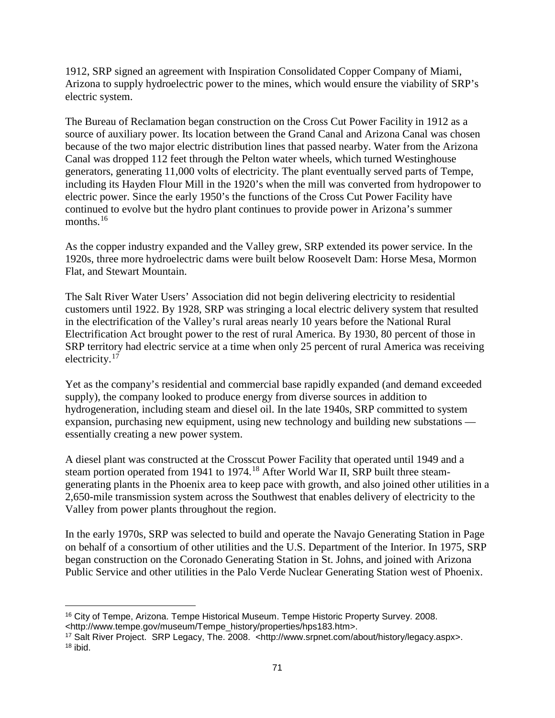1912, SRP signed an agreement with Inspiration Consolidated Copper Company of Miami, Arizona to supply hydroelectric power to the mines, which would ensure the viability of SRP's electric system.

The Bureau of Reclamation began construction on the Cross Cut Power Facility in 1912 as a source of auxiliary power. Its location between the Grand Canal and Arizona Canal was chosen because of the two major electric distribution lines that passed nearby. Water from the Arizona Canal was dropped 112 feet through the Pelton water wheels, which turned Westinghouse generators, generating 11,000 volts of electricity. The plant eventually served parts of Tempe, including its Hayden Flour Mill in the 1920's when the mill was converted from hydropower to electric power. Since the early 1950's the functions of the Cross Cut Power Facility have continued to evolve but the hydro plant continues to provide power in Arizona's summer months.<sup>[16](#page-74-0)</sup>

As the copper industry expanded and the Valley grew, SRP extended its power service. In the 1920s, three more hydroelectric dams were built below Roosevelt Dam: Horse Mesa, Mormon Flat, and Stewart Mountain.

The Salt River Water Users' Association did not begin delivering electricity to residential customers until 1922. By 1928, SRP was stringing a local electric delivery system that resulted in the electrification of the Valley's rural areas nearly 10 years before the National Rural Electrification Act brought power to the rest of rural America. By 1930, 80 percent of those in SRP territory had electric service at a time when only 25 percent of rural America was receiving electricity.<sup>[17](#page-74-1)</sup>

Yet as the company's residential and commercial base rapidly expanded (and demand exceeded supply), the company looked to produce energy from diverse sources in addition to hydrogeneration, including steam and diesel oil. In the late 1940s, SRP committed to system expansion, purchasing new equipment, using new technology and building new substations essentially creating a new power system.

A diesel plant was constructed at the Crosscut Power Facility that operated until 1949 and a steam portion operated from 1941 to 1974.<sup>[18](#page-74-2)</sup> After World War II, SRP built three steamgenerating plants in the Phoenix area to keep pace with growth, and also joined other utilities in a 2,650-mile transmission system across the Southwest that enables delivery of electricity to the Valley from power plants throughout the region.

In the early 1970s, SRP was selected to build and operate the Navajo Generating Station in Page on behalf of a consortium of other utilities and the U.S. Department of the Interior. In 1975, SRP began construction on the Coronado Generating Station in St. Johns, and joined with Arizona Public Service and other utilities in the Palo Verde Nuclear Generating Station west of Phoenix.

<span id="page-74-0"></span><sup>16</sup> City of Tempe, Arizona. Tempe Historical Museum. Tempe Historic Property Survey. 2008. <http://www.tempe.gov/museum/Tempe\_history/properties/hps183.htm>.  $\overline{a}$ 

<span id="page-74-2"></span><span id="page-74-1"></span><sup>&</sup>lt;sup>17</sup> Salt River Project. SRP Legacy, The. 2008. <http://www.srpnet.com/about/history/legacy.aspx>.  $18$  ibid.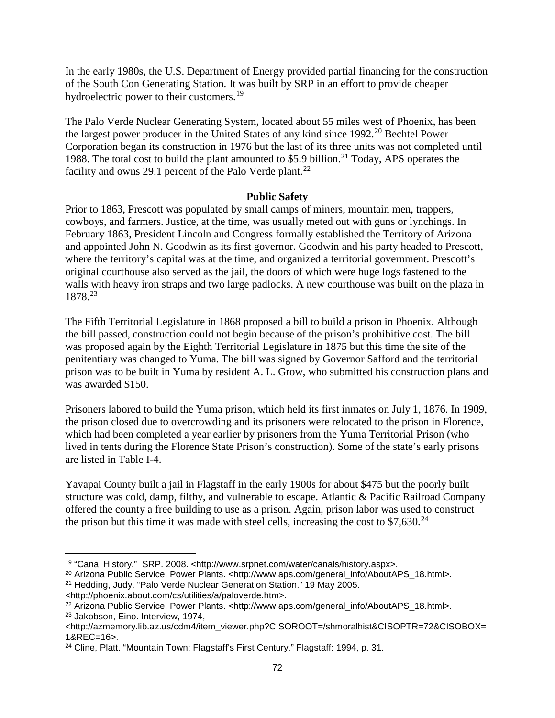In the early 1980s, the U.S. Department of Energy provided partial financing for the construction of the South Con Generating Station. It was built by SRP in an effort to provide cheaper hydroelectric power to their customers.<sup>[19](#page-75-0)</sup>

The Palo Verde Nuclear Generating System, located about 55 miles west of Phoenix, has been the largest power producer in the United States of any kind since 1992. [20](#page-75-1) Bechtel Power Corporation began its construction in 1976 but the last of its three units was not completed until 1988. The total cost to build the plant amounted to \$5.9 billion.<sup>[21](#page-75-2)</sup> Today, APS operates the facility and owns 29.1 percent of the Palo Verde plant.<sup>[22](#page-75-3)</sup>

## **Public Safety**

Prior to 1863, Prescott was populated by small camps of miners, mountain men, trappers, cowboys, and farmers. Justice, at the time, was usually meted out with guns or lynchings. In February 1863, President Lincoln and Congress formally established the Territory of Arizona and appointed John N. Goodwin as its first governor. Goodwin and his party headed to Prescott, where the territory's capital was at the time, and organized a territorial government. Prescott's original courthouse also served as the jail, the doors of which were huge logs fastened to the walls with heavy iron straps and two large padlocks. A new courthouse was built on the plaza in 1878. [23](#page-75-4)

The Fifth Territorial Legislature in 1868 proposed a bill to build a prison in Phoenix. Although the bill passed, construction could not begin because of the prison's prohibitive cost. The bill was proposed again by the Eighth Territorial Legislature in 1875 but this time the site of the penitentiary was changed to Yuma. The bill was signed by Governor Safford and the territorial prison was to be built in Yuma by resident A. L. Grow, who submitted his construction plans and was awarded \$150.

Prisoners labored to build the Yuma prison, which held its first inmates on July 1, 1876. In 1909, the prison closed due to overcrowding and its prisoners were relocated to the prison in Florence, which had been completed a year earlier by prisoners from the Yuma Territorial Prison (who lived in tents during the Florence State Prison's construction). Some of the state's early prisons are listed in Table I-4.

Yavapai County built a jail in Flagstaff in the early 1900s for about \$475 but the poorly built structure was cold, damp, filthy, and vulnerable to escape. Atlantic & Pacific Railroad Company offered the county a free building to use as a prison. Again, prison labor was used to construct the prison but this time it was made with steel cells, increasing the cost to \$7,630. $^{24}$  $^{24}$  $^{24}$ 

<sup>19</sup> "Canal History." SRP. 2008. <http://www.srpnet.com/water/canals/history.aspx>.  $\overline{a}$ 

<span id="page-75-1"></span><span id="page-75-0"></span><sup>&</sup>lt;sup>20</sup> Arizona Public Service. Power Plants. <http://www.aps.com/general\_info/AboutAPS\_18.html>.

<span id="page-75-2"></span><sup>21</sup> Hedding, Judy. "Palo Verde Nuclear Generation Station." 19 May 2005.

<sup>&</sup>lt;http://phoenix.about.com/cs/utilities/a/paloverde.htm>.

<span id="page-75-3"></span><sup>22</sup> Arizona Public Service. Power Plants. <http://www.aps.com/general\_info/AboutAPS\_18.html>. <sup>23</sup> Jakobson, Eino. Interview, 1974,

<span id="page-75-4"></span><sup>&</sup>lt;http://azmemory.lib.az.us/cdm4/item\_viewer.php?CISOROOT=/shmoralhist&CISOPTR=72&CISOBOX= 1&REC=16>.

<span id="page-75-5"></span><sup>&</sup>lt;sup>24</sup> Cline, Platt. "Mountain Town: Flagstaff's First Century." Flagstaff: 1994, p. 31.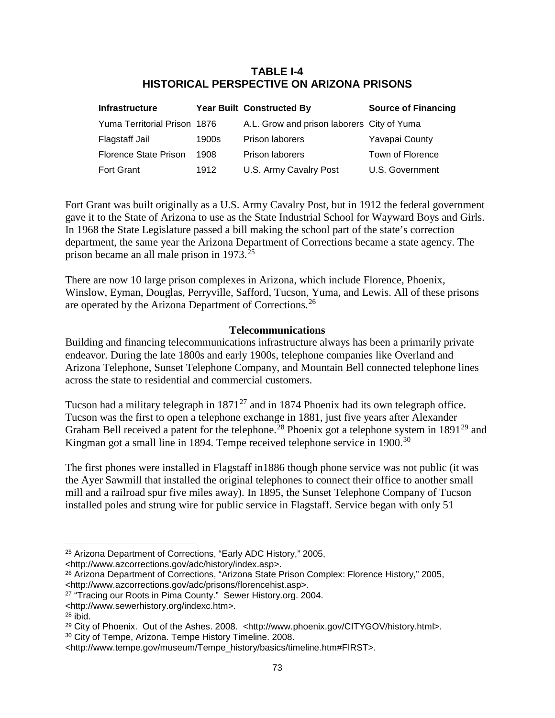# **TABLE I-4 HISTORICAL PERSPECTIVE ON ARIZONA PRISONS**

| <b>Infrastructure</b>        |       | <b>Year Built Constructed By</b>           | <b>Source of Financing</b> |
|------------------------------|-------|--------------------------------------------|----------------------------|
| Yuma Territorial Prison 1876 |       | A.L. Grow and prison laborers City of Yuma |                            |
| Flagstaff Jail               | 1900s | <b>Prison laborers</b>                     | Yavapai County             |
| <b>Florence State Prison</b> | 1908  | <b>Prison laborers</b>                     | Town of Florence           |
| <b>Fort Grant</b>            | 1912  | U.S. Army Cavalry Post                     | U.S. Government            |

Fort Grant was built originally as a U.S. Army Cavalry Post, but in 1912 the federal government gave it to the State of Arizona to use as the State Industrial School for Wayward Boys and Girls. In 1968 the State Legislature passed a bill making the school part of the state's correction department, the same year the Arizona Department of Corrections became a state agency. The prison became an all male prison in 1973. [25](#page-76-0)

There are now 10 large prison complexes in Arizona, which include Florence, Phoenix, Winslow, Eyman, Douglas, Perryville, Safford, Tucson, Yuma, and Lewis. All of these prisons are operated by the Arizona Department of Corrections.<sup>[26](#page-76-1)</sup>

### **Telecommunications**

Building and financing telecommunications infrastructure always has been a primarily private endeavor. During the late 1800s and early 1900s, telephone companies like Overland and Arizona Telephone, Sunset Telephone Company, and Mountain Bell connected telephone lines across the state to residential and commercial customers.

Tucson had a military telegraph in  $1871^{27}$  $1871^{27}$  $1871^{27}$  and in 1874 Phoenix had its own telegraph office. Tucson was the first to open a telephone exchange in 1881, just five years after Alexander Graham Bell received a patent for the telephone.<sup>[28](#page-76-3)</sup> Phoenix got a telephone system in 1891<sup>[29](#page-76-4)</sup> and Kingman got a small line in 1894. Tempe received telephone service in 1900.<sup>[30](#page-76-5)</sup>

The first phones were installed in Flagstaff in1886 though phone service was not public (it was the Ayer Sawmill that installed the original telephones to connect their office to another small mill and a railroad spur five miles away). In 1895, the Sunset Telephone Company of Tucson installed poles and strung wire for public service in Flagstaff. Service began with only 51

<span id="page-76-0"></span><http://www.azcorrections.gov/adc/history/index.asp>.

<sup>25</sup> Arizona Department of Corrections, "Early ADC History," 2005,  $\overline{a}$ 

<span id="page-76-1"></span><sup>26</sup> Arizona Department of Corrections, "Arizona State Prison Complex: Florence History," 2005, <http://www.azcorrections.gov/adc/prisons/florencehist.asp>.

<span id="page-76-2"></span><sup>&</sup>lt;sup>27</sup> "Tracing our Roots in Pima County." Sewer History.org. 2004.

<sup>&</sup>lt;http://www.sewerhistory.org/indexc.htm>.

<span id="page-76-3"></span> $28$  ibid.

<span id="page-76-4"></span><sup>&</sup>lt;sup>29</sup> City of Phoenix. Out of the Ashes. 2008. <http://www.phoenix.gov/CITYGOV/history.html>.

<span id="page-76-5"></span><sup>30</sup> City of Tempe, Arizona. Tempe History Timeline. 2008.

<sup>&</sup>lt;http://www.tempe.gov/museum/Tempe\_history/basics/timeline.htm#FIRST>.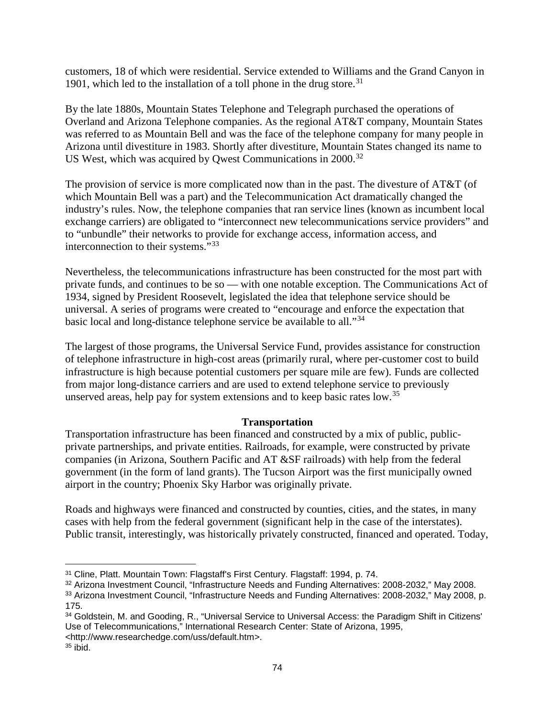customers, 18 of which were residential. Service extended to Williams and the Grand Canyon in 1901, which led to the installation of a toll phone in the drug store. $31$ 

By the late 1880s, Mountain States Telephone and Telegraph purchased the operations of Overland and Arizona Telephone companies. As the regional AT&T company, Mountain States was referred to as Mountain Bell and was the face of the telephone company for many people in Arizona until divestiture in 1983. Shortly after divestiture, Mountain States changed its name to US West, which was acquired by Qwest Communications in 2000.<sup>[32](#page-77-1)</sup>

The provision of service is more complicated now than in the past. The divesture of AT&T (of which Mountain Bell was a part) and the Telecommunication Act dramatically changed the industry's rules. Now, the telephone companies that ran service lines (known as incumbent local exchange carriers) are obligated to "interconnect new telecommunications service providers" and to "unbundle" their networks to provide for exchange access, information access, and interconnection to their systems."[33](#page-77-2)

Nevertheless, the telecommunications infrastructure has been constructed for the most part with private funds, and continues to be so — with one notable exception. The Communications Act of 1934, signed by President Roosevelt, legislated the idea that telephone service should be universal. A series of programs were created to "encourage and enforce the expectation that basic local and long-distance telephone service be available to all."[34](#page-77-3)

The largest of those programs, the Universal Service Fund, provides assistance for construction of telephone infrastructure in high-cost areas (primarily rural, where per-customer cost to build infrastructure is high because potential customers per square mile are few). Funds are collected from major long-distance carriers and are used to extend telephone service to previously unserved areas, help pay for system extensions and to keep basic rates low.<sup>[35](#page-77-4)</sup>

# **Transportation**

Transportation infrastructure has been financed and constructed by a mix of public, publicprivate partnerships, and private entities. Railroads, for example, were constructed by private companies (in Arizona, Southern Pacific and AT &SF railroads) with help from the federal government (in the form of land grants). The Tucson Airport was the first municipally owned airport in the country; Phoenix Sky Harbor was originally private.

Roads and highways were financed and constructed by counties, cities, and the states, in many cases with help from the federal government (significant help in the case of the interstates). Public transit, interestingly, was historically privately constructed, financed and operated. Today,

 $\overline{a}$ 

<span id="page-77-0"></span><sup>31</sup> Cline, Platt. Mountain Town: Flagstaff's First Century. Flagstaff: 1994, p. 74.

<span id="page-77-1"></span><sup>32</sup> Arizona Investment Council, "Infrastructure Needs and Funding Alternatives: 2008-2032," May 2008.

<span id="page-77-2"></span><sup>33</sup> Arizona Investment Council, "Infrastructure Needs and Funding Alternatives: 2008-2032," May 2008, p. 175.

<span id="page-77-3"></span><sup>34</sup> Goldstein, M. and Gooding, R., "Universal Service to Universal Access: the Paradigm Shift in Citizens' Use of Telecommunications," International Research Center: State of Arizona, 1995, <http://www.researchedge.com/uss/default.htm>.

<span id="page-77-4"></span> $35$  ibid.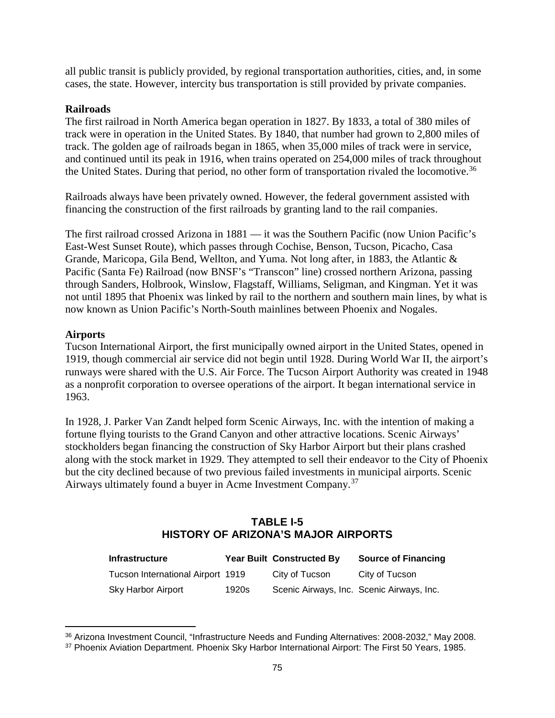all public transit is publicly provided, by regional transportation authorities, cities, and, in some cases, the state. However, intercity bus transportation is still provided by private companies.

### **Railroads**

The first railroad in North America began operation in 1827. By 1833, a total of 380 miles of track were in operation in the United States. By 1840, that number had grown to 2,800 miles of track. The golden age of railroads began in 1865, when 35,000 miles of track were in service, and continued until its peak in 1916, when trains operated on 254,000 miles of track throughout the United States. During that period, no other form of transportation rivaled the locomotive.<sup>[36](#page-78-0)</sup>

Railroads always have been privately owned. However, the federal government assisted with financing the construction of the first railroads by granting land to the rail companies.

The first railroad crossed Arizona in 1881 — it was the Southern Pacific (now Union Pacific's East-West Sunset Route), which passes through Cochise, Benson, Tucson, Picacho, Casa Grande, Maricopa, Gila Bend, Wellton, and Yuma. Not long after, in 1883, the Atlantic & Pacific (Santa Fe) Railroad (now BNSF's "Transcon" line) crossed northern Arizona, passing through Sanders, Holbrook, Winslow, Flagstaff, Williams, Seligman, and Kingman. Yet it was not until 1895 that Phoenix was linked by rail to the northern and southern main lines, by what is now known as Union Pacific's North-South mainlines between Phoenix and Nogales.

## **Airports**

 $\overline{a}$ 

Tucson International Airport, the first municipally owned airport in the United States, opened in 1919, though commercial air service did not begin until 1928. During World War II, the airport's runways were shared with the U.S. Air Force. The Tucson Airport Authority was created in 1948 as a nonprofit corporation to oversee operations of the airport. It began international service in 1963.

In 1928, J. Parker Van Zandt helped form Scenic Airways, Inc. with the intention of making a fortune flying tourists to the Grand Canyon and other attractive locations. Scenic Airways' stockholders began financing the construction of Sky Harbor Airport but their plans crashed along with the stock market in 1929. They attempted to sell their endeavor to the City of Phoenix but the city declined because of two previous failed investments in municipal airports. Scenic Airways ultimately found a buyer in Acme Investment Company.[37](#page-78-1)

# **TABLE I-5 HISTORY OF ARIZONA'S MAJOR AIRPORTS**

| <b>Infrastructure</b>             |       | <b>Year Built Constructed By</b>          | <b>Source of Financing</b> |
|-----------------------------------|-------|-------------------------------------------|----------------------------|
| Tucson International Airport 1919 |       | City of Tucson                            | City of Tucson             |
| Sky Harbor Airport                | 1920s | Scenic Airways, Inc. Scenic Airways, Inc. |                            |

<span id="page-78-0"></span><sup>36</sup> Arizona Investment Council, "Infrastructure Needs and Funding Alternatives: 2008-2032," May 2008.

<span id="page-78-1"></span><sup>37</sup> Phoenix Aviation Department. Phoenix Sky Harbor International Airport: The First 50 Years, 1985.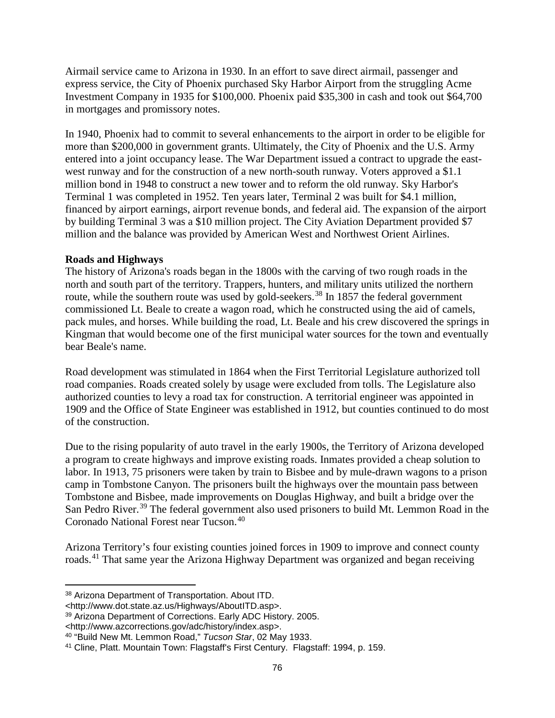Airmail service came to Arizona in 1930. In an effort to save direct airmail, passenger and express service, the City of Phoenix purchased Sky Harbor Airport from the struggling Acme Investment Company in 1935 for \$100,000. Phoenix paid \$35,300 in cash and took out \$64,700 in mortgages and promissory notes.

In 1940, Phoenix had to commit to several enhancements to the airport in order to be eligible for more than \$200,000 in government grants. Ultimately, the City of Phoenix and the U.S. Army entered into a joint occupancy lease. The War Department issued a contract to upgrade the eastwest runway and for the construction of a new north-south runway. Voters approved a \$1.1 million bond in 1948 to construct a new tower and to reform the old runway. Sky Harbor's Terminal 1 was completed in 1952. Ten years later, Terminal 2 was built for \$4.1 million, financed by airport earnings, airport revenue bonds, and federal aid. The expansion of the airport by building Terminal 3 was a \$10 million project. The City Aviation Department provided \$7 million and the balance was provided by American West and Northwest Orient Airlines.

### **Roads and Highways**

The history of Arizona's roads began in the 1800s with the carving of two rough roads in the north and south part of the territory. Trappers, hunters, and military units utilized the northern route, while the southern route was used by gold-seekers.<sup>[38](#page-79-0)</sup> In 1857 the federal government commissioned Lt. Beale to create a wagon road, which he constructed using the aid of camels, pack mules, and horses. While building the road, Lt. Beale and his crew discovered the springs in Kingman that would become one of the first municipal water sources for the town and eventually bear Beale's name.

Road development was stimulated in 1864 when the First Territorial Legislature authorized toll road companies. Roads created solely by usage were excluded from tolls. The Legislature also authorized counties to levy a road tax for construction. A territorial engineer was appointed in 1909 and the Office of State Engineer was established in 1912, but counties continued to do most of the construction.

Due to the rising popularity of auto travel in the early 1900s, the Territory of Arizona developed a program to create highways and improve existing roads. Inmates provided a cheap solution to labor. In 1913, 75 prisoners were taken by train to Bisbee and by mule-drawn wagons to a prison camp in Tombstone Canyon. The prisoners built the highways over the mountain pass between Tombstone and Bisbee, made improvements on Douglas Highway, and built a bridge over the San Pedro River.<sup>[39](#page-79-1)</sup> The federal government also used prisoners to build Mt. Lemmon Road in the Coronado National Forest near Tucson. [40](#page-79-2)

Arizona Territory's four existing counties joined forces in 1909 to improve and connect county roads.<sup>[41](#page-79-3)</sup> That same year the Arizona Highway Department was organized and began receiving

<http://www.azcorrections.gov/adc/history/index.asp>.

<span id="page-79-0"></span><sup>38</sup> Arizona Department of Transportation. About ITD.  $\overline{a}$ 

<sup>&</sup>lt;http://www.dot.state.az.us/Highways/AboutITD.asp>.

<span id="page-79-1"></span><sup>39</sup> Arizona Department of Corrections. Early ADC History. 2005.

<span id="page-79-2"></span><sup>40</sup> "Build New Mt. Lemmon Road," *Tucson Star*, 02 May 1933.

<span id="page-79-3"></span><sup>41</sup> Cline, Platt. Mountain Town: Flagstaff's First Century. Flagstaff: 1994, p. 159.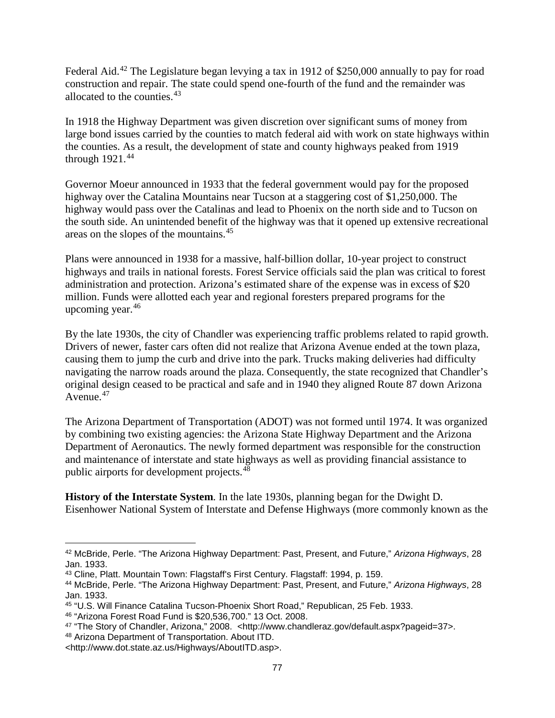Federal Aid.<sup>[42](#page-80-0)</sup> The Legislature began levying a tax in 1912 of \$250,000 annually to pay for road construction and repair. The state could spend one-fourth of the fund and the remainder was allocated to the counties. [43](#page-80-1)

In 1918 the Highway Department was given discretion over significant sums of money from large bond issues carried by the counties to match federal aid with work on state highways within the counties. As a result, the development of state and county highways peaked from 1919 through  $1921.<sup>44</sup>$  $1921.<sup>44</sup>$  $1921.<sup>44</sup>$ 

Governor Moeur announced in 1933 that the federal government would pay for the proposed highway over the Catalina Mountains near Tucson at a staggering cost of \$1,250,000. The highway would pass over the Catalinas and lead to Phoenix on the north side and to Tucson on the south side. An unintended benefit of the highway was that it opened up extensive recreational areas on the slopes of the mountains. [45](#page-80-3)

Plans were announced in 1938 for a massive, half-billion dollar, 10-year project to construct highways and trails in national forests. Forest Service officials said the plan was critical to forest administration and protection. Arizona's estimated share of the expense was in excess of \$20 million. Funds were allotted each year and regional foresters prepared programs for the upcoming year. [46](#page-80-4)

By the late 1930s, the city of Chandler was experiencing traffic problems related to rapid growth. Drivers of newer, faster cars often did not realize that Arizona Avenue ended at the town plaza, causing them to jump the curb and drive into the park. Trucks making deliveries had difficulty navigating the narrow roads around the plaza. Consequently, the state recognized that Chandler's original design ceased to be practical and safe and in 1940 they aligned Route 87 down Arizona Avenue.<sup>[47](#page-80-5)</sup>

The Arizona Department of Transportation (ADOT) was not formed until 1974. It was organized by combining two existing agencies: the Arizona State Highway Department and the Arizona Department of Aeronautics. The newly formed department was responsible for the construction and maintenance of interstate and state highways as well as providing financial assistance to public airports for development projects.<sup>[48](#page-80-6)</sup>

**History of the Interstate System**. In the late 1930s, planning began for the Dwight D. Eisenhower National System of Interstate and Defense Highways (more commonly known as the

<http://www.dot.state.az.us/Highways/AboutITD.asp>.

<span id="page-80-0"></span><sup>42</sup> McBride, Perle. "The Arizona Highway Department: Past, Present, and Future," *Arizona Highways*, 28 Jan. 1933.  $\overline{a}$ 

<span id="page-80-1"></span><sup>43</sup> Cline, Platt. Mountain Town: Flagstaff's First Century. Flagstaff: 1994, p. 159.

<span id="page-80-2"></span><sup>44</sup> McBride, Perle. "The Arizona Highway Department: Past, Present, and Future," *Arizona Highways*, 28 Jan. 1933.

<span id="page-80-3"></span><sup>45</sup> "U.S. Will Finance Catalina Tucson-Phoenix Short Road," Republican, 25 Feb. 1933.

<span id="page-80-4"></span><sup>46</sup> "Arizona Forest Road Fund is \$20,536,700." 13 Oct. 2008.

<span id="page-80-5"></span><sup>47</sup> "The Story of Chandler, Arizona," 2008. <http://www.chandleraz.gov/default.aspx?pageid=37>.

<span id="page-80-6"></span><sup>48</sup> Arizona Department of Transportation. About ITD.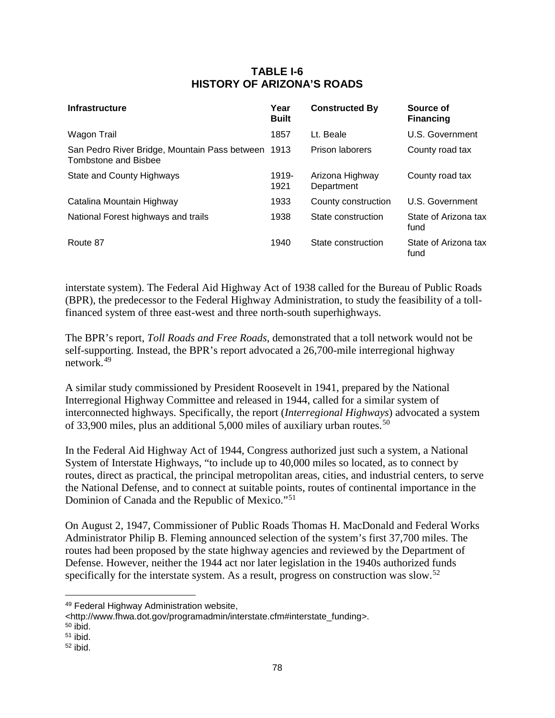# **TABLE I-6 HISTORY OF ARIZONA'S ROADS**

| Infrastructure                                                             | Year<br><b>Built</b> | <b>Constructed By</b>         | Source of<br><b>Financing</b> |
|----------------------------------------------------------------------------|----------------------|-------------------------------|-------------------------------|
| Wagon Trail                                                                | 1857                 | Lt. Beale                     | U.S. Government               |
| San Pedro River Bridge, Mountain Pass between 1913<br>Tombstone and Bisbee |                      | Prison laborers               | County road tax               |
| <b>State and County Highways</b>                                           | 1919-<br>1921        | Arizona Highway<br>Department | County road tax               |
| Catalina Mountain Highway                                                  | 1933                 | County construction           | U.S. Government               |
| National Forest highways and trails                                        | 1938                 | State construction            | State of Arizona tax<br>fund  |
| Route 87                                                                   | 1940                 | State construction            | State of Arizona tax<br>fund  |

interstate system). The Federal Aid Highway Act of 1938 called for the Bureau of Public Roads (BPR), the predecessor to the Federal Highway Administration, to study the feasibility of a tollfinanced system of three east-west and three north-south superhighways.

The BPR's report, *Toll Roads and Free Roads*, demonstrated that a toll network would not be self-supporting. Instead, the BPR's report advocated a 26,700-mile interregional highway network.[49](#page-81-0)

A similar study commissioned by President Roosevelt in 1941, prepared by the National Interregional Highway Committee and released in 1944, called for a similar system of interconnected highways. Specifically, the report (*Interregional Highways*) advocated a system of 33,900 miles, plus an additional 5,000 miles of auxiliary urban routes.<sup>[50](#page-81-1)</sup>

In the Federal Aid Highway Act of 1944, Congress authorized just such a system, a National System of Interstate Highways, "to include up to 40,000 miles so located, as to connect by routes, direct as practical, the principal metropolitan areas, cities, and industrial centers, to serve the National Defense, and to connect at suitable points, routes of continental importance in the Dominion of Canada and the Republic of Mexico."[51](#page-81-2)

On August 2, 1947, Commissioner of Public Roads Thomas H. MacDonald and Federal Works Administrator Philip B. Fleming announced selection of the system's first 37,700 miles. The routes had been proposed by the state highway agencies and reviewed by the Department of Defense. However, neither the 1944 act nor later legislation in the 1940s authorized funds specifically for the interstate system. As a result, progress on construction was slow.<sup>[52](#page-81-3)</sup>

 $\overline{a}$ 

<span id="page-81-0"></span><sup>49</sup> Federal Highway Administration website,

<sup>&</sup>lt;http://www.fhwa.dot.gov/programadmin/interstate.cfm#interstate\_funding>.

<span id="page-81-1"></span> $50$  ibid.

<span id="page-81-2"></span> $51$  ibid.

<span id="page-81-3"></span> $52$  ibid.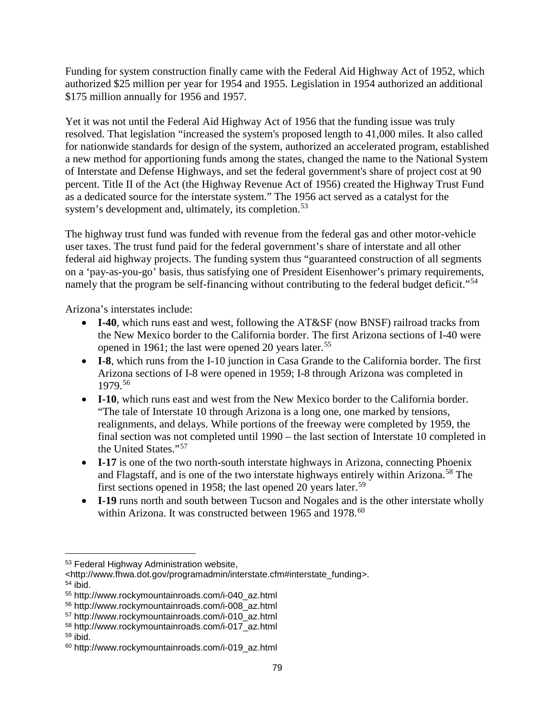Funding for system construction finally came with the Federal Aid Highway Act of 1952, which authorized \$25 million per year for 1954 and 1955. Legislation in 1954 authorized an additional \$175 million annually for 1956 and 1957.

Yet it was not until the Federal Aid Highway Act of 1956 that the funding issue was truly resolved. That legislation "increased the system's proposed length to 41,000 miles. It also called for nationwide standards for design of the system, authorized an accelerated program, established a new method for apportioning funds among the states, changed the name to the National System of Interstate and Defense Highways, and set the federal government's share of project cost at 90 percent. Title II of the Act (the Highway Revenue Act of 1956) created the Highway Trust Fund as a dedicated source for the interstate system." The 1956 act served as a catalyst for the system's development and, ultimately, its completion.<sup>[53](#page-82-0)</sup>

The highway trust fund was funded with revenue from the federal gas and other motor-vehicle user taxes. The trust fund paid for the federal government's share of interstate and all other federal aid highway projects. The funding system thus "guaranteed construction of all segments on a 'pay-as-you-go' basis, thus satisfying one of President Eisenhower's primary requirements, namely that the program be self-financing without contributing to the federal budget deficit."<sup>[54](#page-82-1)</sup>

Arizona's interstates include:

- **I-40**, which runs east and west, following the AT&SF (now BNSF) railroad tracks from the New Mexico border to the California border. The first Arizona sections of I-40 were opened in 1961; the last were opened 20 years later.<sup>[55](#page-82-2)</sup>
- **I-8**, which runs from the I-10 junction in Casa Grande to the California border. The first Arizona sections of I-8 were opened in 1959; I-8 through Arizona was completed in 1979.[56](#page-82-3)
- **I-10**, which runs east and west from the New Mexico border to the California border. "The tale of Interstate 10 through Arizona is a long one, one marked by tensions, realignments, and delays. While portions of the freeway were completed by 1959, the final section was not completed until 1990 – the last section of Interstate 10 completed in the United States."[57](#page-82-4)
- **I-17** is one of the two north-south interstate highways in Arizona, connecting Phoenix and Flagstaff, and is one of the two interstate highways entirely within Arizona. [58](#page-82-5) The first sections opened in 1958; the last opened 20 years later.<sup>[59](#page-82-6)</sup>
- **I-19** runs north and south between Tucson and Nogales and is the other interstate wholly within Arizona. It was constructed between 1965 and 1978.<sup>[60](#page-82-7)</sup>

 $\overline{a}$ 

<span id="page-82-0"></span><sup>53</sup> Federal Highway Administration website,

<sup>&</sup>lt;http://www.fhwa.dot.gov/programadmin/interstate.cfm#interstate\_funding>.  $54$  ibid.

<span id="page-82-2"></span><span id="page-82-1"></span><sup>55</sup> http://www.rockymountainroads.com/i-040\_az.html

<span id="page-82-3"></span><sup>56</sup> http://www.rockymountainroads.com/i-008\_az.html

<span id="page-82-4"></span><sup>57</sup> http://www.rockymountainroads.com/i-010\_az.html

<span id="page-82-5"></span><sup>58</sup> http://www.rockymountainroads.com/i-017\_az.html

<span id="page-82-6"></span> $59$  ibid.

<span id="page-82-7"></span><sup>60</sup> http://www.rockymountainroads.com/i-019\_az.html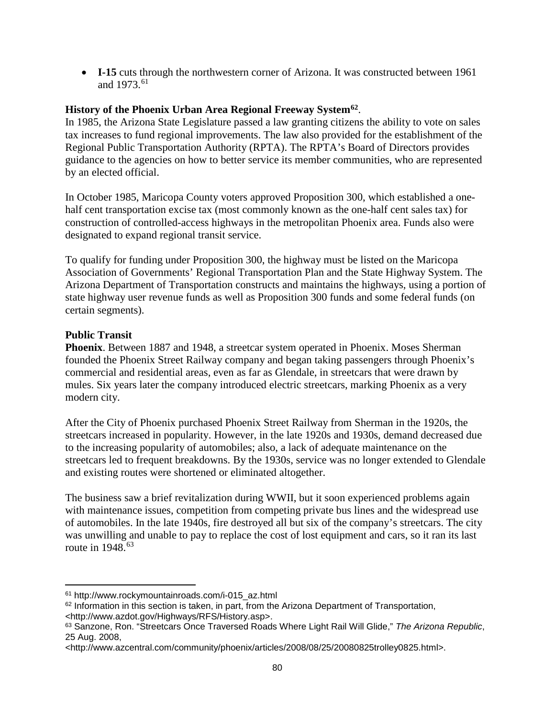• **I-15** cuts through the northwestern corner of Arizona. It was constructed between 1961 and 1973.<sup>[61](#page-83-0)</sup>

# **History of the Phoenix Urban Area Regional Freeway System[62](#page-83-1)**.

In 1985, the Arizona State Legislature passed a law granting citizens the ability to vote on sales tax increases to fund regional improvements. The law also provided for the establishment of the Regional Public Transportation Authority (RPTA). The RPTA's Board of Directors provides guidance to the agencies on how to better service its member communities, who are represented by an elected official.

In October 1985, Maricopa County voters approved Proposition 300, which established a onehalf cent transportation excise tax (most commonly known as the one-half cent sales tax) for construction of controlled-access highways in the metropolitan Phoenix area. Funds also were designated to expand regional transit service.

To qualify for funding under Proposition 300, the highway must be listed on the Maricopa Association of Governments' Regional Transportation Plan and the State Highway System. The Arizona Department of Transportation constructs and maintains the highways, using a portion of state highway user revenue funds as well as Proposition 300 funds and some federal funds (on certain segments).

## **Public Transit**

**Phoenix**. Between 1887 and 1948, a streetcar system operated in Phoenix. Moses Sherman founded the Phoenix Street Railway company and began taking passengers through Phoenix's commercial and residential areas, even as far as Glendale, in streetcars that were drawn by mules. Six years later the company introduced electric streetcars, marking Phoenix as a very modern city.

After the City of Phoenix purchased Phoenix Street Railway from Sherman in the 1920s, the streetcars increased in popularity. However, in the late 1920s and 1930s, demand decreased due to the increasing popularity of automobiles; also, a lack of adequate maintenance on the streetcars led to frequent breakdowns. By the 1930s, service was no longer extended to Glendale and existing routes were shortened or eliminated altogether.

The business saw a brief revitalization during WWII, but it soon experienced problems again with maintenance issues, competition from competing private bus lines and the widespread use of automobiles. In the late 1940s, fire destroyed all but six of the company's streetcars. The city was unwilling and unable to pay to replace the cost of lost equipment and cars, so it ran its last route in  $1948$ .<sup>[63](#page-83-2)</sup>

<span id="page-83-0"></span><sup>61</sup> http://www.rockymountainroads.com/i-015\_az.html  $\overline{a}$ 

<span id="page-83-1"></span> $62$  Information in this section is taken, in part, from the Arizona Department of Transportation, <http://www.azdot.gov/Highways/RFS/History.asp>.

<span id="page-83-2"></span><sup>63</sup> Sanzone, Ron. "Streetcars Once Traversed Roads Where Light Rail Will Glide," *The Arizona Republic*, 25 Aug. 2008,

<sup>&</sup>lt;http://www.azcentral.com/community/phoenix/articles/2008/08/25/20080825trolley0825.html>.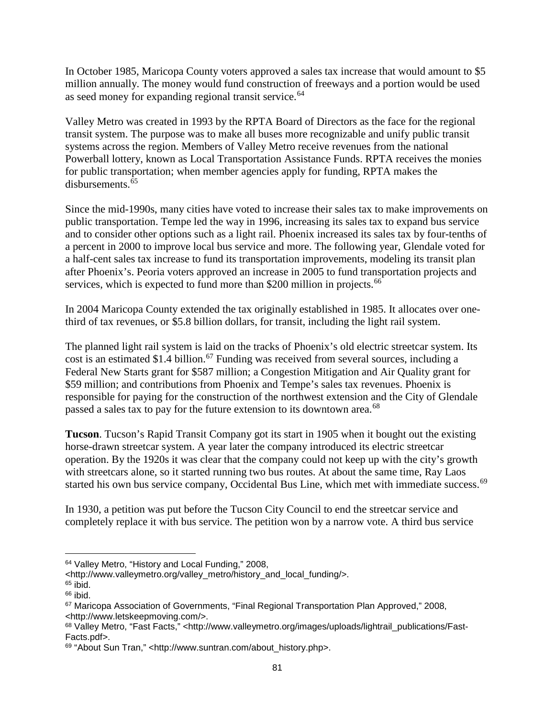In October 1985, Maricopa County voters approved a sales tax increase that would amount to \$5 million annually. The money would fund construction of freeways and a portion would be used as seed money for expanding regional transit service.<sup>[64](#page-84-0)</sup>

Valley Metro was created in 1993 by the RPTA Board of Directors as the face for the regional transit system. The purpose was to make all buses more recognizable and unify public transit systems across the region. Members of Valley Metro receive revenues from the national Powerball lottery, known as Local Transportation Assistance Funds. RPTA receives the monies for public transportation; when member agencies apply for funding, RPTA makes the disbursements. $65$ 

Since the mid-1990s, many cities have voted to increase their sales tax to make improvements on public transportation. Tempe led the way in 1996, increasing its sales tax to expand bus service and to consider other options such as a light rail. Phoenix increased its sales tax by four-tenths of a percent in 2000 to improve local bus service and more. The following year, Glendale voted for a half-cent sales tax increase to fund its transportation improvements, modeling its transit plan after Phoenix's. Peoria voters approved an increase in 2005 to fund transportation projects and services, which is expected to fund more than \$200 million in projects.<sup>[66](#page-84-2)</sup>

In 2004 Maricopa County extended the tax originally established in 1985. It allocates over onethird of tax revenues, or \$5.8 billion dollars, for transit, including the light rail system.

The planned light rail system is laid on the tracks of Phoenix's old electric streetcar system. Its cost is an estimated \$1.4 billion. [67](#page-84-3) Funding was received from several sources, including a Federal New Starts grant for \$587 million; a Congestion Mitigation and Air Quality grant for \$59 million; and contributions from Phoenix and Tempe's sales tax revenues. Phoenix is responsible for paying for the construction of the northwest extension and the City of Glendale passed a sales tax to pay for the future extension to its downtown area.<sup>[68](#page-84-4)</sup>

**Tucson**. Tucson's Rapid Transit Company got its start in 1905 when it bought out the existing horse-drawn streetcar system. A year later the company introduced its electric streetcar operation. By the 1920s it was clear that the company could not keep up with the city's growth with streetcars alone, so it started running two bus routes. At about the same time, Ray Laos started his own bus service company, Occidental Bus Line, which met with immediate success.<sup>[69](#page-84-5)</sup>

In 1930, a petition was put before the Tucson City Council to end the streetcar service and completely replace it with bus service. The petition won by a narrow vote. A third bus service

<sup>64</sup> Valley Metro, "History and Local Funding," 2008,  $\overline{a}$ 

<span id="page-84-0"></span><sup>&</sup>lt;http://www.valleymetro.org/valley\_metro/history\_and\_local\_funding/>.

<span id="page-84-1"></span> $65$  ibid.

<span id="page-84-2"></span> $66$  ibid.

<span id="page-84-3"></span><sup>&</sup>lt;sup>67</sup> Maricopa Association of Governments, "Final Regional Transportation Plan Approved," 2008, <http://www.letskeepmoving.com/>.

<span id="page-84-4"></span><sup>68</sup> Valley Metro, "Fast Facts," <http://www.valleymetro.org/images/uploads/lightrail\_publications/Fast-Facts.pdf>.

<span id="page-84-5"></span><sup>69 &</sup>quot;About Sun Tran," <http://www.suntran.com/about\_history.php>.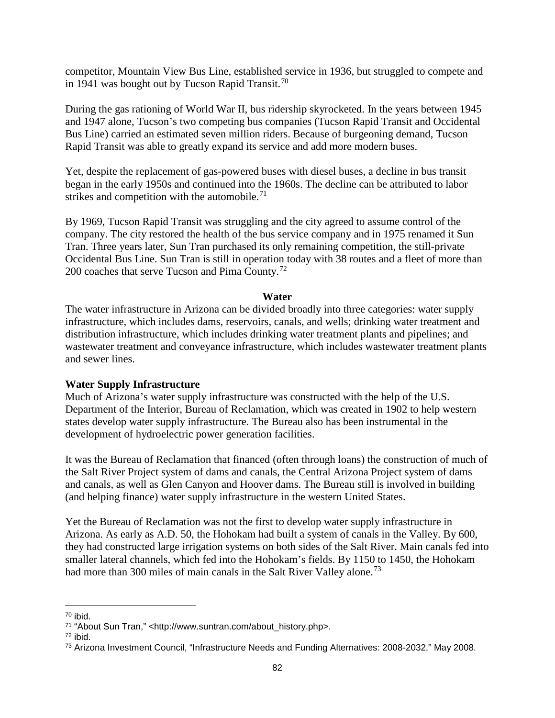competitor, Mountain View Bus Line, established service in 1936, but struggled to compete and in 1941 was bought out by Tucson Rapid Transit.<sup>[70](#page-85-0)</sup>

During the gas rationing of World War II, bus ridership skyrocketed. In the years between 1945 and 1947 alone, Tucson's two competing bus companies (Tucson Rapid Transit and Occidental Bus Line) carried an estimated seven million riders. Because of burgeoning demand, Tucson Rapid Transit was able to greatly expand its service and add more modern buses.

Yet, despite the replacement of gas-powered buses with diesel buses, a decline in bus transit began in the early 1950s and continued into the 1960s. The decline can be attributed to labor strikes and competition with the automobile.<sup>[71](#page-85-1)</sup>

By 1969, Tucson Rapid Transit was struggling and the city agreed to assume control of the company. The city restored the health of the bus service company and in 1975 renamed it Sun Tran. Three years later, Sun Tran purchased its only remaining competition, the still-private Occidental Bus Line. Sun Tran is still in operation today with 38 routes and a fleet of more than 200 coaches that serve Tucson and Pima County.<sup>[72](#page-85-2)</sup>

### **Water**

The water infrastructure in Arizona can be divided broadly into three categories: water supply infrastructure, which includes dams, reservoirs, canals, and wells; drinking water treatment and distribution infrastructure, which includes drinking water treatment plants and pipelines; and wastewater treatment and conveyance infrastructure, which includes wastewater treatment plants and sewer lines.

### **Water Supply Infrastructure**

Much of Arizona's water supply infrastructure was constructed with the help of the U.S. Department of the Interior, Bureau of Reclamation, which was created in 1902 to help western states develop water supply infrastructure. The Bureau also has been instrumental in the development of hydroelectric power generation facilities.

It was the Bureau of Reclamation that financed (often through loans) the construction of much of the Salt River Project system of dams and canals, the Central Arizona Project system of dams and canals, as well as Glen Canyon and Hoover dams. The Bureau still is involved in building (and helping finance) water supply infrastructure in the western United States.

Yet the Bureau of Reclamation was not the first to develop water supply infrastructure in Arizona. As early as A.D. 50, the Hohokam had built a system of canals in the Valley. By 600, they had constructed large irrigation systems on both sides of the Salt River. Main canals fed into smaller lateral channels, which fed into the Hohokam's fields. By 1150 to 1450, the Hohokam had more than 300 miles of main canals in the Salt River Valley alone.<sup>[73](#page-85-3)</sup>

<sup>70</sup> ibid.  $\overline{a}$ 

<span id="page-85-1"></span><span id="page-85-0"></span><sup>71</sup> "About Sun Tran," <http://www.suntran.com/about\_history.php>.

<span id="page-85-2"></span> $72$  ibid.

<span id="page-85-3"></span><sup>73</sup> Arizona Investment Council, "Infrastructure Needs and Funding Alternatives: 2008-2032," May 2008.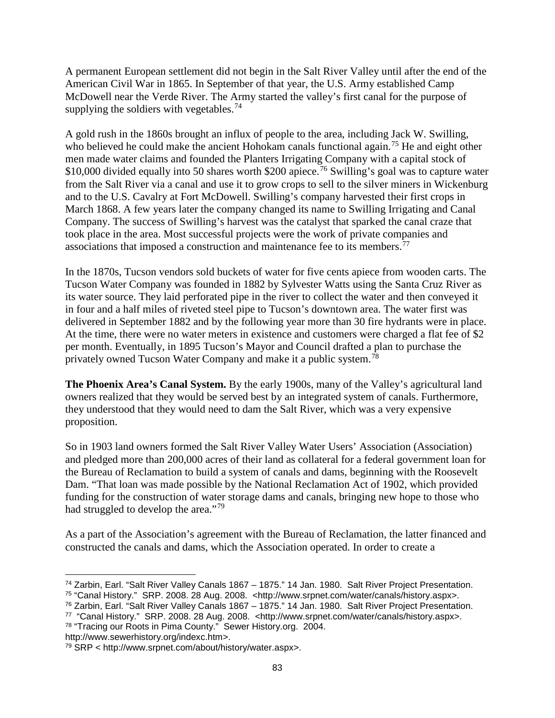A permanent European settlement did not begin in the Salt River Valley until after the end of the American Civil War in 1865. In September of that year, the U.S. Army established Camp McDowell near the Verde River. The Army started the valley's first canal for the purpose of supplying the soldiers with vegetables.<sup>[74](#page-86-0)</sup>

A gold rush in the 1860s brought an influx of people to the area, including Jack W. Swilling, who believed he could make the ancient Hohokam canals functional again.<sup>[75](#page-86-1)</sup> He and eight other men made water claims and founded the Planters Irrigating Company with a capital stock of \$10,000 divided equally into 50 shares worth \$200 apiece.<sup>[76](#page-86-2)</sup> Swilling's goal was to capture water from the Salt River via a canal and use it to grow crops to sell to the silver miners in Wickenburg and to the U.S. Cavalry at Fort McDowell. Swilling's company harvested their first crops in March 1868. A few years later the company changed its name to Swilling Irrigating and Canal Company. The success of Swilling's harvest was the catalyst that sparked the canal craze that took place in the area. Most successful projects were the work of private companies and associations that imposed a construction and maintenance fee to its members.<sup>[77](#page-86-3)</sup>

In the 1870s, Tucson vendors sold buckets of water for five cents apiece from wooden carts. The Tucson Water Company was founded in 1882 by Sylvester Watts using the Santa Cruz River as its water source. They laid perforated pipe in the river to collect the water and then conveyed it in four and a half miles of riveted steel pipe to Tucson's downtown area. The water first was delivered in September 1882 and by the following year more than 30 fire hydrants were in place. At the time, there were no water meters in existence and customers were charged a flat fee of \$2 per month. Eventually, in 1895 Tucson's Mayor and Council drafted a plan to purchase the privately owned Tucson Water Company and make it a public system.[78](#page-86-4)

**The Phoenix Area's Canal System.** By the early 1900s, many of the Valley's agricultural land owners realized that they would be served best by an integrated system of canals. Furthermore, they understood that they would need to dam the Salt River, which was a very expensive proposition.

So in 1903 land owners formed the Salt River Valley Water Users' Association (Association) and pledged more than 200,000 acres of their land as collateral for a federal government loan for the Bureau of Reclamation to build a system of canals and dams, beginning with the Roosevelt Dam. "That loan was made possible by the National Reclamation Act of 1902, which provided funding for the construction of water storage dams and canals, bringing new hope to those who had struggled to develop the area."<sup>[79](#page-86-5)</sup>

As a part of the Association's agreement with the Bureau of Reclamation, the latter financed and constructed the canals and dams, which the Association operated. In order to create a

<span id="page-86-2"></span><sup>76</sup> Zarbin, Earl. "Salt River Valley Canals 1867 – 1875." 14 Jan. 1980. Salt River Project Presentation.

<span id="page-86-4"></span>http://www.sewerhistory.org/indexc.htm>.

<sup>74</sup> Zarbin, Earl. "Salt River Valley Canals 1867 – 1875." 14 Jan. 1980. Salt River Project Presentation.  $\overline{a}$ 

<span id="page-86-1"></span><span id="page-86-0"></span><sup>75</sup> "Canal History." SRP. 2008. 28 Aug. 2008. <http://www.srpnet.com/water/canals/history.aspx>.

<span id="page-86-3"></span><sup>77 &</sup>quot;Canal History." SRP. 2008. 28 Aug. 2008. <http://www.srpnet.com/water/canals/history.aspx>. <sup>78</sup> "Tracing our Roots in Pima County." Sewer History.org. 2004.

<span id="page-86-5"></span><sup>79</sup> SRP < http://www.srpnet.com/about/history/water.aspx>.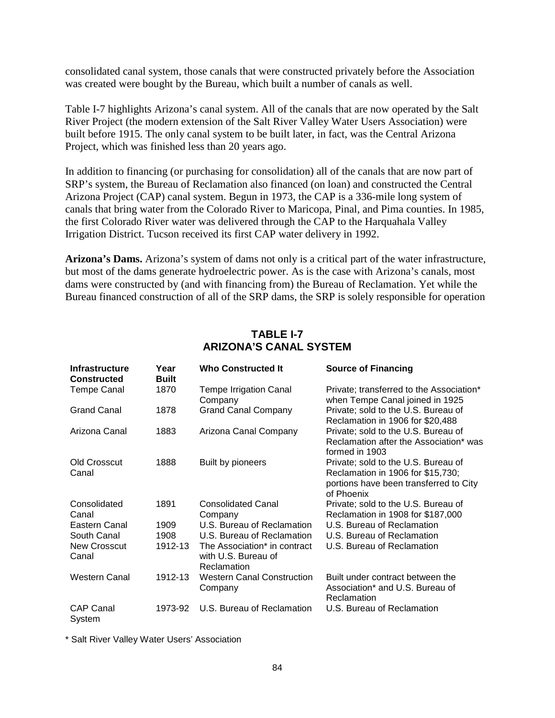consolidated canal system, those canals that were constructed privately before the Association was created were bought by the Bureau, which built a number of canals as well.

Table I-7 highlights Arizona's canal system. All of the canals that are now operated by the Salt River Project (the modern extension of the Salt River Valley Water Users Association) were built before 1915. The only canal system to be built later, in fact, was the Central Arizona Project, which was finished less than 20 years ago.

In addition to financing (or purchasing for consolidation) all of the canals that are now part of SRP's system, the Bureau of Reclamation also financed (on loan) and constructed the Central Arizona Project (CAP) canal system. Begun in 1973, the CAP is a 336-mile long system of canals that bring water from the Colorado River to Maricopa, Pinal, and Pima counties. In 1985, the first Colorado River water was delivered through the CAP to the Harquahala Valley Irrigation District. Tucson received its first CAP water delivery in 1992.

**Arizona's Dams.** Arizona's system of dams not only is a critical part of the water infrastructure, but most of the dams generate hydroelectric power. As is the case with Arizona's canals, most dams were constructed by (and with financing from) the Bureau of Reclamation. Yet while the Bureau financed construction of all of the SRP dams, the SRP is solely responsible for operation

| Infrastructure<br><b>Constructed</b> | Year<br><b>Built</b> | <b>Who Constructed It</b>                                          | <b>Source of Financing</b>                                                                                                       |
|--------------------------------------|----------------------|--------------------------------------------------------------------|----------------------------------------------------------------------------------------------------------------------------------|
| <b>Tempe Canal</b>                   | 1870                 | <b>Tempe Irrigation Canal</b><br>Company                           | Private; transferred to the Association*<br>when Tempe Canal joined in 1925                                                      |
| <b>Grand Canal</b>                   | 1878                 | <b>Grand Canal Company</b>                                         | Private; sold to the U.S. Bureau of<br>Reclamation in 1906 for \$20,488                                                          |
| Arizona Canal                        | 1883                 | Arizona Canal Company                                              | Private; sold to the U.S. Bureau of<br>Reclamation after the Association* was<br>formed in 1903                                  |
| Old Crosscut<br>Canal                | 1888                 | Built by pioneers                                                  | Private; sold to the U.S. Bureau of<br>Reclamation in 1906 for \$15,730;<br>portions have been transferred to City<br>of Phoenix |
| Consolidated<br>Canal                | 1891                 | <b>Consolidated Canal</b><br>Company                               | Private; sold to the U.S. Bureau of<br>Reclamation in 1908 for \$187,000                                                         |
| Eastern Canal                        | 1909                 | U.S. Bureau of Reclamation                                         | U.S. Bureau of Reclamation                                                                                                       |
| South Canal                          | 1908                 | U.S. Bureau of Reclamation                                         | U.S. Bureau of Reclamation                                                                                                       |
| <b>New Crosscut</b><br>Canal         | 1912-13              | The Association* in contract<br>with U.S. Bureau of<br>Reclamation | U.S. Bureau of Reclamation                                                                                                       |
| Western Canal                        | 1912-13              | <b>Western Canal Construction</b><br>Company                       | Built under contract between the<br>Association* and U.S. Bureau of<br>Reclamation                                               |
| <b>CAP Canal</b><br>System           | 1973-92              | U.S. Bureau of Reclamation                                         | U.S. Bureau of Reclamation                                                                                                       |

# **TABLE I-7 ARIZONA'S CANAL SYSTEM**

\* Salt River Valley Water Users' Association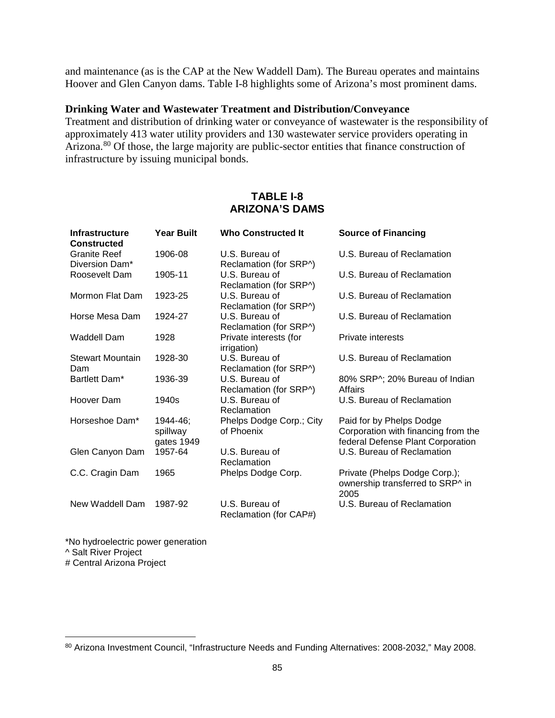and maintenance (as is the CAP at the New Waddell Dam). The Bureau operates and maintains Hoover and Glen Canyon dams. Table I-8 highlights some of Arizona's most prominent dams.

#### **Drinking Water and Wastewater Treatment and Distribution/Conveyance**

Treatment and distribution of drinking water or conveyance of wastewater is the responsibility of approximately 413 water utility providers and 130 wastewater service providers operating in Arizona.<sup>[80](#page-88-0)</sup> Of those, the large majority are public-sector entities that finance construction of infrastructure by issuing municipal bonds.

## **TABLE I-8 ARIZONA'S DAMS**

| <b>Infrastructure</b><br><b>Constructed</b> | <b>Year Built</b>                  | <b>Who Constructed It</b>                | <b>Source of Financing</b>                                                                           |
|---------------------------------------------|------------------------------------|------------------------------------------|------------------------------------------------------------------------------------------------------|
| <b>Granite Reef</b><br>Diversion Dam*       | 1906-08                            | U.S. Bureau of<br>Reclamation (for SRP^) | U.S. Bureau of Reclamation                                                                           |
| Roosevelt Dam                               | 1905-11                            | U.S. Bureau of<br>Reclamation (for SRP^) | U.S. Bureau of Reclamation                                                                           |
| Mormon Flat Dam                             | 1923-25                            | U.S. Bureau of<br>Reclamation (for SRP^) | U.S. Bureau of Reclamation                                                                           |
| Horse Mesa Dam                              | 1924-27                            | U.S. Bureau of<br>Reclamation (for SRP^) | U.S. Bureau of Reclamation                                                                           |
| Waddell Dam                                 | 1928                               | Private interests (for<br>irrigation)    | Private interests                                                                                    |
| <b>Stewart Mountain</b><br>Dam              | 1928-30                            | U.S. Bureau of<br>Reclamation (for SRP^) | U.S. Bureau of Reclamation                                                                           |
| Bartlett Dam*                               | 1936-39                            | U.S. Bureau of<br>Reclamation (for SRP^) | 80% SRP^; 20% Bureau of Indian<br>Affairs                                                            |
| Hoover Dam                                  | 1940s                              | U.S. Bureau of<br>Reclamation            | U.S. Bureau of Reclamation                                                                           |
| Horseshoe Dam*                              | 1944-46;<br>spillway<br>gates 1949 | Phelps Dodge Corp.; City<br>of Phoenix   | Paid for by Phelps Dodge<br>Corporation with financing from the<br>federal Defense Plant Corporation |
| Glen Canyon Dam                             | 1957-64                            | U.S. Bureau of<br>Reclamation            | U.S. Bureau of Reclamation                                                                           |
| C.C. Cragin Dam                             | 1965                               | Phelps Dodge Corp.                       | Private (Phelps Dodge Corp.);<br>ownership transferred to SRP^ in<br>2005                            |
| New Waddell Dam                             | 1987-92                            | U.S. Bureau of<br>Reclamation (for CAP#) | U.S. Bureau of Reclamation                                                                           |

\*No hydroelectric power generation ^ Salt River Project # Central Arizona Project

<span id="page-88-0"></span><sup>80</sup> Arizona Investment Council, "Infrastructure Needs and Funding Alternatives: 2008-2032," May 2008.  $\overline{a}$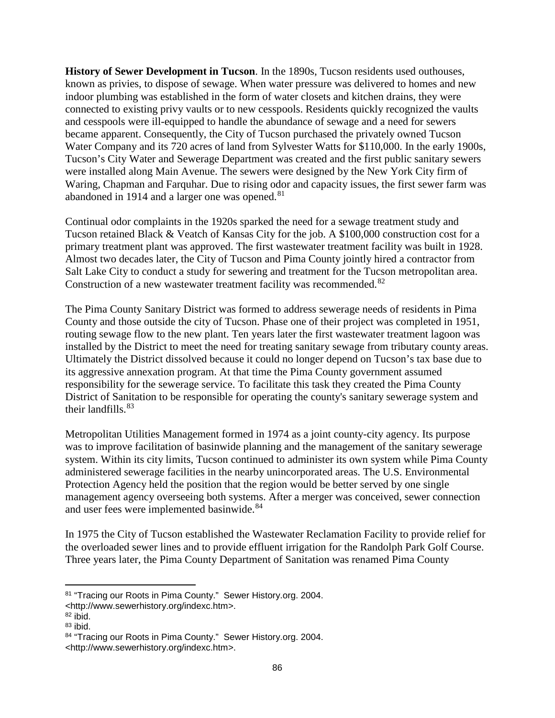**History of Sewer Development in Tucson**. In the 1890s, Tucson residents used outhouses, known as privies, to dispose of sewage. When water pressure was delivered to homes and new indoor plumbing was established in the form of water closets and kitchen drains, they were connected to existing privy vaults or to new cesspools. Residents quickly recognized the vaults and cesspools were ill-equipped to handle the abundance of sewage and a need for sewers became apparent. Consequently, the City of Tucson purchased the privately owned Tucson Water Company and its 720 acres of land from Sylvester Watts for \$110,000. In the early 1900s, Tucson's City Water and Sewerage Department was created and the first public sanitary sewers were installed along Main Avenue. The sewers were designed by the New York City firm of Waring, Chapman and Farquhar. Due to rising odor and capacity issues, the first sewer farm was abandoned in 1914 and a larger one was opened.<sup>[81](#page-89-0)</sup>

Continual odor complaints in the 1920s sparked the need for a sewage treatment study and Tucson retained Black & Veatch of Kansas City for the job. A \$100,000 construction cost for a primary treatment plant was approved. The first wastewater treatment facility was built in 1928. Almost two decades later, the City of Tucson and Pima County jointly hired a contractor from Salt Lake City to conduct a study for sewering and treatment for the Tucson metropolitan area. Construction of a new wastewater treatment facility was recommended.<sup>[82](#page-89-1)</sup>

The Pima County Sanitary District was formed to address sewerage needs of residents in Pima County and those outside the city of Tucson. Phase one of their project was completed in 1951, routing sewage flow to the new plant. Ten years later the first wastewater treatment lagoon was installed by the District to meet the need for treating sanitary sewage from tributary county areas. Ultimately the District dissolved because it could no longer depend on Tucson's tax base due to its aggressive annexation program. At that time the Pima County government assumed responsibility for the sewerage service. To facilitate this task they created the Pima County District of Sanitation to be responsible for operating the county's sanitary sewerage system and their landfills.<sup>[83](#page-89-2)</sup>

Metropolitan Utilities Management formed in 1974 as a joint county-city agency. Its purpose was to improve facilitation of basinwide planning and the management of the sanitary sewerage system. Within its city limits, Tucson continued to administer its own system while Pima County administered sewerage facilities in the nearby unincorporated areas. The U.S. Environmental Protection Agency held the position that the region would be better served by one single management agency overseeing both systems. After a merger was conceived, sewer connection and user fees were implemented basinwide.<sup>[84](#page-89-3)</sup>

In 1975 the City of Tucson established the Wastewater Reclamation Facility to provide relief for the overloaded sewer lines and to provide effluent irrigation for the Randolph Park Golf Course. Three years later, the Pima County Department of Sanitation was renamed Pima County

<sup>81 &</sup>quot;Tracing our Roots in Pima County." Sewer History.org. 2004.  $\overline{a}$ 

<span id="page-89-0"></span><sup>&</sup>lt;http://www.sewerhistory.org/indexc.htm>.

<span id="page-89-1"></span> $82$  ibid.

<span id="page-89-2"></span> $83$  ibid.

<span id="page-89-3"></span><sup>84 &</sup>quot;Tracing our Roots in Pima County." Sewer History.org. 2004. <http://www.sewerhistory.org/indexc.htm>.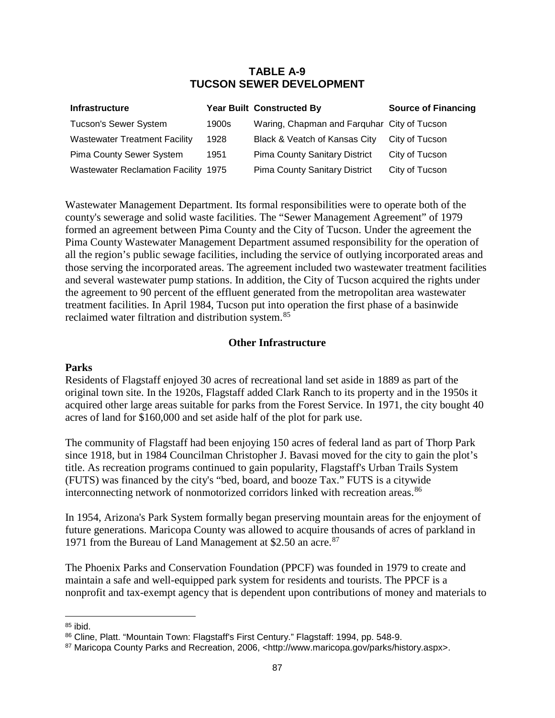## **TABLE A-9 TUCSON SEWER DEVELOPMENT**

| <b>Infrastructure</b>                       |       | <b>Year Built Constructed By</b>            | <b>Source of Financing</b> |
|---------------------------------------------|-------|---------------------------------------------|----------------------------|
| <b>Tucson's Sewer System</b>                | 1900s | Waring, Chapman and Farquhar City of Tucson |                            |
| <b>Wastewater Treatment Facility</b>        | 1928  | Black & Veatch of Kansas City               | City of Tucson             |
| <b>Pima County Sewer System</b>             | 1951  | <b>Pima County Sanitary District</b>        | City of Tucson             |
| <b>Wastewater Reclamation Facility 1975</b> |       | <b>Pima County Sanitary District</b>        | City of Tucson             |

Wastewater Management Department. Its formal responsibilities were to operate both of the county's sewerage and solid waste facilities. The "Sewer Management Agreement" of 1979 formed an agreement between Pima County and the City of Tucson. Under the agreement the Pima County Wastewater Management Department assumed responsibility for the operation of all the region's public sewage facilities, including the service of outlying incorporated areas and those serving the incorporated areas. The agreement included two wastewater treatment facilities and several wastewater pump stations. In addition, the City of Tucson acquired the rights under the agreement to 90 percent of the effluent generated from the metropolitan area wastewater treatment facilities. In April 1984, Tucson put into operation the first phase of a basinwide reclaimed water filtration and distribution system.<sup>[85](#page-90-0)</sup>

### **Other Infrastructure**

#### **Parks**

Residents of Flagstaff enjoyed 30 acres of recreational land set aside in 1889 as part of the original town site. In the 1920s, Flagstaff added Clark Ranch to its property and in the 1950s it acquired other large areas suitable for parks from the Forest Service. In 1971, the city bought 40 acres of land for \$160,000 and set aside half of the plot for park use.

The community of Flagstaff had been enjoying 150 acres of federal land as part of Thorp Park since 1918, but in 1984 Councilman Christopher J. Bavasi moved for the city to gain the plot's title. As recreation programs continued to gain popularity, Flagstaff's Urban Trails System (FUTS) was financed by the city's "bed, board, and booze Tax." FUTS is a citywide interconnecting network of nonmotorized corridors linked with recreation areas.<sup>[86](#page-90-1)</sup>

In 1954, Arizona's Park System formally began preserving mountain areas for the enjoyment of future generations. Maricopa County was allowed to acquire thousands of acres of parkland in 1971 from the Bureau of Land Management at \$2.50 an acre.<sup>[87](#page-90-2)</sup>

The Phoenix Parks and Conservation Foundation (PPCF) was founded in 1979 to create and maintain a safe and well-equipped park system for residents and tourists. The PPCF is a nonprofit and tax-exempt agency that is dependent upon contributions of money and materials to

 $\overline{a}$ 

<span id="page-90-0"></span><sup>85</sup> ibid.

<span id="page-90-1"></span><sup>86</sup> Cline, Platt. "Mountain Town: Flagstaff's First Century." Flagstaff: 1994, pp. 548-9.

<span id="page-90-2"></span><sup>87</sup> Maricopa County Parks and Recreation, 2006, <http://www.maricopa.gov/parks/history.aspx>.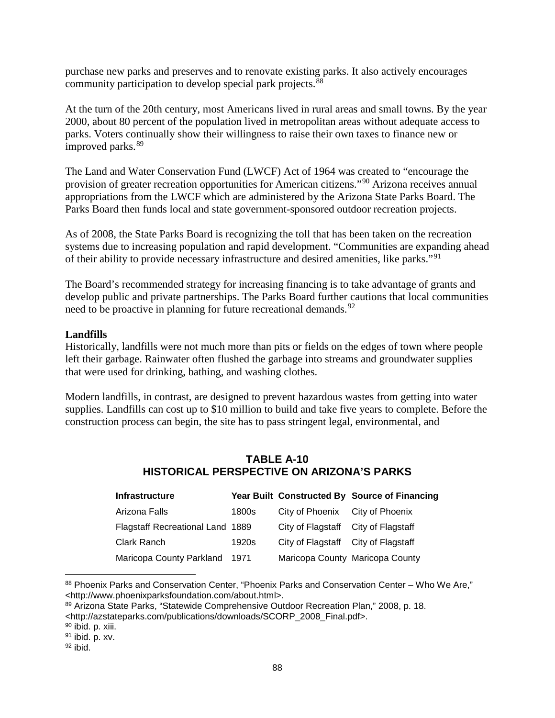purchase new parks and preserves and to renovate existing parks. It also actively encourages community participation to develop special park projects. [88](#page-91-0)

At the turn of the 20th century, most Americans lived in rural areas and small towns. By the year 2000, about 80 percent of the population lived in metropolitan areas without adequate access to parks. Voters continually show their willingness to raise their own taxes to finance new or improved parks. [89](#page-91-1)

The Land and Water Conservation Fund (LWCF) Act of 1964 was created to "encourage the provision of greater recreation opportunities for American citizens."[90](#page-91-2) Arizona receives annual appropriations from the LWCF which are administered by the Arizona State Parks Board. The Parks Board then funds local and state government-sponsored outdoor recreation projects.

As of 2008, the State Parks Board is recognizing the toll that has been taken on the recreation systems due to increasing population and rapid development. "Communities are expanding ahead of their ability to provide necessary infrastructure and desired amenities, like parks."[91](#page-91-3)

The Board's recommended strategy for increasing financing is to take advantage of grants and develop public and private partnerships. The Parks Board further cautions that local communities need to be proactive in planning for future recreational demands.<sup>[92](#page-91-4)</sup>

### **Landfills**

Historically, landfills were not much more than pits or fields on the edges of town where people left their garbage. Rainwater often flushed the garbage into streams and groundwater supplies that were used for drinking, bathing, and washing clothes.

Modern landfills, in contrast, are designed to prevent hazardous wastes from getting into water supplies. Landfills can cost up to \$10 million to build and take five years to complete. Before the construction process can begin, the site has to pass stringent legal, environmental, and

# **TABLE A-10 HISTORICAL PERSPECTIVE ON ARIZONA'S PARKS**

| <b>Infrastructure</b>                   |       |                                     | Year Built Constructed By Source of Financing |
|-----------------------------------------|-------|-------------------------------------|-----------------------------------------------|
| Arizona Falls                           | 1800s | City of Phoenix City of Phoenix     |                                               |
| <b>Flagstaff Recreational Land 1889</b> |       | City of Flagstaff City of Flagstaff |                                               |
| Clark Ranch                             | 1920s | City of Flagstaff City of Flagstaff |                                               |
| Maricopa County Parkland 1971           |       |                                     | Maricopa County Maricopa County               |

<span id="page-91-0"></span>88 Phoenix Parks and Conservation Center, "Phoenix Parks and Conservation Center – Who We Are," <http://www.phoenixparksfoundation.com/about.html>.  $\overline{a}$ 

<span id="page-91-1"></span>89 Arizona State Parks, "Statewide Comprehensive Outdoor Recreation Plan," 2008, p. 18.

<http://azstateparks.com/publications/downloads/SCORP\_2008\_Final.pdf>.

<span id="page-91-2"></span><sup>90</sup> ibid. p. xiii.

<span id="page-91-3"></span> $91$  ibid. p. xv.

<span id="page-91-4"></span> $92$  ibid.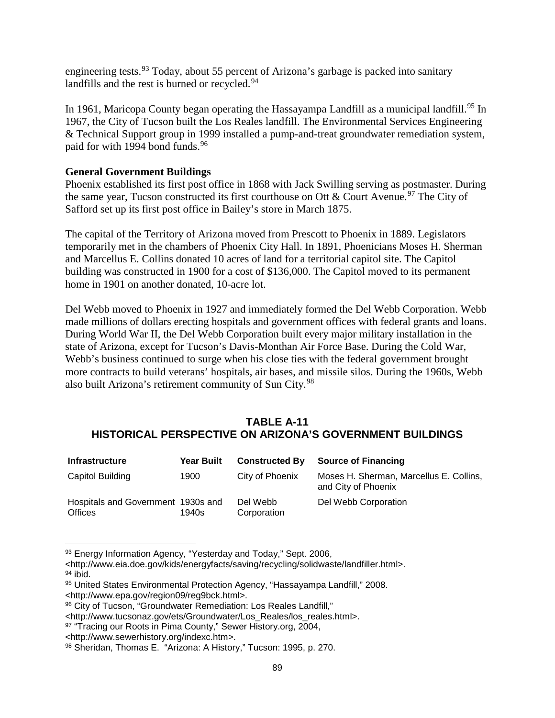engineering tests.<sup>[93](#page-92-0)</sup> Today, about 55 percent of Arizona's garbage is packed into sanitary landfills and the rest is burned or recycled.<sup>[94](#page-92-1)</sup>

In 1961, Maricopa County began operating the Hassayampa Landfill as a municipal landfill.<sup>[95](#page-92-2)</sup> In 1967, the City of Tucson built the Los Reales landfill. The Environmental Services Engineering & Technical Support group in 1999 installed a pump-and-treat groundwater remediation system, paid for with 1994 bond funds.<sup>[96](#page-92-3)</sup>

## **General Government Buildings**

Phoenix established its first post office in 1868 with Jack Swilling serving as postmaster. During the same year, Tucson constructed its first courthouse on Ott & Court Avenue.<sup>[97](#page-92-4)</sup> The City of Safford set up its first post office in Bailey's store in March 1875.

The capital of the Territory of Arizona moved from Prescott to Phoenix in 1889. Legislators temporarily met in the chambers of Phoenix City Hall. In 1891, Phoenicians Moses H. Sherman and Marcellus E. Collins donated 10 acres of land for a territorial capitol site. The Capitol building was constructed in 1900 for a cost of \$136,000. The Capitol moved to its permanent home in 1901 on another donated, 10-acre lot.

Del Webb moved to Phoenix in 1927 and immediately formed the Del Webb Corporation. Webb made millions of dollars erecting hospitals and government offices with federal grants and loans. During World War II, the Del Webb Corporation built every major military installation in the state of Arizona, except for Tucson's Davis-Monthan Air Force Base. During the Cold War, Webb's business continued to surge when his close ties with the federal government brought more contracts to build veterans' hospitals, air bases, and missile silos. During the 1960s, Webb also built Arizona's retirement community of Sun City.<sup>[98](#page-92-5)</sup>

# **TABLE A-11 HISTORICAL PERSPECTIVE ON ARIZONA'S GOVERNMENT BUILDINGS**

| <b>Infrastructure</b>                                | <b>Year Built</b> | <b>Constructed By</b>   | <b>Source of Financing</b>                                     |
|------------------------------------------------------|-------------------|-------------------------|----------------------------------------------------------------|
| Capitol Building                                     | 1900              | City of Phoenix         | Moses H. Sherman, Marcellus E. Collins,<br>and City of Phoenix |
| Hospitals and Government 1930s and<br><b>Offices</b> | 1940s             | Del Webb<br>Corporation | Del Webb Corporation                                           |

<sup>93</sup> Energy Information Agency, "Yesterday and Today," Sept. 2006,  $\overline{a}$ 

<span id="page-92-1"></span> $94$  ibid.

<span id="page-92-0"></span><sup>&</sup>lt;http://www.eia.doe.gov/kids/energyfacts/saving/recycling/solidwaste/landfiller.html>.

<span id="page-92-2"></span><sup>95</sup> United States Environmental Protection Agency, "Hassayampa Landfill," 2008. <http://www.epa.gov/region09/reg9bck.html>.

<span id="page-92-3"></span><sup>96</sup> City of Tucson, "Groundwater Remediation: Los Reales Landfill,"

<sup>&</sup>lt;http://www.tucsonaz.gov/ets/Groundwater/Los\_Reales/los\_reales.html>.

<span id="page-92-4"></span><sup>97 &</sup>quot;Tracing our Roots in Pima County," Sewer History.org, 2004,

<sup>&</sup>lt;http://www.sewerhistory.org/indexc.htm>.

<span id="page-92-5"></span><sup>98</sup> Sheridan, Thomas E. "Arizona: A History," Tucson: 1995, p. 270.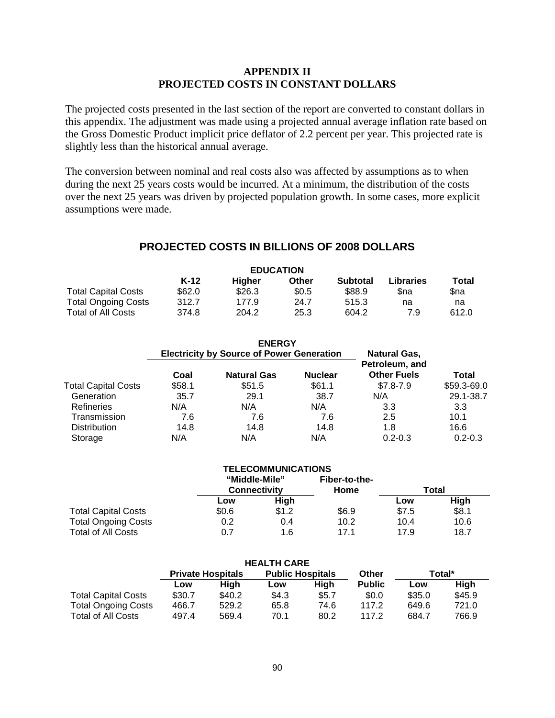### **APPENDIX II PROJECTED COSTS IN CONSTANT DOLLARS**

The projected costs presented in the last section of the report are converted to constant dollars in this appendix. The adjustment was made using a projected annual average inflation rate based on the Gross Domestic Product implicit price deflator of 2.2 percent per year. This projected rate is slightly less than the historical annual average.

The conversion between nominal and real costs also was affected by assumptions as to when during the next 25 years costs would be incurred. At a minimum, the distribution of the costs over the next 25 years was driven by projected population growth. In some cases, more explicit assumptions were made.

# **PROJECTED COSTS IN BILLIONS OF 2008 DOLLARS**

| <b>EDUCATION</b>           |        |        |       |                 |                  |       |
|----------------------------|--------|--------|-------|-----------------|------------------|-------|
|                            | $K-12$ | Hiaher | Other | <b>Subtotal</b> | <b>Libraries</b> | Total |
| <b>Total Capital Costs</b> | \$62.0 | \$26.3 | \$0.5 | \$88.9          | Sna              | Sna   |
| <b>Total Ongoing Costs</b> | 312.7  | 177.9  | 24.7  | 515.3           | na               | na    |
| <b>Total of All Costs</b>  | 374.8  | 204.2  | 25.3  | 604.2           | 7.9              | 612.0 |

|                            |        | <b>ENERGY</b><br><b>Electricity by Source of Power Generation</b> |                | <b>Natural Gas,</b>                  |             |
|----------------------------|--------|-------------------------------------------------------------------|----------------|--------------------------------------|-------------|
|                            | Coal   | <b>Natural Gas</b>                                                | <b>Nuclear</b> | Petroleum, and<br><b>Other Fuels</b> | Total       |
| <b>Total Capital Costs</b> | \$58.1 | \$51.5                                                            | \$61.1         | $$7.8 - 7.9$                         | \$59.3-69.0 |
| Generation                 | 35.7   | 29.1                                                              | 38.7           | N/A                                  | 29.1-38.7   |
| Refineries                 | N/A    | N/A                                                               | N/A            | 3.3                                  | 3.3         |
| Transmission               | 7.6    | 7.6                                                               | 7.6            | 2.5                                  | 10.1        |
| <b>Distribution</b>        | 14.8   | 14.8                                                              | 14.8           | 1.8                                  | 16.6        |
| Storage                    | N/A    | N/A                                                               | N/A            | $0.2 - 0.3$                          | $0.2 - 0.3$ |

|                            |                                      | <b>TELECOMMUNICATIONS</b> |                       |       |       |
|----------------------------|--------------------------------------|---------------------------|-----------------------|-------|-------|
|                            | "Middle-Mile"<br><b>Connectivity</b> |                           | Fiber-to-the-<br>Home | Total |       |
|                            | Low                                  | High                      |                       | Low   | High  |
| <b>Total Capital Costs</b> | \$0.6                                | \$1.2                     | \$6.9                 | \$7.5 | \$8.1 |
| <b>Total Ongoing Costs</b> | 0.2                                  | 0.4                       | 10.2                  | 10.4  | 10.6  |
| <b>Total of All Costs</b>  | 0.7                                  | 1.6                       | 171                   | 17.9  | 18.7  |

| <b>HEALTH CARE</b>         |                          |        |                         |       |               |        |             |
|----------------------------|--------------------------|--------|-------------------------|-------|---------------|--------|-------------|
|                            | <b>Private Hospitals</b> |        | <b>Public Hospitals</b> |       | Other         | Total* |             |
|                            | Low                      | Hiah   | Low                     | High  | <b>Public</b> | Low    | <b>High</b> |
| <b>Total Capital Costs</b> | \$30.7                   | \$40.2 | \$4.3                   | \$5.7 | \$0.0         | \$35.0 | \$45.9      |
| <b>Total Ongoing Costs</b> | 466.7                    | 529.2  | 65.8                    | 74.6  | 117.2         | 649.6  | 721.0       |
| Total of All Costs         | 497.4                    | 569.4  | 70.1                    | 80.2  | 117.2         | 684.7  | 766.9       |